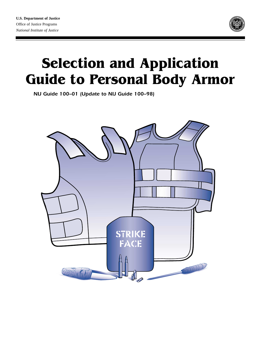

# **Selection and Application Guide to Personal Body Armor**

*NIJ Guide 100–01 (Update to NIJ Guide 100–98)*

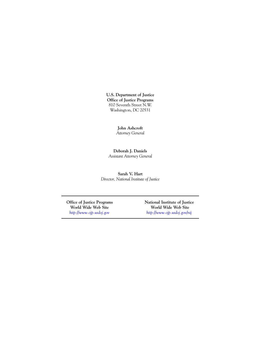**U.S. Department of Justice Office of Justice Programs** 810 Seventh Street N.W. Washington, DC 20531

> **John Ashcroft** *Attorney General*

**Deborah J. Daniels** *Assistant Attorney General*

**Sarah V. Hart** *Director, National Institute of Justice*

*<http://www.ojp.usdoj.gov> <http://www.ojp.usdoj.gov/nij>*

Office of Justice Programs **National Institute of Justice**<br>World Wide Web Site **National World Wide Web Site World Wide Web Site World Wide Web Site**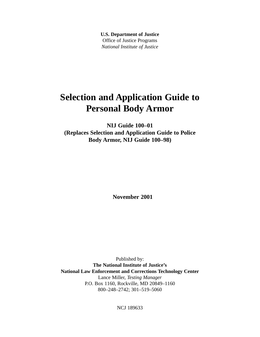**U.S. Department of Justice** Office of Justice Programs *National Institute of Justice*

# **Selection and Application Guide to Personal Body Armor**

**NIJ Guide 100–01 (Replaces Selection and Application Guide to Police Body Armor, NIJ Guide 100–98)**

**November 2001**

Published by: **The National Institute of Justice's National Law Enforcement and Corrections Technology Center** Lance Miller, *Testing Manager* P.O. Box 1160, Rockville, MD 20849–1160 800–248–2742; 301–519–5060

NCJ 189633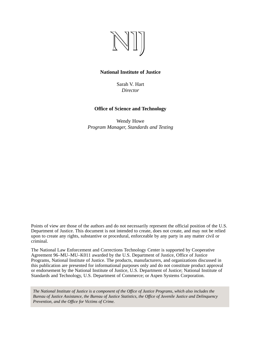

#### **National Institute of Justice**

Sarah V. Hart *Director*

#### **Office of Science and Technology**

Wendy Howe *Program Manager, Standards and Testing*

Points of view are those of the authors and do not necessarily represent the official position of the U.S. Department of Justice. This document is not intended to create, does not create, and may not be relied upon to create any rights, substantive or procedural, enforceable by any party in any matter civil or criminal.

The National Law Enforcement and Corrections Technology Center is supported by Cooperative Agreement 96–MU–MU–K011 awarded by the U.S. Department of Justice, Office of Justice Programs, National Institute of Justice. The products, manufacturers, and organizations discussed in this publication are presented for informational purposes only and do not constitute product approval or endorsement by the National Institute of Justice, U.S. Department of Justice; National Institute of Standards and Technology, U.S. Department of Commerce; or Aspen Systems Corporation.

*The National Institute of Justice is a component of the Office of Justice Programs, which also includes the Bureau of Justice Assistance, the Bureau of Justice Statistics, the Office of Juvenile Justice and Delinquency Prevention, and the Office for Victims of Crime.*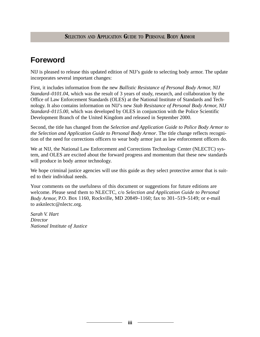# **Foreword**

NIJ is pleased to release this updated edition of NIJ's guide to selecting body armor. The update incorporates several important changes:

First, it includes information from the new *Ballistic Resistance of Personal Body Armor, NIJ Standard–0101.04,* which was the result of 3 years of study, research, and collaboration by the Office of Law Enforcement Standards (OLES) at the National Institute of Standards and Technology. It also contains information on NIJ's new *Stab Resistance of Personal Body Armor, NIJ Standard–0115.00,* which was developed by OLES in conjunction with the Police Scientific Development Branch of the United Kingdom and released in September 2000.

Second, the title has changed from the *Selection and Application Guide to Police Body Armor to the Selection and Application Guide to Personal Body Armor*. The title change reflects recognition of the need for corrections officers to wear body armor just as law enforcement officers do.

We at NIJ, the National Law Enforcement and Corrections Technology Center (NLECTC) system, and OLES are excited about the forward progress and momentum that these new standards will produce in body armor technology.

We hope criminal justice agencies will use this guide as they select protective armor that is suited to their individual needs.

Your comments on the usefulness of this document or suggestions for future editions are welcome. Please send them to NLECTC, c/o *Selection and Application Guide to Personal Body Armor,* P.O. Box 1160, Rockville, MD 20849–1160; fax to 301–519–5149; or e-mail to asknlectc@nlectc.org.

*Sarah V. Hart Director National Institute of Justice*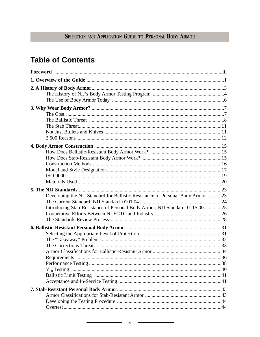# **Table of Contents**

| Developing the NIJ Standard for Ballistic Resistance of Personal Body Armor23 |  |
|-------------------------------------------------------------------------------|--|
|                                                                               |  |
| Introducing Stab-Resistance of Personal Body Armor, NIJ Standard-0115.0025    |  |
|                                                                               |  |
|                                                                               |  |
|                                                                               |  |
|                                                                               |  |
|                                                                               |  |
|                                                                               |  |
|                                                                               |  |
|                                                                               |  |
|                                                                               |  |
|                                                                               |  |
|                                                                               |  |
|                                                                               |  |
|                                                                               |  |
|                                                                               |  |
|                                                                               |  |
|                                                                               |  |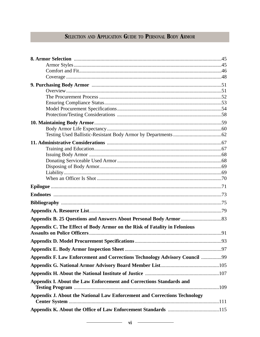| Appendix C. The Effect of Body Armor on the Risk of Fatality in Felonious  |  |
|----------------------------------------------------------------------------|--|
|                                                                            |  |
|                                                                            |  |
|                                                                            |  |
| Appendix F. Law Enforcement and Corrections Technology Advisory Council 99 |  |
|                                                                            |  |
|                                                                            |  |
| Appendix I. About the Law Enforcement and Corrections Standards and        |  |
| Appendix J. About the National Law Enforcement and Corrections Technology  |  |
|                                                                            |  |
|                                                                            |  |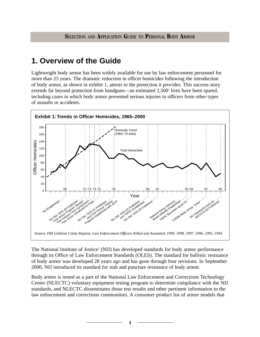# **1. Overview of the Guide**

Lightweight body armor has been widely available for use by law enforcement personnel for more than 25 years. The dramatic reduction in officer homicides following the introduction of body armor, as shown in exhibit 1, attests to the protection it provides. This success story extends far beyond protection from handguns—an estimated 2,500<sup>1</sup> lives have been spared, including cases in which body armor prevented serious injuries to officers from other types of assaults or accidents.



The National Institute of Justice<sup>2</sup> (NIJ) has developed standards for body armor performance through its Office of Law Enforcement Standards (OLES). The standard for ballistic resistance of body armor was developed 28 years ago and has gone through four revisions. In September 2000, NIJ introduced its standard for stab and puncture resistance of body armor.

Body armor is tested as a part of the National Law Enforcement and Corrections Technology Center (NLECTC) voluntary equipment testing program to determine compliance with the NIJ standards, and NLECTC disseminates those test results and other pertinent information to the law enforcement and corrections communities. A consumer product list of armor models that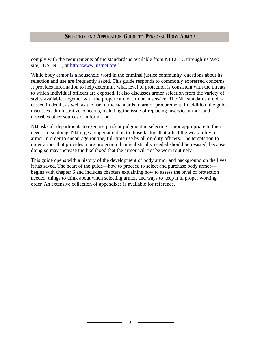comply with the requirements of the standards is available from NLECTC through its Web site, JUSTNET, at [http://www.justnet.org.](http://www.justnet.org)<sup>3</sup>

While body armor is a household word in the criminal justice community, questions about its selection and use are frequently asked. This guide responds to commonly expressed concerns. It provides information to help determine what level of protection is consistent with the threats to which individual officers are exposed. It also discusses armor selection from the variety of styles available, together with the proper care of armor in service. The NIJ standards are discussed in detail, as well as the use of the standards in armor procurement. In addition, the guide discusses administrative concerns, including the issue of replacing inservice armor, and describes other sources of information.

NIJ asks all departments to exercise prudent judgment in selecting armor appropriate to their needs. In so doing, NIJ urges proper attention to those factors that affect the wearability of armor in order to encourage routine, full-time use by all on-duty officers. The temptation to order armor that provides more protection than realistically needed should be resisted, because doing so may increase the likelihood that the armor will not be worn routinely.

This guide opens with a history of the development of body armor and background on the lives it has saved. The heart of the guide—how to proceed to select and purchase body armor begins with chapter 6 and includes chapters explaining how to assess the level of protection needed, things to think about when selecting armor, and ways to keep it in proper working order. An extensive collection of appendixes is available for reference.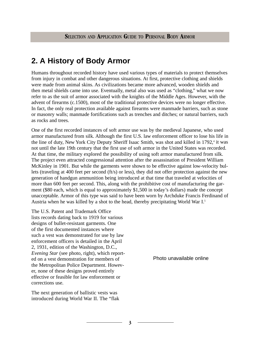# **2. A History of Body Armor**

Humans throughout recorded history have used various types of materials to protect themselves from injury in combat and other dangerous situations. At first, protective clothing and shields were made from animal skins. As civilizations became more advanced, wooden shields and then metal shields came into use. Eventually, metal also was used as "clothing," what we now refer to as the suit of armor associated with the knights of the Middle Ages. However, with the advent of firearms (c.1500), most of the traditional protective devices were no longer effective. In fact, the only real protection available against firearms were manmade barriers, such as stone or masonry walls; manmade fortifications such as trenches and ditches; or natural barriers, such as rocks and trees.

One of the first recorded instances of soft armor use was by the medieval Japanese, who used armor manufactured from silk. Although the first U.S. law enforcement officer to lose his life in the line of duty, New York City Deputy Sheriff Isaac Smith, was shot and killed in 1792,<sup>4</sup> it was not until the late 19th century that the first use of soft armor in the United States was recorded. At that time, the military explored the possibility of using soft armor manufactured from silk. The project even attracted congressional attention after the assassination of President William McKinley in 1901. But while the garments were shown to be effective against low-velocity bullets (traveling at 400 feet per second (ft/s) or less), they did not offer protection against the new generation of handgun ammunition being introduced at that time that traveled at velocities of more than 600 feet per second. This, along with the prohibitive cost of manufacturing the garment (\$80 each, which is equal to approximately \$1,500 in today's dollars) made the concept unacceptable. Armor of this type was said to have been worn by Archduke Francis Ferdinand of Austria when he was killed by a shot to the head, thereby precipitating World War I.5

The U.S. Patent and Trademark Office lists records dating back to 1919 for various designs of bullet-resistant garments. One of the first documented instances where such a vest was demonstrated for use by law enforcement officers is detailed in the April 2, 1931, edition of the Washington, D.C., *Evening Star* (see photo, right), which reported on a vest demonstration for members of the Metropolitan Police Department. However, none of these designs proved entirely effective or feasible for law enforcement or corrections use.

The next generation of ballistic vests was introduced during World War II. The "flak Photo unavailable online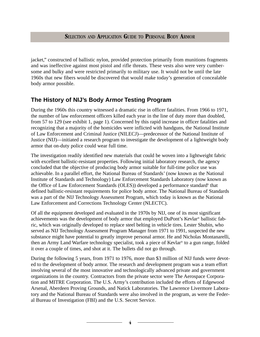jacket," constructed of ballistic nylon, provided protection primarily from munitions fragments and was ineffective against most pistol and rifle threats. These vests also were very cumbersome and bulky and were restricted primarily to military use. It would not be until the late 1960s that new fibers would be discovered that would make today's generation of concealable body armor possible.

# **The History of NIJ's Body Armor Testing Program**

During the 1960s this country witnessed a dramatic rise in officer fatalities. From 1966 to 1971, the number of law enforcement officers killed each year in the line of duty more than doubled, from 57 to 129 (see exhibit 1, page 1). Concerned by this rapid increase in officer fatalities and recognizing that a majority of the homicides were inflicted with handguns, the National Institute of Law Enforcement and Criminal Justice (NILECJ)—predecessor of the National Institute of Justice (NIJ)—initiated a research program to investigate the development of a lightweight body armor that on-duty police could wear full time.

The investigation readily identified new materials that could be woven into a lightweight fabric with excellent ballistic-resistant properties. Following initial laboratory research, the agency concluded that the objective of producing body armor suitable for full-time police use was achievable. In a parallel effort, the National Bureau of Standards' (now known as the National Institute of Standards and Technology) Law Enforcement Standards Laboratory (now known as the Office of Law Enforcement Standards (OLES)) developed a performance standard<sup>6</sup> that defined ballistic-resistant requirements for police body armor. The National Bureau of Standards was a part of the NIJ Technology Assessment Program, which today is known as the National Law Enforcement and Corrections Technology Center (NLECTC).

Of all the equipment developed and evaluated in the 1970s by NIJ, one of its most significant achievements was the development of body armor that employed DuPont's Kevlar® ballistic fabric, which was originally developed to replace steel belting in vehicle tires. Lester Shubin, who served as NIJ Technology Assessment Program Manager from 1971 to 1991, suspected the new substance might have potential to greatly improve personal armor. He and Nicholas Montanarelli, then an Army Land Warfare technology specialist, took a piece of Kevlar® to a gun range, folded it over a couple of times, and shot at it. The bullets did not go through.

During the following 5 years, from 1971 to 1976, more than \$3 million of NIJ funds were devoted to the development of body armor. The research and development program was a team effort involving several of the most innovative and technologically advanced private and government organizations in the country. Contractors from the private sector were The Aerospace Corporation and MITRE Corporation. The U.S. Army's contribution included the efforts of Edgewood Arsenal, Aberdeen Proving Grounds, and Natick Laboratories. The Lawrence Livermore Laboratory and the National Bureau of Standards were also involved in the program, as were the Federal Bureau of Investigation (FBI) and the U.S. Secret Service.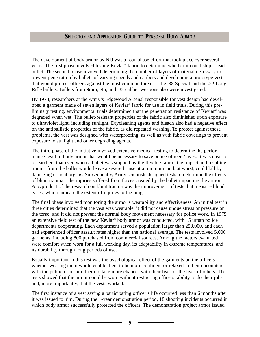The development of body armor by NIJ was a four-phase effort that took place over several years. The first phase involved testing Kevlar® fabric to determine whether it could stop a lead bullet. The second phase involved determining the number of layers of material necessary to prevent penetration by bullets of varying speeds and calibers and developing a prototype vest that would protect officers against the most common threats—the .38 Special and the .22 Long Rifle bullets. Bullets from 9mm, .45, and .32 caliber weapons also were investigated.

By 1973, researchers at the Army's Edgewood Arsenal responsible for vest design had developed a garment made of seven layers of Kevlar® fabric for use in field trials. During this preliminary testing, environmental trials determined that the penetration resistance of Kevlar® was degraded when wet. The bullet-resistant properties of the fabric also diminished upon exposure to ultraviolet light, including sunlight. Drycleaning agents and bleach also had a negative effect on the antiballistic properties of the fabric, as did repeated washing. To protect against these problems, the vest was designed with waterproofing, as well as with fabric coverings to prevent exposure to sunlight and other degrading agents.

The third phase of the initiative involved extensive medical testing to determine the performance level of body armor that would be necessary to save police officers' lives. It was clear to researchers that even when a bullet was stopped by the flexible fabric, the impact and resulting trauma from the bullet would leave a severe bruise at a minimum and, at worst, could kill by damaging critical organs. Subsequently, Army scientists designed tests to determine the effects of blunt trauma—the injuries suffered from forces created by the bullet impacting the armor. A byproduct of the research on blunt trauma was the improvement of tests that measure blood gases, which indicate the extent of injuries to the lungs.

The final phase involved monitoring the armor's wearability and effectiveness. An initial test in three cities determined that the vest was wearable, it did not cause undue stress or pressure on the torso, and it did not prevent the normal body movement necessary for police work. In 1975, an extensive field test of the new Kevlar® body armor was conducted, with 15 urban police departments cooperating. Each department served a population larger than 250,000, and each had experienced officer assault rates higher than the national average. The tests involved 5,000 garments, including 800 purchased from commercial sources. Among the factors evaluated were comfort when worn for a full working day, its adaptability in extreme temperatures, and its durability through long periods of use.

Equally important in this test was the psychological effect of the garments on the officers whether wearing them would enable them to be more confident or relaxed in their encounters with the public or inspire them to take more chances with their lives or the lives of others. The tests showed that the armor could be worn without restricting officers' ability to do their jobs and, more importantly, that the vests worked.

The first instance of a vest saving a participating officer's life occurred less than 6 months after it was issued to him. During the 1-year demonstration period, 18 shooting incidents occurred in which body armor successfully protected the officers. The demonstration project armor issued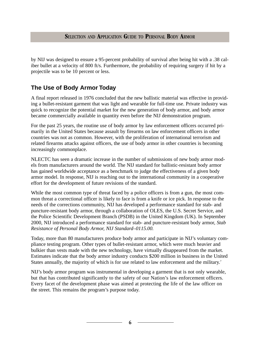by NIJ was designed to ensure a 95-percent probability of survival after being hit with a .38 caliber bullet at a velocity of 800 ft/s. Furthermore, the probability of requiring surgery if hit by a projectile was to be 10 percent or less.

# **The Use of Body Armor Today**

A final report released in 1976 concluded that the new ballistic material was effective in providing a bullet-resistant garment that was light and wearable for full-time use. Private industry was quick to recognize the potential market for the new generation of body armor, and body armor became commercially available in quantity even before the NIJ demonstration program.

For the past 25 years, the routine use of body armor by law enforcement officers occurred primarily in the United States because assault by firearms on law enforcement officers in other countries was not as common. However, with the proliferation of international terrorism and related firearms attacks against officers, the use of body armor in other countries is becoming increasingly commonplace.

NLECTC has seen a dramatic increase in the number of submissions of new body armor models from manufacturers around the world. The NIJ standard for ballistic-resistant body armor has gained worldwide acceptance as a benchmark to judge the effectiveness of a given body armor model. In response, NIJ is reaching out to the international community in a cooperative effort for the development of future revisions of the standard.

While the most common type of threat faced by a police officers is from a gun, the most common threat a correctional officer is likely to face is from a knife or ice pick. In response to the needs of the corrections community, NIJ has developed a performance standard for stab- and puncture-resistant body armor, through a collaboration of OLES, the U.S. Secret Service, and the Police Scientific Development Branch (PSDB) in the United Kingdom (UK). In September 2000, NIJ introduced a performance standard for stab- and puncture-resistant body armor, *Stab Resistance of Personal Body Armor, NIJ Standard–0115.00.*

Today, more than 80 manufacturers produce body armor and participate in NIJ's voluntary compliance testing program. Other types of bullet-resistant armor, which were much heavier and bulkier than vests made with the new technology, have virtually disappeared from the market. Estimates indicate that the body armor industry conducts \$200 million in business in the United States annually, the majority of which is for use related to law enforcement and the military.<sup>7</sup>

NIJ's body armor program was instrumental in developing a garment that is not only wearable, but that has contributed significantly to the safety of our Nation's law enforcement officers. Every facet of the development phase was aimed at protecting the life of the law officer on the street. This remains the program's purpose today.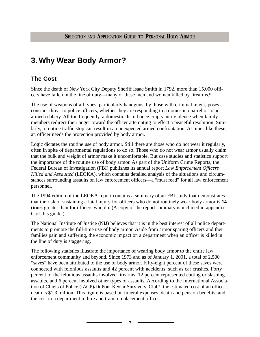# **3. Why Wear Body Armor?**

# **The Cost**

Since the death of New York City Deputy Sheriff Isaac Smith in 1792, more than 15,000 officers have fallen in the line of duty—many of these men and women killed by firearms.<sup>8</sup>

The use of weapons of all types, particularly handguns, by those with criminal intent, poses a constant threat to police officers, whether they are responding to a domestic quarrel or to an armed robbery. All too frequently, a domestic disturbance erupts into violence when family members redirect their anger toward the officer attempting to effect a peaceful resolution. Similarly, a routine traffic stop can result in an unexpected armed confrontation. At times like these, an officer needs the protection provided by body armor.

Logic dictates the routine use of body armor. Still there are those who do not wear it regularly, often in spite of departmental regulations to do so. Those who do not wear armor usually claim that the bulk and weight of armor make it uncomfortable. But case studies and statistics support the importance of the routine use of body armor. As part of the Uniform Crime Reports, the Federal Bureau of Investigation (FBI) publishes its annual report *Law Enforcement Officers Killed and Assaulted* (LEOKA), which contains detailed analysis of the situations and circumstances surrounding assaults on law enforcement officers—a "must read" for all law enforcement personnel.

The 1994 edition of the LEOKA report contains a summary of an FBI study that demonstrates that the risk of sustaining a fatal injury for officers who do not routinely wear body armor is **14 times** greater than for officers who do. (A copy of the report summary is included in appendix C of this guide.)

The National Institute of Justice (NIJ) believes that it is in the best interest of all police departments to promote the full-time use of body armor. Aside from armor sparing officers and their families pain and suffering, the economic impact on a department when an officer is killed in the line of duty is staggering.

The following statistics illustrate the importance of wearing body armor to the entire law enforcement community and beyond. Since 1973 and as of January 1, 2001, a total of 2,500 "saves" have been attributed to the use of body armor. Fifty-eight percent of these saves were connected with felonious assaults and 42 percent with accidents, such as car crashes. Forty percent of the felonious assaults involved firearms, 12 percent represented cutting or slashing assaults, and 6 percent involved other types of assaults. According to the International Association of Chiefs of Police (IACP)/DuPont Kevlar Survivors' Club®, the estimated cost of an officer's death is \$1.3 million. This figure is based on funeral expenses, death and pension benefits, and the cost to a department to hire and train a replacement officer.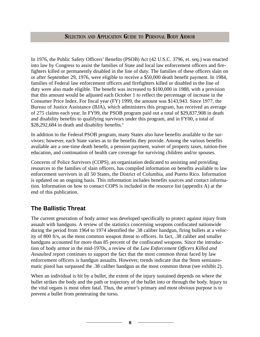In 1976, the Public Safety Officers' Benefits (PSOB) Act (42 U.S.C. 3796, et. seq.) was enacted into law by Congress to assist the families of State and local law enforcement officers and firefighters killed or permanently disabled in the line of duty. The families of these officers slain on or after September 29, 1976, were eligible to receive a \$50,000 death benefit payment. In 1984, families of Federal law enforcement officers and firefighters killed or disabled in the line of duty were also made eligible. The benefit was increased to \$100,000 in 1988, with a provision that this amount would be adjusted each October 1 to reflect the percentage of increase in the Consumer Price Index. For fiscal year (FY) 1999, the amount was \$143,943. Since 1977, the Bureau of Justice Assistance (BJA), which administers this program, has received an average of 275 claims each year. In FY99, the PSOB program paid out a total of \$29,837,908 in death and disability benefits to qualifying survivors under this program, and in FY00, a total of \$28,292,684 in death and disability benefits.<sup>9</sup>

In addition to the Federal PSOB program, many States also have benefits available to the survivors; however, each State varies as to the benefits they provide. Among the various benefits available are a one-time death benefit, a pension payment, waiver of property taxes, tuition-free education, and continuation of health care coverage for surviving children and/or spouses.

Concerns of Police Survivors (COPS), an organization dedicated to assisting and providing resources to the families of slain officers, has compiled information on benefits available to law enforcement survivors in all 50 States, the District of Columbia, and Puerto Rico. Information is updated on an ongoing basis. This information includes benefits sources and contact information. Information on how to contact COPS is included in the resource list (appendix A) at the end of this publication.

# **The Ballistic Threat**

The current generation of body armor was developed specifically to protect against injury from assault with handguns. A review of the statistics concerning weapons confiscated nationwide during the period from 1964 to 1974 identified the .38 caliber handgun, firing bullets at a velocity of 800 ft/s, as the most common weapon threat to officers. In fact, .38 caliber and smaller handguns accounted for more than 85 percent of the confiscated weapons. Since the introduction of body armor in the mid-1970s, a review of the *Law Enforcement Officers Killed and Assaulted* report continues to support the fact that the most common threat faced by law enforcement officers is handgun assaults. However, trends indicate that the 9mm semiautomatic pistol has surpassed the .38 caliber handgun as the most common threat (see exhibit 2).

When an individual is hit by a bullet, the extent of the injury sustained depends on where the bullet strikes the body and the path or trajectory of the bullet into or through the body. Injury to the vital organs is most often fatal. Thus, the armor's primary and most obvious purpose is to prevent a bullet from penetrating the torso.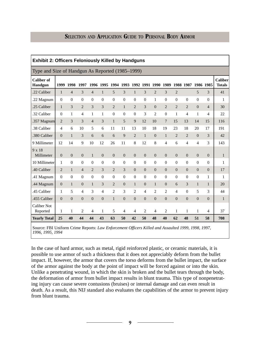| <b>Exhibit 2: Officers Feloniously Killed by Handguns</b> |                  |                |                  |                  |                  |                  |                                    |                  |                  |                  |                  |                  |                  |                  |                |                          |
|-----------------------------------------------------------|------------------|----------------|------------------|------------------|------------------|------------------|------------------------------------|------------------|------------------|------------------|------------------|------------------|------------------|------------------|----------------|--------------------------|
| Type and Size of Handgun As Reported (1985–1999)          |                  |                |                  |                  |                  |                  |                                    |                  |                  |                  |                  |                  |                  |                  |                |                          |
| <b>Caliber of</b><br><b>Handgun</b>                       | 1999             | 1998           | 1997             |                  |                  |                  | 1996 1995 1994 1993 1992 1991 1990 |                  |                  |                  | 1989             |                  | 1988 1987        | 1986 1985        |                | Caliber<br><b>Totals</b> |
| .22 Caliber                                               | $\mathbf{1}$     | $\overline{4}$ | 3                | $\overline{4}$   | 1                | 5                | 3                                  | $\mathbf{1}$     | 3                | $\overline{2}$   | 3                | $\overline{c}$   |                  | 5                | 3              | 41                       |
| .22 Magnum                                                | $\theta$         | $\mathbf{0}$   | $\overline{0}$   | $\mathbf{0}$     | $\mathbf{0}$     | $\overline{0}$   | $\mathbf{0}$                       | $\theta$         | $\theta$         | $\mathbf{1}$     | $\overline{0}$   | $\theta$         | $\overline{0}$   | $\mathbf{0}$     | $\theta$       | 1                        |
| .25 Caliber                                               | $\mathbf{1}$     | 3              | 2                | 3                | 3                | $\overline{2}$   | $\mathbf{1}$                       | $\overline{2}$   | 3                | $\theta$         | $\overline{2}$   | 2                | 2                | $\Omega$         | $\overline{4}$ | 30                       |
| .32 Caliber                                               | $\mathbf{0}$     | $\mathbf{1}$   | 4                | 1                | $\mathbf{1}$     | $\overline{0}$   | $\mathbf{0}$                       | $\overline{0}$   | 3                | $\overline{c}$   | $\boldsymbol{0}$ | 1                | $\overline{4}$   | 1                | 4              | 22                       |
| .357 Magnum                                               | $\overline{2}$   | 3              | 3                | $\overline{4}$   | 3                | $\mathbf{1}$     | 5                                  | 9                | 12               | 10               | $7\phantom{.0}$  | 15               | 13               | 14               | 15             | 116                      |
| .38 Caliber                                               | $\overline{4}$   | 6              | 10               | 5                | 6                | 11               | 11                                 | 13               | 10               | 18               | 19               | 23               | 18               | 20               | 17             | 191                      |
| .380 Caliber                                              | $\overline{0}$   | $\mathbf{1}$   | 3                | 6                | 6                | 6                | 9                                  | $\overline{2}$   | $\mathbf{1}$     | $\overline{0}$   | $\mathbf{1}$     | $\overline{2}$   | $\overline{2}$   | $\mathbf{0}$     | 3              | 42                       |
| 9 Millimeter                                              | 12               | 14             | 9                | 10               | 12               | 26               | 11                                 | 8                | 12               | 8                | 4                | 6                | $\overline{4}$   | $\overline{4}$   | 3              | 143                      |
| 9 x 18<br>Millimeter                                      | $\mathbf{0}$     | $\mathbf{0}$   | $\boldsymbol{0}$ | $\mathbf{1}$     | $\boldsymbol{0}$ | $\boldsymbol{0}$ | $\overline{0}$                     | $\boldsymbol{0}$ | $\boldsymbol{0}$ | $\overline{0}$   | $\overline{0}$   | $\theta$         | $\overline{0}$   | $\mathbf{0}$     | $\mathbf{0}$   | $\mathbf{1}$             |
| 10 Millimeter                                             | 1                | $\Omega$       | $\Omega$         | $\Omega$         | $\Omega$         | $\Omega$         | $\Omega$                           | $\Omega$         | $\Omega$         | $\Omega$         | $\Omega$         | $\theta$         | $\Omega$         | $\theta$         | $\Omega$       | 1                        |
| .40 Caliber                                               | $\overline{2}$   | $\mathbf{1}$   | $\overline{4}$   | $\overline{2}$   | 3                | $\overline{2}$   | 3                                  | $\overline{0}$   | $\overline{0}$   | $\overline{0}$   | $\overline{0}$   | $\mathbf{0}$     | $\overline{0}$   | $\Omega$         | $\Omega$       | 17                       |
| .41 Magnum                                                | $\boldsymbol{0}$ | $\Omega$       | $\overline{0}$   | $\overline{0}$   | $\mathbf{0}$     | $\overline{0}$   | $\mathbf{0}$                       | $\overline{0}$   | $\overline{0}$   | $\boldsymbol{0}$ | $\boldsymbol{0}$ | $\mathbf{0}$     | $\mathbf{0}$     | $\mathbf{0}$     | 1              | 1                        |
| .44 Magnum                                                | $\Omega$         | $\mathbf{1}$   | $\theta$         | $\mathbf{1}$     | 3                | $\overline{2}$   | $\theta$                           | $\mathbf{1}$     | $\theta$         | $\mathbf{1}$     | $\theta$         | 6                | 3                | $\mathbf{1}$     | 1              | 20                       |
| .45 Caliber                                               | 1                | 5              | 4                | 3                | 4                | $\overline{2}$   | 3                                  | $\overline{2}$   | $\overline{4}$   | $\overline{2}$   | $\overline{2}$   | $\overline{4}$   | $\boldsymbol{0}$ | 5                | 3              | 44                       |
| .455 Caliber                                              | $\Omega$         | $\overline{0}$ | $\overline{0}$   | $\boldsymbol{0}$ | $\boldsymbol{0}$ | $\mathbf{1}$     | $\overline{0}$                     | $\overline{0}$   | $\overline{0}$   | $\boldsymbol{0}$ | $\mathbf{0}$     | $\boldsymbol{0}$ | $\boldsymbol{0}$ | $\boldsymbol{0}$ | $\Omega$       | $\mathbf{1}$             |
| Caliber Not<br>Reported                                   | 1                | $\mathbf{1}$   | 2                | 4                | 1                | 5                | 4                                  | 4                | 2                | $\overline{4}$   | 2                | 1                | 1                | 1                | $\overline{4}$ | 37                       |
| <b>Yearly Total</b>                                       | 25               | 40             | 44               | 44               | 43               | 63               | 50                                 | 42               | 50               | 48               | 40               | 62               | 48               | 51               | 58             | 708                      |

Source: FBI Uniform Crime Reports: *Law Enforcement Officers Killed and Assaulted 1999, 1998, 1997, 1996, 1995, 1994*

In the case of hard armor, such as metal, rigid reinforced plastic, or ceramic materials, it is possible to use armor of such a thickness that it does not appreciably deform from the bullet impact. If, however, the armor that covers the torso deforms from the bullet impact, the surface of the armor against the body at the point of impact will be forced against or into the skin. Unlike a penetrating wound, in which the skin is broken and the bullet tears through the body, the deformation of armor from bullet impact results in blunt trauma. This type of nonpenetrating injury can cause severe contusions (bruises) or internal damage and can even result in death. As a result, this NIJ standard also evaluates the capabilities of the armor to prevent injury from blunt trauma.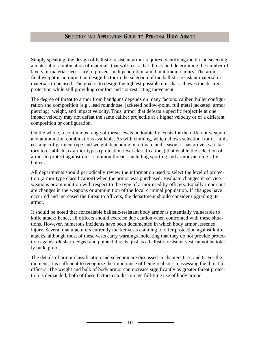Simply speaking, the design of ballistic-resistant armor requires identifying the threat, selecting a material or combination of materials that will resist that threat, and determining the number of layers of material necessary to prevent both penetration and blunt trauma injury. The armor's final weight is an important design factor in the selection of the ballistic-resistant material or materials to be used. The goal is to design the lightest possible unit that achieves the desired protection while still providing comfort and not restricting movement.

The degree of threat to armor from handguns depends on many factors: caliber, bullet configuration and composition (e.g., lead roundnose, jacketed hollow-point, full metal jacketed, armor piercing), weight, and impact velocity. Thus, armor that defeats a specific projectile at one impact velocity may not defeat the same caliber projectile at a higher velocity or of a different composition or configuration.

On the whole, a continuous range of threat levels undoubtedly exists for the different weapon and ammunition combinations available. As with clothing, which allows selection from a limited range of garment type and weight depending on climate and season, it has proven satisfactory to establish six armor types (protection level classifications) that enable the selection of armor to protect against most common threats, including sporting and armor-piercing rifle bullets.

All departments should periodically review the information used to select the level of protection (armor type classification) when the armor was purchased. Evaluate changes in service weapons or ammunition with respect to the type of armor used by officers. Equally important are changes in the weapons or ammunition of the local criminal population. If changes have occurred and increased the threat to officers, the department should consider upgrading its armor.

It should be noted that concealable ballistic-resistant body armor is potentially vulnerable to knife attack; hence, all officers should exercise due caution when confronted with these situations. However, numerous incidents have been documented in which body armor lessened injury. Several manufacturers currently market vests claiming to offer protection against knife attacks, although most of these vests carry warnings indicating that they do not provide protection against *all* sharp-edged and pointed threats, just as a ballistic-resistant vest cannot be totally bulletproof.

The details of armor classification and selection are discussed in chapters 6, 7, and 8. For the moment, it is sufficient to recognize the importance of being realistic in assessing the threat to officers. The weight and bulk of body armor can increase significantly as greater threat protection is demanded; both of these factors can discourage full-time use of body armor.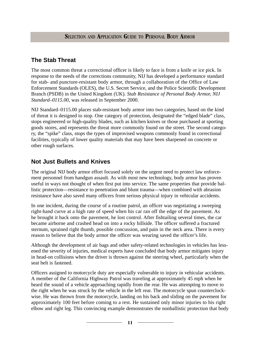# **The Stab Threat**

The most common threat a correctional officer is likely to face is from a knife or ice pick. In response to the needs of the corrections community, NIJ has developed a performance standard for stab- and puncture-resistant body armor, through a collaboration of the Office of Law Enforcement Standards (OLES), the U.S. Secret Service, and the Police Scientific Development Branch (PSDB) in the United Kingdom (UK). *Stab Resistance of Personal Body Armor, NIJ Standard–0115.00,* was released in September 2000.

NIJ Standard–0115.00 places stab-resistant body armor into two categories, based on the kind of threat it is designed to stop. One category of protection, designated the "edged blade" class, stops engineered or high-quality blades, such as kitchen knives or those purchased at sporting goods stores, and represents the threat more commonly found on the street. The second category, the "spike" class, stops the types of improvised weapons commonly found in correctional facilities, typically of lower quality materials that may have been sharpened on concrete or other rough surfaces.

# **Not Just Bullets and Knives**

The original NIJ body armor effort focused solely on the urgent need to protect law enforcement personnel from handgun assault. As with most new technology, body armor has proven useful in ways not thought of when first put into service. The same properties that provide ballistic protection—resistance to penetration and blunt trauma—when combined with abrasion resistance have also saved many officers from serious physical injury in vehicular accidents.

In one incident, during the course of a routine patrol, an officer was negotiating a sweeping right-hand curve at a high rate of speed when his car ran off the edge of the pavement. As he brought it back onto the pavement, he lost control. After fishtailing several times, the car became airborne and crashed head on into a rocky hillside. The officer suffered a fractured sternum, sprained right thumb, possible concussion, and pain in the neck area. There is every reason to believe that the body armor the officer was wearing saved the officer's life.

Although the development of air bags and other safety-related technologies in vehicles has lessened the severity of injuries, medical experts have concluded that body armor mitigates injury in head-on collisions when the driver is thrown against the steering wheel, particularly when the seat belt is fastened.

Officers assigned to motorcycle duty are especially vulnerable to injury in vehicular accidents. A member of the California Highway Patrol was traveling at approximately 45 mph when he heard the sound of a vehicle approaching rapidly from the rear. He was attempting to move to the right when he was struck by the vehicle in the left rear. The motorcycle spun counterclockwise. He was thrown from the motorcycle, landing on his back and sliding on the pavement for approximately 100 feet before coming to a rest. He sustained only minor injuries to his right elbow and right leg. This convincing example demonstrates the nonballistic protection that body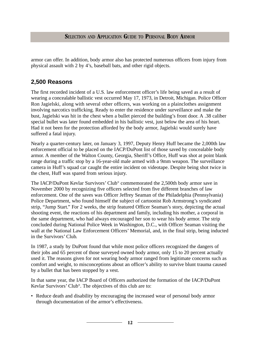armor can offer. In addition, body armor also has protected numerous officers from injury from physical assault with 2 by 4's, baseball bats, and other rigid objects.

### **2,500 Reasons**

The first recorded incident of a U.S. law enforcement officer's life being saved as a result of wearing a concealable ballistic vest occurred May 17, 1973, in Detroit, Michigan. Police Officer Ron Jagielski, along with several other officers, was working on a plainclothes assignment involving narcotics trafficking. Ready to enter the residence under surveillance and make the bust, Jagielski was hit in the chest when a bullet pierced the building's front door. A .38 caliber special bullet was later found embedded in his ballistic vest, just below the area of his heart. Had it not been for the protection afforded by the body armor, Jagielski would surely have suffered a fatal injury.

Nearly a quarter-century later, on January 3, 1997, Deputy Henry Huff became the 2,000th law enforcement official to be placed on the IACP/DuPont list of those saved by concealable body armor. A member of the Walton County, Georgia, Sheriff's Office, Huff was shot at point blank range during a traffic stop by a 16-year-old male armed with a 9mm weapon. The surveillance camera in Huff's squad car caught the entire incident on videotape. Despite being shot twice in the chest, Huff was spared from serious injury.

The IACP/DuPont Kevlar Survivors' Club® commemorated the 2,500th body armor save in November 2000 by recognizing five officers selected from five different branches of law enforcement. One of the saves was Officer Jeffrey Seaman of the Philadelphia (Pennsylvania) Police Department, who found himself the subject of cartoonist Rob Armstrong's syndicated strip, "Jump Start." For 2 weeks, the strip featured Officer Seaman's story, depicting the actual shooting event, the reactions of his department and family, including his mother, a corporal in the same department, who had always encouraged her son to wear his body armor. The strip concluded during National Police Week in Washington, D.C., with Officer Seaman visiting the wall at the National Law Enforcement Officers' Memorial, and, in the final strip, being inducted in the Survivors' Club.

In 1987, a study by DuPont found that while most police officers recognized the dangers of their jobs and 65 percent of those surveyed owned body armor, only 15 to 20 percent actually used it. The reasons given for not wearing body armor ranged from legitimate concerns such as comfort and weight, to misconceptions about an officer's ability to survive blunt trauma caused by a bullet that has been stopped by a vest.

In that same year, the IACP Board of Officers authorized the formation of the IACP/DuPont Kevlar Survivors' Club®. The objectives of this club are to:

• Reduce death and disability by encouraging the increased wear of personal body armor through documentation of the armor's effectiveness.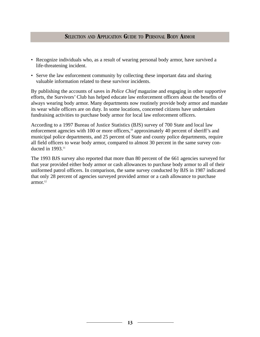- Recognize individuals who, as a result of wearing personal body armor, have survived a life-threatening incident.
- Serve the law enforcement community by collecting these important data and sharing valuable information related to these survivor incidents.

By publishing the accounts of saves in *Police Chief* magazine and engaging in other supportive efforts, the Survivors' Club has helped educate law enforcement officers about the benefits of always wearing body armor. Many departments now routinely provide body armor and mandate its wear while officers are on duty. In some locations, concerned citizens have undertaken fundraising activities to purchase body armor for local law enforcement officers.

According to a 1997 Bureau of Justice Statistics (BJS) survey of 700 State and local law enforcement agencies with 100 or more officers,<sup>10</sup> approximately 40 percent of sheriff's and municipal police departments, and 25 percent of State and county police departments, require all field officers to wear body armor, compared to almost 30 percent in the same survey conducted in 1993.<sup>11</sup>

The 1993 BJS survey also reported that more than 80 percent of the 661 agencies surveyed for that year provided either body armor or cash allowances to purchase body armor to all of their uniformed patrol officers. In comparison, the same survey conducted by BJS in 1987 indicated that only 28 percent of agencies surveyed provided armor or a cash allowance to purchase armor.12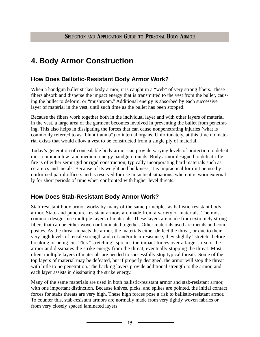# **4. Body Armor Construction**

# **How Does Ballistic-Resistant Body Armor Work?**

When a handgun bullet strikes body armor, it is caught in a "web" of very strong fibers. These fibers absorb and disperse the impact energy that is transmitted to the vest from the bullet, causing the bullet to deform, or "mushroom." Additional energy is absorbed by each successive layer of material in the vest, until such time as the bullet has been stopped.

Because the fibers work together both in the individual layer and with other layers of material in the vest, a large area of the garment becomes involved in preventing the bullet from penetrating. This also helps in dissipating the forces that can cause nonpenetrating injuries (what is commonly referred to as "blunt trauma") to internal organs. Unfortunately, at this time no material exists that would allow a vest to be constructed from a single ply of material.

Today's generation of concealable body armor can provide varying levels of protection to defeat most common low- and medium-energy handgun rounds. Body armor designed to defeat rifle fire is of either semirigid or rigid construction, typically incorporating hard materials such as ceramics and metals. Because of its weight and bulkiness, it is impractical for routine use by uniformed patrol officers and is reserved for use in tactical situations, where it is worn externally for short periods of time when confronted with higher level threats.

# **How Does Stab-Resistant Body Armor Work?**

Stab-resistant body armor works by many of the same principles as ballistic-resistant body armor. Stab- and puncture-resistant armors are made from a variety of materials. The most common designs use multiple layers of materials. These layers are made from extremely strong fibers that can be either woven or laminated together. Other materials used are metals and composites. As the threat impacts the armor, the materials either deflect the threat, or due to their very high levels of tensile strength and cut and/or tear resistance, they slightly "stretch" before breaking or being cut. This "stretching" spreads the impact forces over a larger area of the armor and dissipates the strike energy from the threat, eventually stopping the threat. Most often, multiple layers of materials are needed to successfully stop typical threats. Some of the top layers of material may be defeated, but if properly designed, the armor will stop the threat with little to no penetration. The backing layers provide additional strength to the armor, and each layer assists in dissipating the strike energy.

Many of the same materials are used in both ballistic-resistant armor and stab-resistant armor, with one important distinction. Because knives, picks, and spikes are pointed, the initial contact forces for stabs threats are very high. These high forces pose a risk to ballistic-resistant armor. To counter this, stab-resistant armors are normally made from very tightly woven fabrics or from very closely spaced laminated layers.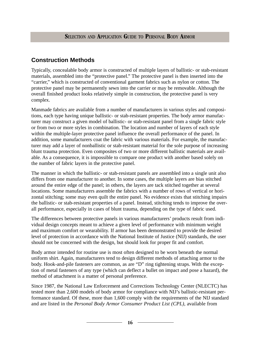# **Construction Methods**

Typically, concealable body armor is constructed of multiple layers of ballistic- or stab-resistant materials, assembled into the "protective panel." The protective panel is then inserted into the "carrier," which is constructed of conventional garment fabrics such as nylon or cotton. The protective panel may be permanently sewn into the carrier or may be removable. Although the overall finished product looks relatively simple in construction, the protective panel is very complex.

Manmade fabrics are available from a number of manufacturers in various styles and compositions, each type having unique ballistic- or stab-resistant properties. The body armor manufacturer may construct a given model of ballistic- or stab-resistant panel from a single fabric style or from two or more styles in combination. The location and number of layers of each style within the multiple-layer protective panel influence the overall performance of the panel. In addition, some manufacturers coat the fabric with various materials. For example, the manufacturer may add a layer of nonballistic or stab-resistant material for the sole purpose of increasing blunt trauma protection. Even composites of two or more different ballistic materials are available. As a consequence, it is impossible to compare one product with another based solely on the number of fabric layers in the protective panel.

The manner in which the ballistic- or stab-resistant panels are assembled into a single unit also differs from one manufacturer to another. In some cases, the multiple layers are bias stitched around the entire edge of the panel; in others, the layers are tack stitched together at several locations. Some manufacturers assemble the fabrics with a number of rows of vertical or horizontal stitching; some may even quilt the entire panel. No evidence exists that stitching impairs the ballistic- or stab-resistant properties of a panel. Instead, stitching tends to improve the overall performance, especially in cases of blunt trauma, depending on the type of fabric used.

The differences between protective panels in various manufacturers' products result from individual design concepts meant to achieve a given level of performance with minimum weight and maximum comfort or wearability. If armor has been demonstrated to provide the desired level of protection in accordance with the National Institute of Justice (NIJ) standards, the user should not be concerned with the design, but should look for proper fit and comfort.

Body armor intended for routine use is most often designed to be worn beneath the normal uniform shirt. Again, manufacturers tend to design different methods of attaching armor to the body. Hook-and-pile fasteners are common, as are "D" ring tightening straps. With the exception of metal fasteners of any type (which can deflect a bullet on impact and pose a hazard), the method of attachment is a matter of personal preference.

Since 1987, the National Law Enforcement and Corrections Technology Center (NLECTC) has tested more than 2,600 models of body armor for compliance with NIJ's ballistic-resistant performance standard. Of these, more than 1,600 comply with the requirements of the NIJ standard and are listed in the *Personal Body Armor Consumer Product List (CPL),* available from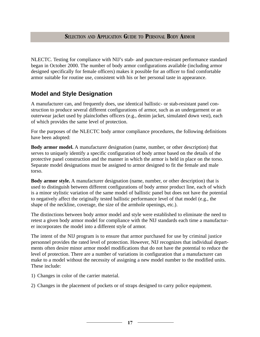NLECTC. Testing for compliance with NIJ's stab- and puncture-resistant performance standard began in October 2000. The number of body armor configurations available (including armor designed specifically for female officers) makes it possible for an officer to find comfortable armor suitable for routine use, consistent with his or her personal taste in appearance.

# **Model and Style Designation**

A manufacturer can, and frequently does, use identical ballistic- or stab-resistant panel construction to produce several different configurations of armor, such as an undergarment or an outerwear jacket used by plainclothes officers (e.g., denim jacket, simulated down vest), each of which provides the same level of protection.

For the purposes of the NLECTC body armor compliance procedures, the following definitions have been adopted:

**Body armor model.** A manufacturer designation (name, number, or other description) that serves to uniquely identify a specific configuration of body armor based on the details of the protective panel construction and the manner in which the armor is held in place on the torso. Separate model designations must be assigned to armor designed to fit the female and male torso.

**Body armor style.** A manufacturer designation (name, number, or other description) that is used to distinguish between different configurations of body armor product line, each of which is a minor stylistic variation of the same model of ballistic panel but does not have the potential to negatively affect the originally tested ballistic performance level of that model (e.g., the shape of the neckline, coverage, the size of the armhole openings, etc.).

The distinctions between body armor model and style were established to eliminate the need to retest a given body armor model for compliance with the NIJ standards each time a manufacturer incorporates the model into a different style of armor.

The intent of the NIJ program is to ensure that armor purchased for use by criminal justice personnel provides the rated level of protection. However, NIJ recognizes that individual departments often desire minor armor model modifications that do not have the potential to reduce the level of protection. There are a number of variations in configuration that a manufacturer can make to a model without the necessity of assigning a new model number to the modified units. These include:

- 1) Changes in color of the carrier material.
- 2) Changes in the placement of pockets or of straps designed to carry police equipment.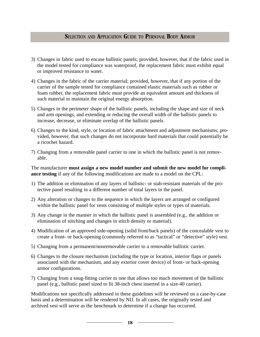- 3) Changes in fabric used to encase ballistic panels; provided, however, that if the fabric used in the model tested for compliance was waterproof, the replacement fabric must exhibit equal or improved resistance to water.
- 4) Changes in the fabric of the carrier material; provided, however, that if any portion of the carrier of the sample tested for compliance contained elastic materials such as rubber or foam rubber, the replacement fabric must provide an equivalent amount and thickness of such material to maintain the original energy absorption.
- 5) Changes in the perimeter shape of the ballistic panels, including the shape and size of neck and arm openings, and extending or reducing the overall width of the ballistic panels to increase, decrease, or eliminate overlap of the ballistic panels.
- 6) Changes to the kind, style, or location of fabric attachment and adjustment mechanisms; provided, however, that such changes do not incorporate hard materials that could potentially be a ricochet hazard.
- 7) Changing from a removable panel carrier to one in which the ballistic panel is not removable.

The manufacturer **must assign a new model number and submit the new model for compliance testing** if any of the following modifications are made to a model on the CPL:

- 1) The addition or elimination of any layers of ballistic- or stab-resistant materials of the protective panel resulting in a different number of total layers in the panel.
- 2) Any alteration or changes to the sequence in which the layers are arranged or configured within the ballistic panel for vests consisting of multiple styles or types of materials.
- 3) Any change in the manner in which the ballistic panel is assembled (e.g., the addition or elimination of stitching and changes in stitch density or material).
- 4) Modification of an approved side-opening (solid front/back panels) of the concealable vest to create a front- or back-opening (commonly referred to as "tactical" or "detective" style) vest.
- 5) Changing from a permanent/nonremovable carrier to a removable ballistic carrier.
- 6) Changes to the closure mechanism (including the type or location, interior flaps or panels associated with the mechanism, and any exterior cover device) of front- or back-opening armor configurations.
- 7) Changing from a snug-fitting carrier to one that allows too much movement of the ballistic panel (e.g., ballistic panel sized to fit 38-inch chest inserted in a size-40 carrier).

Modifications not specifically addressed in these guidelines will be reviewed on a case-by-case basis and a determination will be rendered by NIJ. In all cases, the originally tested and archived vest will serve as the benchmark to determine if a change has occurred.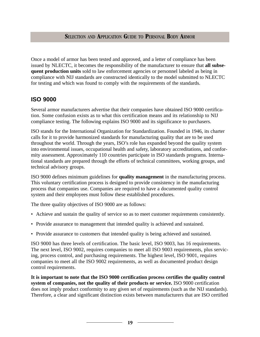Once a model of armor has been tested and approved, and a letter of compliance has been issued by NLECTC, it becomes the responsibility of the manufacturer to ensure that **all subsequent production units** sold to law enforcement agencies or personnel labeled as being in compliance with NIJ standards are constructed identically to the model submitted to NLECTC for testing and which was found to comply with the requirements of the standards.

### **ISO 9000**

Several armor manufacturers advertise that their companies have obtained ISO 9000 certification. Some confusion exists as to what this certification means and its relationship to NIJ compliance testing. The following explains ISO 9000 and its significance to purchasers.

ISO stands for the International Organization for Standardization. Founded in 1946, its charter calls for it to provide harmonized standards for manufacturing quality that are to be used throughout the world. Through the years, ISO's role has expanded beyond the quality system into environmental issues, occupational health and safety, laboratory accreditations, and conformity assessment. Approximately 110 countries participate in ISO standards programs. International standards are prepared through the efforts of technical committees, working groups, and technical advisory groups.

ISO 9000 defines minimum guidelines for **quality management** in the manufacturing process. This voluntary certification process is designed to provide consistency in the manufacturing process that companies use. Companies are required to have a documented quality control system and their employees must follow these established procedures.

The three quality objectives of ISO 9000 are as follows:

- Achieve and sustain the quality of service so as to meet customer requirements consistently.
- Provide assurance to management that intended quality is achieved and sustained.
- Provide assurance to customers that intended quality is being achieved and sustained.

ISO 9000 has three levels of certification. The basic level, ISO 9003, has 16 requirements. The next level, ISO 9002, requires companies to meet all ISO 9003 requirements, plus servicing, process control, and purchasing requirements. The highest level, ISO 9001, requires companies to meet all the ISO 9002 requirements, as well as documented product design control requirements.

**It is important to note that the ISO 9000 certification process certifies the quality control system of companies, not the quality of their products or service.** ISO 9000 certification does not imply product conformity to any given set of requirements (such as the NIJ standards). Therefore, a clear and significant distinction exists between manufacturers that are ISO certified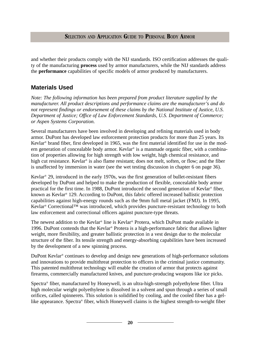and whether their products comply with the NIJ standards. ISO certification addresses the quality of the manufacturing **process** used by armor manufacturers, while the NIJ standards address the **performance** capabilities of specific models of armor produced by manufacturers.

# **Materials Used**

*Note: The following information has been prepared from product literature supplied by the manufacturer. All product descriptions and performance claims are the manufacturer's and do not represent findings or endorsement of these claims by the National Institute of Justice, U.S. Department of Justice; Office of Law Enforcement Standards, U.S. Department of Commerce; or Aspen Systems Corporation.*

Several manufacturers have been involved in developing and refining materials used in body armor. DuPont has developed law enforcement protection products for more than 25 years. Its Kevlar® brand fiber, first developed in 1965, was the first material identified for use in the modern generation of concealable body armor. Kevlar<sup>®</sup> is a manmade organic fiber, with a combination of properties allowing for high strength with low weight, high chemical resistance, and high cut resistance. Kevlar<sup>®</sup> is also flame resistant; does not melt, soften, or flow; and the fiber is unaffected by immersion in water (see the wet testing discussion in chapter 6 on page 36).

Kevlar® 29, introduced in the early 1970s, was the first generation of bullet-resistant fibers developed by DuPont and helped to make the production of flexible, concealable body armor practical for the first time. In 1988, DuPont introduced the second generation of Kevlar® fiber, known as Kevlar® 129. According to DuPont, this fabric offered increased ballistic protection capabilities against high-energy rounds such as the 9mm full metal jacket (FMJ). In 1995, Kevlar® Correctional™ was introduced, which provides puncture-resistant technology to both law enforcement and correctional officers against puncture-type threats.

The newest addition to the Kevlar® line is Kevlar® Protera, which DuPont made available in 1996. DuPont contends that the Kevlar® Protera is a high-performance fabric that allows lighter weight, more flexibility, and greater ballistic protection in a vest design due to the molecular structure of the fiber. Its tensile strength and energy-absorbing capabilities have been increased by the development of a new spinning process.

DuPont Kevlar® continues to develop and design new generations of high-performance solutions and innovations to provide multithreat protection to officers in the criminal justice community. This patented multithreat technology will enable the creation of armor that protects against firearms, commercially manufactured knives, and puncture-producing weapons like ice picks.

Spectra® fiber, manufactured by Honeywell, is an ultra-high-strength polyethylene fiber. Ultra high molecular weight polyethylene is dissolved in a solvent and spun through a series of small orifices, called spinnerets. This solution is solidified by cooling, and the cooled fiber has a gellike appearance. Spectra® fiber, which Honeywell claims is the highest strength-to-weight fiber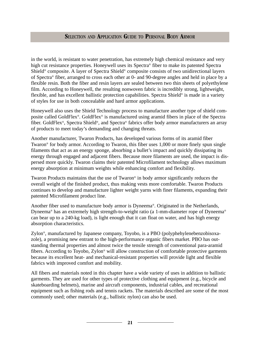in the world, is resistant to water penetration, has extremely high chemical resistance and very high cut resistance properties. Honeywell uses its Spectra® fiber to make its patented Spectra Shield® composite. A layer of Spectra Shield® composite consists of two unidirectional layers of Spectra® fiber, arranged to cross each other at 0- and 90-degree angles and held in place by a flexible resin. Both the fiber and resin layers are sealed between two thin sheets of polyethylene film. According to Honeywell, the resulting nonwoven fabric is incredibly strong, lightweight, flexible, and has excellent ballistic protection capabilities. Spectra Shield® is made in a variety of styles for use in both concealable and hard armor applications.

Honeywell also uses the Shield Technology process to manufacture another type of shield composite called GoldFlex®. GoldFlex® is manufactured using aramid fibers in place of the Spectra fiber. GoldFlex®, Spectra Shield®, and Spectra® fabrics offer body armor manufacturers an array of products to meet today's demanding and changing threats.

Another manufacturer, Twaron Products, has developed various forms of its aramid fiber Twaron® for body armor. According to Twaron, this fiber uses 1,000 or more finely spun single filaments that act as an energy sponge, absorbing a bullet's impact and quickly dissipating its energy through engaged and adjacent fibers. Because more filaments are used, the impact is dispersed more quickly. Twaron claims their patented Microfilament technology allows maximum energy absorption at minimum weights while enhancing comfort and flexibility.

Twaron Products maintains that the use of Twaron® in body armor significantly reduces the overall weight of the finished product, thus making vests more comfortable. Twaron Products continues to develop and manufacture lighter weight yarns with finer filaments, expanding their patented Microfilament product line.

Another fiber used to manufacture body armor is Dyneema®. Originated in the Netherlands, Dyneema® has an extremely high strength-to-weight ratio (a 1-mm-diameter rope of Dyneema® can bear up to a 240-kg load), is light enough that it can float on water, and has high energy absorption characteristics.

Zylon®, manufactured by Japanese company, Toyobo, is a PBO (polyphehylenebenzobisoxazole), a promising new entrant to the high-performance organic fibers market. PBO has outstanding thermal properties and almost twice the tensile strength of conventional para-aramid fibers. According to Toyobo, Zylon® will allow construction of comfortable protective garments because its excellent heat- and mechanical-resistant properties will provide light and flexible fabrics with improved comfort and mobility.

All fibers and materials noted in this chapter have a wide variety of uses in addition to ballistic garments. They are used for other types of protective clothing and equipment (e.g., bicycle and skateboarding helmets), marine and aircraft components, industrial cables, and recreational equipment such as fishing rods and tennis rackets. The materials described are some of the most commonly used; other materials (e.g., ballistic nylon) can also be used.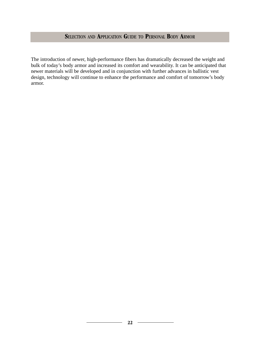The introduction of newer, high-performance fibers has dramatically decreased the weight and bulk of today's body armor and increased its comfort and wearability. It can be anticipated that newer materials will be developed and in conjunction with further advances in ballistic vest design, technology will continue to enhance the performance and comfort of tomorrow's body armor.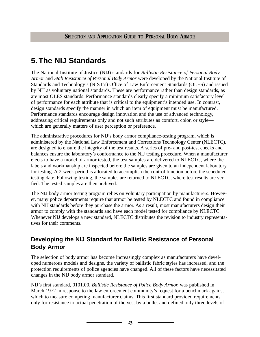# **5. The NIJ Standards**

The National Institute of Justice (NIJ) standards for *Ballistic Resistance of Personal Body Armor* and *Stab Resistance of Personal Body Armor* were developed by the National Institute of Standards and Technology's (NIST's) Office of Law Enforcement Standards (OLES) and issued by NIJ as voluntary national standards. These are performance rather than design standards, as are most OLES standards. Performance standards clearly specify a minimum satisfactory level of performance for each attribute that is critical to the equipment's intended use. In contrast, design standards specify the manner in which an item of equipment must be manufactured. Performance standards encourage design innovation and the use of advanced technology, addressing critical requirements only and not such attributes as comfort, color, or style which are generally matters of user perception or preference.

The administrative procedures for NIJ's body armor compliance-testing program, which is administered by the National Law Enforcement and Corrections Technology Center (NLECTC), are designed to ensure the integrity of the test results. A series of pre- and post-test checks and balances ensure the laboratory's conformance to the NIJ testing procedure. When a manufacturer elects to have a model of armor tested, the test samples are delivered to NLECTC, where the labels and workmanship are inspected before the samples are given to an independent laboratory for testing. A 2-week period is allocated to accomplish the control function before the scheduled testing date. Following testing, the samples are returned to NLECTC, where test results are verified. The tested samples are then archived.

The NIJ body armor testing program relies on voluntary participation by manufacturers. However, many police departments require that armor be tested by NLECTC and found in compliance with NIJ standards before they purchase the armor. As a result, most manufacturers design their armor to comply with the standards and have each model tested for compliance by NLECTC. Whenever NIJ develops a new standard, NLECTC distributes the revision to industry representatives for their comments.

# **Developing the NIJ Standard for Ballistic Resistance of Personal Body Armor**

The selection of body armor has become increasingly complex as manufacturers have developed numerous models and designs, the variety of ballistic fabric styles has increased, and the protection requirements of police agencies have changed. All of these factors have necessitated changes in the NIJ body armor standard.

NIJ's first standard, 0101.00, *Ballistic Resistance of Police Body Armor,* was published in March 1972 in response to the law enforcement community's request for a benchmark against which to measure competing manufacturer claims. This first standard provided requirements only for resistance to actual penetration of the vest by a bullet and defined only three levels of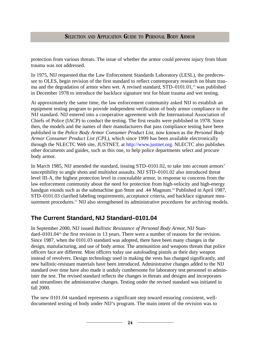protection from various threats. The issue of whether the armor could prevent injury from blunt trauma was not addressed.

In 1975, NIJ requested that the Law Enforcement Standards Laboratory (LESL), the predecessor to OLES, begin revision of the first standard to reflect contemporary research on blunt trauma and the degradation of armor when wet. A revised standard, STD–0101.01,<sup>13</sup> was published in December 1978 to introduce the backface signature test for blunt trauma and wet testing.

At approximately the same time, the law enforcement community asked NIJ to establish an equipment testing program to provide independent verification of body armor compliance to the NIJ standard. NIJ entered into a cooperative agreement with the International Association of Chiefs of Police (IACP) to conduct the testing. The first results were published in 1978. Since then, the models and the names of their manufacturers that pass compliance testing have been published in the *Police Body Armor Consumer Product List,* now known as the *Personal Body Armor Consumer Product List (CPL)*, which since 1999 has been available electronically through the NLECTC Web site, JUSTNET, at [http://www.justnet.org.](http://www.justnet.org) NLECTC also publishes other documents and guides, such as this one, to help police departments select and procure body armor.

In March 1985, NIJ amended the standard, issuing STD–0101.02, to take into account armors' susceptibility to angle shots and multishot assaults. NIJ STD–0101.02 also introduced threat level III-A, the highest protection level in concealable armor, in response to concerns from the law enforcement community about the need for protection from high-velocity and high-energy handgun rounds such as the submachine gun 9mm and .44 Magnum.<sup>14</sup> Published in April 1987, STD–0101.03 clarified labeling requirements, acceptance criteria, and backface signature measurement procedures.<sup>15</sup> NIJ also strengthened its administrative procedures for archiving models.

# **The Current Standard, NIJ Standard–0101.04**

In September 2000, NIJ issued *Ballistic Resistance of Personal Body Armor,* NIJ Standard–0101.04<sup>16</sup> the first revision in 13 years. There were a number of reasons for the revision. Since 1987, when the 0101.03 standard was adopted, there have been many changes in the design, manufacturing, and use of body armor. The ammunition and weapons threats that police officers face are different. Most officers today use autoloading pistols as their duty weapon instead of revolvers. Design technology used in making the vests has changed significantly, and new ballistic-resistant materials have been introduced. Administrative changes added to the NIJ standard over time have also made it unduly cumbersome for laboratory test personnel to administer the test. The revised standard reflects the changes in threats and designs and incorporates and streamlines the administrative changes. Testing under the revised standard was initiated in fall 2000.

The new 0101.04 standard represents a significant step toward ensuring consistent, welldocumented testing of body under NIJ's program. The main intent of the revision was to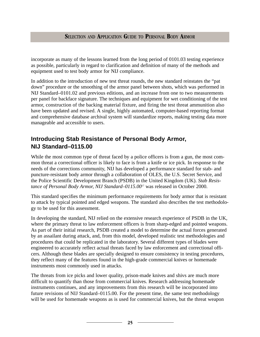incorporate as many of the lessons learned from the long period of 0101.03 testing experience as possible, particularly in regard to clarification and definition of many of the methods and equipment used to test body armor for NIJ compliance.

In addition to the introduction of new test threat rounds, the new standard reinstates the "pat down" procedure or the smoothing of the armor panel between shots, which was performed in NIJ Standard–0101.02 and previous editions, and an increase from one to two measurements per panel for backface signature. The techniques and equipment for wet conditioning of the test armor, construction of the backing material fixture, and firing the test threat ammunition also have been updated and revised. A single, highly automated, computer-based reporting format and comprehensive database archival system will standardize reports, making testing data more manageable and accessible to users.

# **Introducing Stab Resistance of Personal Body Armor, NIJ Standard–0115.00**

While the most common type of threat faced by a police officers is from a gun, the most common threat a correctional officer is likely to face is from a knife or ice pick. In response to the needs of the corrections community, NIJ has developed a performance standard for stab- and puncture-resistant body armor through a collaboration of OLES, the U.S. Secret Service, and the Police Scientific Development Branch (PSDB) in the United Kingdom (UK). *Stab Resistance of Personal Body Armor, NIJ Standard–0115.00*<sup>17</sup> was released in October 2000.

This standard specifies the minimum performance requirements for body armor that is resistant to attack by typical pointed and edged weapons. The standard also describes the test methodology to be used for this assessment.

In developing the standard, NIJ relied on the extensive research experience of PSDB in the UK, where the primary threat to law enforcement officers is from sharp-edged and pointed weapons. As part of their initial research, PSDB created a model to determine the actual forces generated by an assailant during attack, and, from this model, developed realistic test methodologies and procedures that could be replicated in the laboratory. Several different types of blades were engineered to accurately reflect actual threats faced by law enforcement and correctional officers. Although these blades are specially designed to ensure consistency in testing procedures, they reflect many of the features found in the high-grade commercial knives or homemade instruments most commonly used in attacks.

The threats from ice picks and lower quality, prison-made knives and shivs are much more difficult to quantify than those from commercial knives. Research addressing homemade instruments continues, and any improvements from this research will be incorporated into future revisions of NIJ Standard–0115.00. For the present time, the same test methodology will be used for homemade weapons as is used for commercial knives, but the threat weapon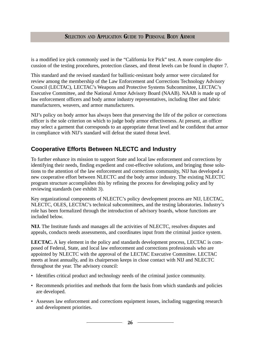is a modified ice pick commonly used in the "California Ice Pick" test. A more complete discussion of the testing procedures, protection classes, and threat levels can be found in chapter 7.

This standard and the revised standard for ballistic-resistant body armor were circulated for review among the membership of the Law Enforcement and Corrections Technology Advisory Council (LECTAC), LECTAC's Weapons and Protective Systems Subcommittee, LECTAC's Executive Committee, and the National Armor Advisory Board (NAAB). NAAB is made up of law enforcement officers and body armor industry representatives, including fiber and fabric manufacturers, weavers, and armor manufacturers.

NIJ's policy on body armor has always been that preserving the life of the police or corrections officer is the sole criterion on which to judge body armor effectiveness. At present, an officer may select a garment that corresponds to an appropriate threat level and be confident that armor in compliance with NIJ's standard will defeat the stated threat level.

# **Cooperative Efforts Between NLECTC and Industry**

To further enhance its mission to support State and local law enforcement and corrections by identifying their needs, finding expedient and cost-effective solutions, and bringing those solutions to the attention of the law enforcement and corrections community, NIJ has developed a new cooperative effort between NLECTC and the body armor industry. The existing NLECTC program structure accomplishes this by refining the process for developing policy and by reviewing standards (see exhibit 3).

Key organizational components of NLECTC's policy development process are NIJ, LECTAC, NLECTC, OLES, LECTAC's technical subcommittees, and the testing laboratories. Industry's role has been formalized through the introduction of advisory boards, whose functions are included below.

**NIJ.** The Institute funds and manages all the activities of NLECTC, resolves disputes and appeals, conducts needs assessments, and coordinates input from the criminal justice system.

**LECTAC.** A key element in the policy and standards development process, LECTAC is composed of Federal, State, and local law enforcement and corrections professionals who are appointed by NLECTC with the approval of the LECTAC Executive Committee. LECTAC meets at least annually, and its chairperson keeps in close contact with NIJ and NLECTC throughout the year. The advisory council:

- Identifies critical product and technology needs of the criminal justice community.
- Recommends priorities and methods that form the basis from which standards and policies are developed.
- Assesses law enforcement and corrections equipment issues, including suggesting research and development priorities.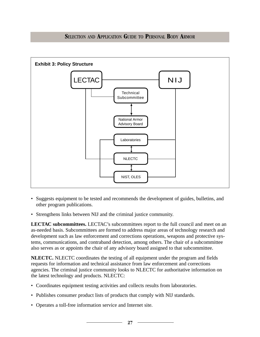

- Suggests equipment to be tested and recommends the development of guides, bulletins, and other program publications.
- Strengthens links between NIJ and the criminal justice community.

**LECTAC subcommittees.** LECTAC's subcommittees report to the full council and meet on an as-needed basis. Subcommittees are formed to address major areas of technology research and development such as law enforcement and corrections operations, weapons and protective systems, communications, and contraband detection, among others. The chair of a subcommittee also serves as or appoints the chair of any advisory board assigned to that subcommittee.

**NLECTC.** NLECTC coordinates the testing of all equipment under the program and fields requests for information and technical assistance from law enforcement and corrections agencies. The criminal justice community looks to NLECTC for authoritative information on the latest technology and products. NLECTC:

- Coordinates equipment testing activities and collects results from laboratories.
- Publishes consumer product lists of products that comply with NIJ standards.
- Operates a toll-free information service and Internet site.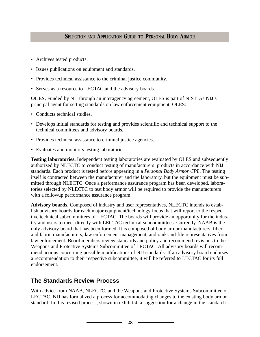- Archives tested products.
- Issues publications on equipment and standards.
- Provides technical assistance to the criminal justice community.
- Serves as a resource to LECTAC and the advisory boards.

**OLES.** Funded by NIJ through an interagency agreement, OLES is part of NIST. As NIJ's principal agent for setting standards on law enforcement equipment, OLES:

- Conducts technical studies.
- Develops initial standards for testing and provides scientific and technical support to the technical committees and advisory boards.
- Provides technical assistance to criminal justice agencies.
- Evaluates and monitors testing laboratories.

**Testing laboratories.** Independent testing laboratories are evaluated by OLES and subsequently authorized by NLECTC to conduct testing of manufacturers' products in accordance with NIJ standards. Each product is tested before appearing in a *Personal Body Armor CPL*. The testing itself is contracted between the manufacturer and the laboratory, but the equipment must be submitted through NLECTC. Once a performance assurance program has been developed, laboratories selected by NLECTC to test body armor will be required to provide the manufacturers with a followup performance assurance program.

**Advisory boards.** Composed of industry and user representatives, NLECTC intends to establish advisory boards for each major equipment/technology focus that will report to the respective technical subcommittees of LECTAC. The boards will provide an opportunity for the industry and users to meet directly with LECTAC technical subcommittees. Currently, NAAB is the only advisory board that has been formed. It is composed of body armor manufacturers, fiber and fabric manufacturers, law enforcement management, and rank-and-file representatives from law enforcement. Board members review standards and policy and recommend revisions to the Weapons and Protective Systems Subcommittee of LECTAC. All advisory boards will recommend actions concerning possible modifications of NIJ standards. If an advisory board endorses a recommendation to their respective subcommittee, it will be referred to LECTAC for its full endorsement.

# **The Standards Review Process**

With advice from NAAB, NLECTC, and the Weapons and Protective Systems Subcommittee of LECTAC, NIJ has formalized a process for accommodating changes to the existing body armor standard. In this revised process, shown in exhibit 4, a suggestion for a change in the standard is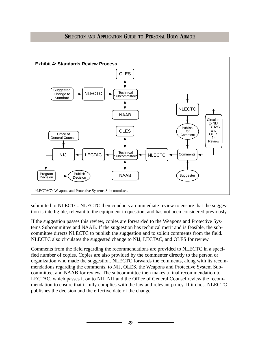



submitted to NLECTC. NLECTC then conducts an immediate review to ensure that the suggestion is intelligible, relevant to the equipment in question, and has not been considered previously.

If the suggestion passes this review, copies are forwarded to the Weapons and Protective Systems Subcommittee and NAAB. If the suggestion has technical merit and is feasible, the subcommittee directs NLECTC to publish the suggestion and to solicit comments from the field. NLECTC also circulates the suggested change to NIJ, LECTAC, and OLES for review.

Comments from the field regarding the recommendations are provided to NLECTC in a specified number of copies. Copies are also provided by the commenter directly to the person or organization who made the suggestion. NLECTC forwards the comments, along with its recommendations regarding the comments, to NIJ, OLES, the Weapons and Protective System Subcommittee, and NAAB for review. The subcommittee then makes a final recommendation to LECTAC, which passes it on to NIJ. NIJ and the Office of General Counsel review the recommendation to ensure that it fully complies with the law and relevant policy. If it does, NLECTC publishes the decision and the effective date of the change.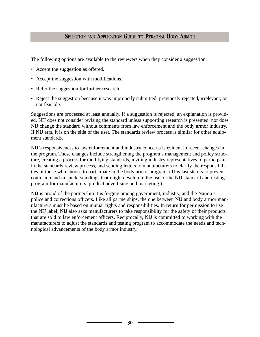The following options are available to the reviewers when they consider a suggestion:

- Accept the suggestion as offered.
- Accept the suggestion with modifications.
- Refer the suggestion for further research.
- Reject the suggestion because it was improperly submitted, previously rejected, irrelevant, or not feasible.

Suggestions are processed at least annually. If a suggestion is rejected, an explanation is provided. NIJ does not consider revising the standard unless supporting research is presented, nor does NIJ change the standard without comments from law enforcement and the body armor industry. If NIJ errs, it is on the side of the user. The standards review process is similar for other equipment standards.

NIJ's responsiveness to law enforcement and industry concerns is evident in recent changes in the program. These changes include strengthening the program's management and policy structure, creating a process for modifying standards, inviting industry representatives to participate in the standards review process, and sending letters to manufacturers to clarify the responsibilities of those who choose to participate in the body armor program. (This last step is to prevent confusion and misunderstandings that might develop in the use of the NIJ standard and testing program for manufacturers' product advertising and marketing.)

NIJ is proud of the partnership it is forging among government, industry, and the Nation's police and corrections officers. Like all partnerships, the one between NIJ and body armor manufacturers must be based on mutual rights and responsibilities. In return for permission to use the NIJ label, NIJ also asks manufacturers to take responsibility for the safety of their products that are sold to law enforcement officers. Reciprocally, NIJ is committed to working with the manufacturers to adjust the standards and testing program to accommodate the needs and technological advancements of the body armor industry.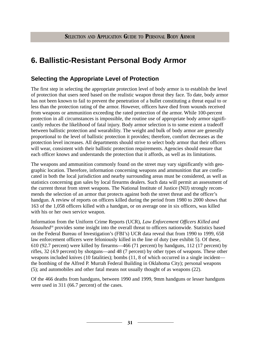# **6. Ballistic-Resistant Personal Body Armor**

## **Selecting the Appropriate Level of Protection**

The first step in selecting the appropriate protection level of body armor is to establish the level of protection that users need based on the realistic weapon threat they face. To date, body armor has not been known to fail to prevent the penetration of a bullet constituting a threat equal to or less than the protection rating of the armor. However, officers have died from wounds received from weapons or ammunition exceeding the rated protection of the armor. While 100-percent protection in all circumstances is impossible, the routine use of appropriate body armor significantly reduces the likelihood of fatal injury. Body armor selection is to some extent a tradeoff between ballistic protection and wearability. The weight and bulk of body armor are generally proportional to the level of ballistic protection it provides; therefore, comfort decreases as the protection level increases. All departments should strive to select body armor that their officers will wear, consistent with their ballistic protection requirements. Agencies should ensure that each officer knows and understands the protection that it affords, as well as its limitations.

The weapons and ammunition commonly found on the street may vary significantly with geographic location. Therefore, information concerning weapons and ammunition that are confiscated in both the local jurisdiction and nearby surrounding areas must be considered, as well as statistics concerning gun sales by local firearms dealers. Such data will permit an assessment of the current threat from street weapons. The National Institute of Justice (NIJ) strongly recommends the selection of an armor that protects against both the street threat and the officer's handgun. A review of reports on officers killed during the period from 1980 to 2000 shows that 163 of the 1,058 officers killed with a handgun, or on average one in six officers, was killed with his or her own service weapon.

Information from the Uniform Crime Reports (UCR), *Law Enforcement Officers Killed and Assaulted*<sup>18</sup> provides some insight into the overall threat to officers nationwide. Statistics based on the Federal Bureau of Investigation's (FBI's) UCR data reveal that from 1990 to 1999, 658 law enforcement officers were feloniously killed in the line of duty (see exhibit 5). Of these, 610 (92.7 percent) were killed by firearms—466 (71 percent) by handguns, 112 (17 percent) by rifles, 32 (4.9 percent) by shotguns—and 48 (7 percent) by other types of weapons. These other weapons included knives (10 fatalities); bombs (11, 8 of which occurred in a single incident the bombing of the Alfred P. Murrah Federal Building in Oklahoma City); personal weapons (5); and automobiles and other fatal means not usually thought of as weapons (22).

Of the 466 deaths from handguns, between 1990 and 1999, 9mm handguns or lesser handguns were used in 311 (66.7 percent) of the cases.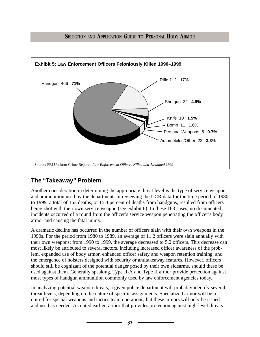

# **The "Takeaway" Problem**

Another consideration in determining the appropriate threat level is the type of service weapon and ammunition used by the department. In reviewing the UCR data for the time period of 1980 to 1999, a total of 163 deaths, or 15.4 percent of deaths from handguns, resulted from officers being shot with their own service weapon (see exhibit 6). In these 163 cases, no documented incidents occurred of a round from the officer's service weapon penetrating the officer's body armor and causing the fatal injury.

A dramatic decline has occurred in the number of officers slain with their own weapons in the 1990s. For the period from 1980 to 1989, an average of 11.2 officers were slain annually with their own weapons; from 1990 to 1999, the average decreased to 5.2 officers. This decrease can most likely be attributed to several factors, including increased officer awareness of the problem, expanded use of body armor, enhanced officer safety and weapon retention training, and the emergence of holsters designed with security or antitakeaway features. However, officers should still be cognizant of the potential danger posed by their own sidearms, should these be used against them. Generally speaking, Type II-A and Type II armor provide protection against most types of handgun ammunition commonly used by law enforcement agencies today.

In analyzing potential weapon threats, a given police department will probably identify several threat levels, depending on the nature of specific assignments. Specialized armor will be required for special weapons and tactics team operations, but these armors will only be issued and used as needed. As noted earlier, armor that provides protection against high-level threats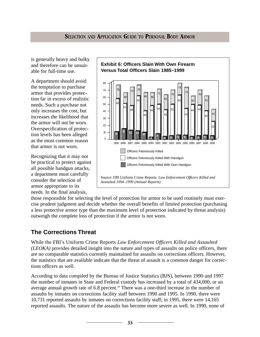is generally heavy and bulky and therefore can be unsuitable for full-time use.

A department should avoid the temptation to purchase armor that provides protection far in excess of realistic needs. Such a purchase not only increases the cost, but increases the likelihood that the armor will not be worn. Overspecification of protection levels has been alleged as the most common reason that armor is not worn.

Recognizing that it may not be practical to protect against all possible handgun attacks, a department must carefully consider the selection of armor appropriate to its needs. In the final analysis,



those responsible for selecting the level of protection for armor to be used routinely must exercise prudent judgment and decide whether the overall benefits of limited protection (purchasing a less protective armor type than the maximum level of protection indicated by threat analysis) outweigh the complete loss of protection if the armor is not worn.

## **The Corrections Threat**

While the FBI's Uniform Crime Reports *Law Enforcement Officers Killed and Assaulted (LEOKA)* provides detailed insight into the nature and types of assaults on police officers, there are no comparable statistics currently maintained for assaults on corrections officers. However, the statistics that are available indicate that the threat of assault is a common danger for corrections officers as well.

According to data compiled by the Bureau of Justice Statistics (BJS), between 1990 and 1997 the number of inmates in State and Federal custody has increased by a total of 434,000, or an average annual growth rate of  $6.8$  percent.<sup>19</sup> There was a one-third increase in the number of assaults by inmates on corrections facility staff between 1990 and 1995. In 1990, there were 10,731 reported assaults by inmates on corrections facility staff; in 1995, there were 14,165 reported assaults. The nature of the assaults has become more severe as well. In 1990, none of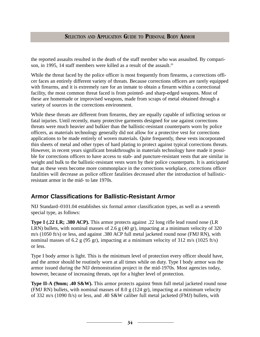the reported assaults resulted in the death of the staff member who was assaulted. By comparison, in 1995, 14 staff members were killed as a result of the assault.<sup>20</sup>

While the threat faced by the police officer is most frequently from firearms, a corrections officer faces an entirely different variety of threats. Because corrections officers are rarely equipped with firearms, and it is extremely rare for an inmate to obtain a firearm within a correctional facility, the most common threat faced is from pointed- and sharp-edged weapons. Most of these are homemade or improvised weapons, made from scraps of metal obtained through a variety of sources in the corrections environment.

While these threats are different from firearms, they are equally capable of inflicting serious or fatal injuries. Until recently, many protective garments designed for use against corrections threats were much heavier and bulkier than the ballistic-resistant counterparts worn by police officers, as materials technology generally did not allow for a protective vest for corrections applications to be made entirely of woven materials. Quite frequently, these vests incorporated thin sheets of metal and other types of hard plating to protect against typical corrections threats. However, in recent years significant breakthroughs in materials technology have made it possible for corrections officers to have access to stab- and puncture-resistant vests that are similar in weight and bulk to the ballistic-resistant vests worn by their police counterparts. It is anticipated that as these vests become more commonplace in the corrections workplace, corrections officer fatalities will decrease as police officer fatalities decreased after the introduction of ballisticresistant armor in the mid- to late 1970s.

## **Armor Classifications for Ballistic-Resistant Armor**

NIJ Standard–0101.04 establishes six formal armor classification types, as well as a seventh special type, as follows:

**Type I (.22 LR; .380 ACP).** This armor protects against .22 long rifle lead round nose (LR LRN) bullets, with nominal masses of 2.6 g (40 gr), impacting at a minimum velocity of 320 m/s (1050 ft/s) or less, and against .380 ACP full metal jacketed round nose (FMJ RN), with nominal masses of 6.2 g (95 gr), impacting at a minimum velocity of 312 m/s (1025 ft/s) or less.

Type I body armor is light. This is the minimum level of protection every officer should have, and the armor should be routinely worn at all times while on duty. Type I body armor was the armor issued during the NIJ demonstration project in the mid-1970s. Most agencies today, however, because of increasing threats, opt for a higher level of protection.

**Type II-A (9mm; .40 S&W).** This armor protects against 9mm full metal jacketed round nose (FMJ RN) bullets, with nominal masses of 8.0 g (124 gr), impacting at a minimum velocity of 332 m/s (1090 ft/s) or less, and .40 S&W caliber full metal jacketed (FMJ) bullets, with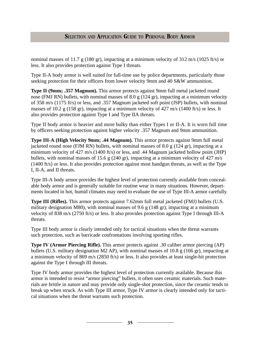nominal masses of 11.7 g (180 gr), impacting at a minimum velocity of 312 m/s (1025 ft/s) or less. It also provides protection against Type I threats.

Type II-A body armor is well suited for full-time use by police departments, particularly those seeking protection for their officers from lower velocity 9mm and 40 S&W ammunition.

**Type II (9mm; .357 Magnum).** This armor protects against 9mm full metal jacketed round nose (FMJ RN) bullets, with nominal masses of 8.0 g (124 gr), impacting at a minimum velocity of 358 m/s (1175 ft/s) or less, and .357 Magnum jacketed soft point (JSP) bullets, with nominal masses of 10.2 g (158 gr), impacting at a minimum velocity of 427 m/s (1400 ft/s) or less. It also provides protection against Type I and Type IIA threats.

Type II body armor is heavier and more bulky than either Types I or II-A. It is worn full time by officers seeking protection against higher velocity .357 Magnum and 9mm ammunition.

**Type III-A (High Velocity 9mm; .44 Magnum).** This armor protects against 9mm full metal jacketed round nose (FJM RN) bullets, with nominal masses of 8.0 g (124 gr), impacting at a minimum velocity of 427 m/s (1400 ft/s) or less, and .44 Magnum jacketed hollow point (JHP) bullets, with nominal masses of 15.6 g (240 gr), impacting at a minimum velocity of 427 m/s (1400 ft/s) or less. It also provides protection against most handgun threats, as well as the Type I, II-A, and II threats.

Type III-A body armor provides the highest level of protection currently available from concealable body armor and is generally suitable for routine wear in many situations. However, departments located in hot, humid climates may need to evaluate the use of Type III-A armor carefully.

**Type III (Rifles).** This armor protects against 7.62mm full metal jacketed (FMJ) bullets (U.S. military designation M80), with nominal masses of 9.6 g (148 gr), impacting at a minimum velocity of 838 m/s (2750 ft/s) or less. It also provides protection against Type I through III-A threats.

Type III body armor is clearly intended only for tactical situations when the threat warrants such protection, such as barricade confrontations involving sporting rifles.

**Type IV (Armor Piercing Rifle).** This armor protects against .30 caliber armor piercing (AP) bullets (U.S. military designation M2 AP), with nominal masses of 10.8 g (166 gr), impacting at a minimum velocity of 869 m/s (2850 ft/s) or less. It also provides at least single-hit protection against the Type I through III threats.

Type IV body armor provides the highest level of protection currently available. Because this armor is intended to resist "armor piercing" bullets, it often uses ceramic materials. Such materials are brittle in nature and may provide only single-shot protection, since the ceramic tends to break up when struck. As with Type III armor, Type IV armor is clearly intended only for tactical situations when the threat warrants such protection.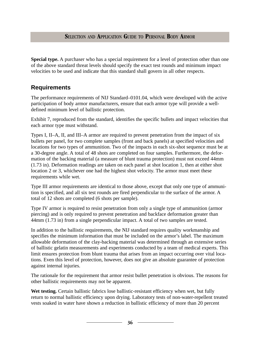**Special type.** A purchaser who has a special requirement for a level of protection other than one of the above standard threat levels should specify the exact test rounds and minimum impact velocities to be used and indicate that this standard shall govern in all other respects.

## **Requirements**

The performance requirements of NIJ Standard–0101.04, which were developed with the active participation of body armor manufacturers, ensure that each armor type will provide a welldefined minimum level of ballistic protection.

Exhibit 7, reproduced from the standard, identifies the specific bullets and impact velocities that each armor type must withstand.

Types I, II–A, II, and III–A armor are required to prevent penetration from the impact of six bullets per panel, for two complete samples (front and back panels) at specified velocities and locations for two types of ammunition. Two of the impacts in each six-shot sequence must be at a 30-degree angle. A total of 48 shots are completed on four samples. Furthermore, the deformation of the backing material (a measure of blunt trauma protection) must not exceed 44mm (1.73 in). Deformation readings are taken on each panel at shot location 1, then at either shot location 2 or 3, whichever one had the highest shot velocity. The armor must meet these requirements while wet.

Type III armor requirements are identical to those above, except that only one type of ammunition is specified, and all six test rounds are fired perpendicular to the surface of the armor. A total of 12 shots are completed (6 shots per sample).

Type IV armor is required to resist penetration from only a single type of ammunition (armor piercing) and is only required to prevent penetration and backface deformation greater than 44mm (1.73 in) from a single perpendicular impact. A total of two samples are tested.

In addition to the ballistic requirements, the NIJ standard requires quality workmanship and specifies the minimum information that must be included on the armor's label. The maximum allowable deformation of the clay-backing material was determined through an extensive series of ballistic gelatin measurements and experiments conducted by a team of medical experts. This limit ensures protection from blunt trauma that arises from an impact occurring over vital locations. Even this level of protection, however, does not give an absolute guarantee of protection against internal injuries.

The rationale for the requirement that armor resist bullet penetration is obvious. The reasons for other ballistic requirements may not be apparent.

Wet testing. Certain ballistic fabrics lose ballistic-resistant efficiency when wet, but fully return to normal ballistic efficiency upon drying. Laboratory tests of non-water-repellent treated vests soaked in water have shown a reduction in ballistic efficiency of more than 20 percent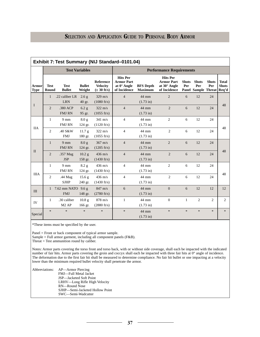| Exhibit 7: Test Summary (NIJ Standard-0101.04) |                       |                                 |                              |                                                                |                                                                            |                                    |                                                                             |                     |                                                   |                     |                                       |
|------------------------------------------------|-----------------------|---------------------------------|------------------------------|----------------------------------------------------------------|----------------------------------------------------------------------------|------------------------------------|-----------------------------------------------------------------------------|---------------------|---------------------------------------------------|---------------------|---------------------------------------|
|                                                | <b>Test Variables</b> |                                 |                              |                                                                | <b>Performance Requirements</b>                                            |                                    |                                                                             |                     |                                                   |                     |                                       |
| <b>Armor</b><br><b>Type</b>                    | <b>Test</b><br>Round  | <b>Test</b><br><b>Bullet</b>    | <b>Bullet</b><br>Weight      | <b>Reference</b><br><b>Velocity</b><br>$(\pm 30 \text{ ft/s})$ | <b>Hits Per</b><br><b>Armor Part</b><br>at $0^\circ$ Angle<br>of Incidence | <b>BFS</b> Depth<br><b>Maximum</b> | <b>Hits Per</b><br><b>Armor Part</b><br>at $30^\circ$ Angle<br>of Incidence | <b>Shots</b><br>Per | <b>Shots</b><br>Per<br><b>Panel Sample Threat</b> | <b>Shots</b><br>Per | <b>Total</b><br><b>Shots</b><br>Req'd |
| $\mathbf I$                                    | $\mathbf{1}$          | .22 caliber LR<br><b>LRN</b>    | 2.6 g<br>40 gr.              | $329 \text{ m/s}$<br>$(1080 \text{ ft/s})$                     | $\overline{4}$                                                             | 44 mm<br>$(1.73 \text{ in})$       | 2                                                                           | 6                   | 12                                                | 24                  | 48                                    |
|                                                | $\overline{2}$        | .380 ACP<br><b>FMJ RN</b>       | 6.2 g<br>95 gr.              | $322 \text{ m/s}$<br>$(1055 \text{ ft/s})$                     | $\overline{4}$                                                             | 44 mm<br>$(1.73 \text{ in})$       | $\overline{2}$                                                              | 6                   | 12                                                | 24                  |                                       |
| <b>IIA</b>                                     | $\mathbf{1}$          | $9 \text{ mm}$<br><b>FMJ RN</b> | 8.0 g<br>124 gr.             | $341 \text{ m/s}$<br>$(1120 \text{ ft/s})$                     | $\overline{4}$                                                             | 44 mm<br>$(1.73 \text{ in})$       | $\overline{2}$                                                              | 6                   | 12                                                | 24                  | 48                                    |
|                                                | $\overline{2}$        | .40 S&W<br><b>FMJ</b>           | 11.7 g<br>180 gr.            | $322 \text{ m/s}$<br>$(1055 \text{ ft/s})$                     | $\overline{4}$                                                             | 44 mm<br>$(1.73 \text{ in})$       | $\overline{2}$                                                              | 6                   | 12                                                | 24                  |                                       |
| $\mathbf{I}$                                   | $\mathbf{1}$          | $9 \text{ mm}$<br><b>FMJ RN</b> | 8.0 <sub>g</sub><br>124 gr.  | $367 \text{ m/s}$<br>$(1205 \text{ ft/s})$                     | $\overline{4}$                                                             | 44 mm<br>$(1.73 \text{ in})$       | $\overline{2}$                                                              | 6                   | 12                                                | 24                  |                                       |
|                                                | 2                     | .357 Mag<br><b>JSP</b>          | 10.2 g<br>158 gr.            | $436 \text{ m/s}$<br>$(1430 \text{ ft/s})$                     | $\overline{4}$                                                             | 44 mm<br>$(1.73 \text{ in})$       | $\overline{2}$                                                              | 6                   | 12                                                | 24                  | 48                                    |
| <b>IIIA</b>                                    | $\mathbf{1}$          | $9 \text{ mm}$<br><b>FMJ RN</b> | 8.2 g<br>124 gr.             | $436 \text{ m/s}$<br>$(1430 \text{ ft/s})$                     | $\overline{4}$                                                             | 44 mm<br>$(1.73 \text{ in})$       | $\mathbf{2}$                                                                | 6                   | 12                                                | 24                  |                                       |
|                                                | $\overline{2}$        | .44 Mag<br><b>SJHP</b>          | 15.6 <sub>g</sub><br>240 gr. | $436 \text{ m/s}$<br>$(1430 \text{ ft/s})$                     | $\overline{4}$                                                             | 44 mm<br>$(1.73 \text{ in})$       | $\overline{2}$                                                              | 6                   | 12                                                | 24                  | 48                                    |
| III                                            | $\mathbf{1}$          | 7.62 mm NATO<br><b>FMJ</b>      | 9.6g<br>148 gr.              | $847 \text{ m/s}$<br>$(2780 \text{ ft/s})$                     | 6                                                                          | 44 mm<br>$(1.73 \text{ in})$       | $\Omega$                                                                    | 6                   | 12                                                | 12                  | 12                                    |
| IV                                             | $\mathbf{1}$          | .30 caliber<br>M2AP             | 10.8 <sub>g</sub><br>166 gr. | $878 \text{ m/s}$<br>$(2880 \text{ ft/s})$                     | $\mathbf{1}$                                                               | 44 mm<br>$(1.73 \text{ in})$       | $\overline{0}$                                                              | $\mathbf{1}$        | $\overline{c}$                                    | $\overline{c}$      | 2                                     |
| Special                                        | $\ast$                | $\ast$                          | $\ast$                       | $\ast$                                                         | $\ast$                                                                     | 44 mm<br>$(1.73 \text{ in})$       | $\ast$                                                                      | $\ast$              | $\ast$                                            | $\ast$              | $\ast$                                |

\*These items must be specified by the user.

Panel = Front or back component of typical armor sample.

Sample = Full armor garment, including all component panels ( $F&B$ ).

Threat = Test ammunition round by caliber.

Notes: Armor parts covering the torso front and torso back, with or without side coverage, shall each be impacted with the indicated number of fair hits. Armor parts covering the groin and coccyx shall each be impacted with three fair hits at 0° angle of incidence. The deformation due to the first fair hit shall be measured to determine compliance. No fair hit bullet or one impacting at a velocity lower than the minimum required bullet velocity shall penetrate the armor.

| Abbreviations: AP—Armor Piercing |
|----------------------------------|
| FMJ—Full Metal Jacket            |
| JSP—Jacketed Soft Point          |
| LRHV—Long Rifle High Velocity    |
| RN—Round Nose                    |
| SJHP—Semi-Jacketed Hollow Point  |
| SWC—Semi-Wadcutter               |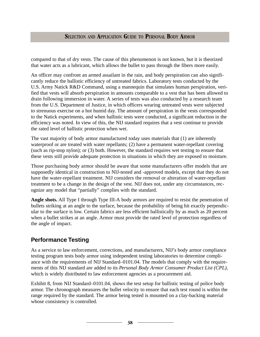compared to that of dry vests. The cause of this phenomenon is not known, but it is theorized that water acts as a lubricant, which allows the bullet to pass through the fibers more easily.

An officer may confront an armed assailant in the rain, and body perspiration can also significantly reduce the ballistic efficiency of untreated fabrics. Laboratory tests conducted by the U.S. Army Natick R&D Command, using a mannequin that simulates human perspiration, verified that vests will absorb perspiration in amounts comparable to a vest that has been allowed to drain following immersion in water. A series of tests was also conducted by a research team from the U.S. Department of Justice, in which officers wearing untreated vests were subjected to strenuous exercise on a hot humid day. The amount of perspiration in the vests corresponded to the Natick experiments, and when ballistic tests were conducted, a significant reduction in the efficiency was noted. In view of this, the NIJ standard requires that a vest continue to provide the rated level of ballistic protection when wet.

The vast majority of body armor manufactured today uses materials that (1) are inherently waterproof or are treated with water repellants; (2) have a permanent water-repellant covering (such as rip-stop nylon); or (3) both. However, the standard requires wet testing to ensure that these vests still provide adequate protection in situations in which they are exposed to moisture.

Those purchasing body armor should be aware that some manufacturers offer models that are supposedly identical in construction to NIJ-tested and -approved models, except that they do not have the water-repellant treatment. NIJ considers the removal or alteration of water-repellant treatment to be a change in the design of the vest. NIJ does not, under any circumstances, recognize any model that "partially" complies with the standard.

**Angle shots.** All Type I through Type III-A body armors are required to resist the penetration of bullets striking at an angle to the surface, because the probability of being hit exactly perpendicular to the surface is low. Certain fabrics are less efficient ballistically by as much as 20 percent when a bullet strikes at an angle. Armor must provide the rated level of protection regardless of the angle of impact.

## **Performance Testing**

As a service to law enforcement, corrections, and manufacturers, NIJ's body armor compliance testing program tests body armor using independent testing laboratories to determine compliance with the requirements of NIJ Standard–0101.04. The models that comply with the requirements of this NIJ standard are added to its *Personal Body Armor Consumer Product List (CPL),* which is widely distributed to law enforcement agencies as a procurement aid.

Exhibit 8, from NIJ Standard–0101.04, shows the test setup for ballistic testing of police body armor. The chronograph measures the bullet velocity to ensure that each test round is within the range required by the standard. The armor being tested is mounted on a clay-backing material whose consistency is controlled.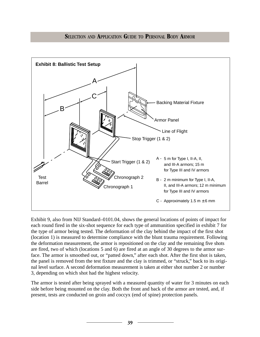

Exhibit 9, also from NIJ Standard–0101.04, shows the general locations of points of impact for each round fired in the six-shot sequence for each type of ammunition specified in exhibit 7 for the type of armor being tested. The deformation of the clay behind the impact of the first shot (location 1) is measured to determine compliance with the blunt trauma requirement. Following the deformation measurement, the armor is repositioned on the clay and the remaining five shots are fired, two of which (locations 5 and 6) are fired at an angle of 30 degrees to the armor surface. The armor is smoothed out, or "patted down," after each shot. After the first shot is taken, the panel is removed from the test fixture and the clay is trimmed, or "struck," back to its original level surface. A second deformation measurement is taken at either shot number 2 or number 3, depending on which shot had the highest velocity.

The armor is tested after being sprayed with a measured quantity of water for 3 minutes on each side before being mounted on the clay. Both the front and back of the armor are tested, and, if present, tests are conducted on groin and coccyx (end of spine) protection panels.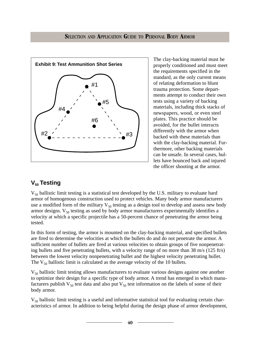

The clay-backing material must be properly conditioned and must meet the requirements specified in the standard, as the only current means of relating deformation to blunt trauma protection. Some departments attempt to conduct their own tests using a variety of backing materials, including thick stacks of newspapers, wood, or even steel plates. This practice should be avoided, for the bullet interacts differently with the armor when backed with these materials than with the clay-backing material. Furthermore, other backing materials can be unsafe. In several cases, bullets have bounced back and injured the officer shooting at the armor.

# **V<sub>50</sub>** Testing

 $V_{50}$  ballistic limit testing is a statistical test developed by the U.S. military to evaluate hard armor of homogenous construction used to protect vehicles. Many body armor manufacturers use a modified form of the military  $V_{50}$  testing as a design tool to develop and assess new body armor designs.  $V_{50}$  testing as used by body armor manufacturers experimentally identifies a velocity at which a specific projectile has a 50-percent chance of penetrating the armor being tested.

In this form of testing, the armor is mounted on the clay-backing material, and specified bullets are fired to determine the velocities at which the bullets do and do not penetrate the armor. A sufficient number of bullets are fired at various velocities to obtain groups of five nonpenetrating bullets and five penetrating bullets, with a velocity range of no more than 38 m/s (125 ft/s) between the lowest velocity nonpenetrating bullet and the highest velocity penetrating bullet. The  $V_{50}$  ballistic limit is calculated as the average velocity of the 10 bullets.

 $V_{50}$  ballistic limit testing allows manufacturers to evaluate various designs against one another to optimize their design for a specific type of body armor. A trend has emerged in which manufacturers publish  $V_{50}$  test data and also put  $V_{50}$  test information on the labels of some of their body armor.

 $V_{50}$  ballistic limit testing is a useful and informative statistical tool for evaluating certain characteristics of armor. In addition to being helpful during the design phase of armor development,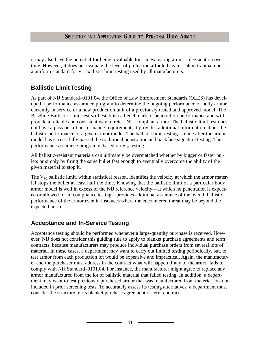it may also have the potential for being a valuable tool in evaluating armor's degradation over time. However, it does not evaluate the level of protection afforded against blunt trauma, nor is a uniform standard for  $V_{50}$  ballistic limit testing used by all manufacturers.

## **Ballistic Limit Testing**

As part of NIJ Standard–0101.04, the Office of Law Enforcement Standards (OLES) has developed a performance assurance program to determine the ongoing performance of body armor currently in service or a new production unit of a previously tested and approved model. The Baseline Ballistic Limit test will establish a benchmark of penetration performance and will provide a reliable and consistent way to retest NIJ-compliant armor. The ballistic limit test does not have a pass or fail performance requirement; it provides additional information about the ballistic performance of a given armor model. The ballistic limit testing is done after the armor model has successfully passed the traditional penetration and backface signature testing. The performance assurance program is based on  $V_{50}$  testing.

All ballistic-resistant materials can ultimately be overmatched whether by bigger or faster bullets or simply by firing the same bullet fast enough to eventually overcome the ability of the given material to stop it.

The  $V_{50}$  ballistic limit, within statistical reason, identifies the velocity at which the armor material stops the bullet at least half the time. Knowing that the ballistic limit of a particular body armor model is well in excess of the NIJ reference velocity—at which no penetration is expected or allowed for in compliance testing—provides additional assurance of the overall ballistic performance of the armor even in instances where the encountered threat may be beyond the expected norm.

## **Acceptance and In-Service Testing**

Acceptance testing should be performed whenever a large-quantity purchase is received. However, NIJ does not consider this guiding rule to apply to blanket purchase agreements and term contracts, because manufacturers may produce individual purchase orders from several lots of material. In these cases, a department may want to carry out limited testing periodically, but, to test armor from each production lot would be expensive and impractical. Again, the manufacturer and the purchaser must address in the contract what will happen if any of the armor fails to comply with NIJ Standard–0101.04. For instance, the manufacturer might agree to replace any armor manufactured from the lot of ballistic material that failed testing. In addition, a department may want to test previously purchased armor that was manufactured from material lots not included in prior screening tests. To accurately assess its testing alternatives, a department must consider the structure of its blanket purchase agreement or term contract.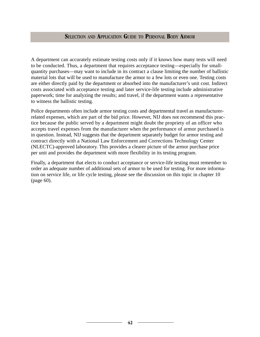A department can accurately estimate testing costs only if it knows how many tests will need to be conducted. Thus, a department that requires acceptance testing—especially for smallquantity purchases—may want to include in its contract a clause limiting the number of ballistic material lots that will be used to manufacture the armor to a few lots or even one. Testing costs are either directly paid by the department or absorbed into the manufacturer's unit cost. Indirect costs associated with acceptance testing and later service-life testing include administrative paperwork; time for analyzing the results; and travel, if the department wants a representative to witness the ballistic testing.

Police departments often include armor testing costs and departmental travel as manufacturerrelated expenses, which are part of the bid price. However, NIJ does not recommend this practice because the public served by a department might doubt the propriety of an officer who accepts travel expenses from the manufacturer when the performance of armor purchased is in question. Instead, NIJ suggests that the department separately budget for armor testing and contract directly with a National Law Enforcement and Corrections Technology Center (NLECTC)-approved laboratory. This provides a clearer picture of the armor purchase price per unit and provides the department with more flexibility in its testing program.

Finally, a department that elects to conduct acceptance or service-life testing must remember to order an adequate number of additional sets of armor to be used for testing. For more information on service life, or life cycle testing, please see the discussion on this topic in chapter 10 (page 60).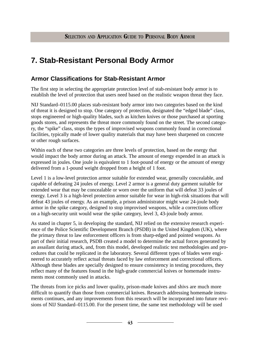# **7. Stab-Resistant Personal Body Armor**

## **Armor Classifications for Stab-Resistant Armor**

The first step in selecting the appropriate protection level of stab-resistant body armor is to establish the level of protection that users need based on the realistic weapon threat they face.

NIJ Standard–0115.00 places stab-resistant body armor into two categories based on the kind of threat it is designed to stop. One category of protection, designated the "edged blade" class, stops engineered or high-quality blades, such as kitchen knives or those purchased at sporting goods stores, and represents the threat more commonly found on the street. The second category, the "spike" class, stops the types of improvised weapons commonly found in correctional facilities, typically made of lower quality materials that may have been sharpened on concrete or other rough surfaces.

Within each of these two categories are three levels of protection, based on the energy that would impact the body armor during an attack. The amount of energy expended in an attack is expressed in joules. One joule is equivalent to 1 foot-pound of energy or the amount of energy delivered from a 1-pound weight dropped from a height of 1 foot.

Level 1 is a low-level protection armor suitable for extended wear, generally concealable, and capable of defeating 24 joules of energy. Level 2 armor is a general duty garment suitable for extended wear that may be concealable or worn over the uniform that will defeat 33 joules of energy. Level 3 is a high-level protection armor suitable for wear in high-risk situations that will defeat 43 joules of energy. As an example, a prison administrator might wear 24-joule body armor in the spike category, designed to stop improvised weapons, while a corrections officer on a high-security unit would wear the spike category, level 3, 43-joule body armor.

As stated in chapter 5, in developing the standard, NIJ relied on the extensive research experience of the Police Scientific Development Branch (PSDB) in the United Kingdom (UK), where the primary threat to law enforcement officers is from sharp-edged and pointed weapons. As part of their initial research, PSDB created a model to determine the actual forces generated by an assailant during attack, and, from this model, developed realistic test methodologies and procedures that could be replicated in the laboratory. Several different types of blades were engineered to accurately reflect actual threats faced by law enforcement and correctional officers. Although these blades are specially designed to ensure consistency in testing procedures, they reflect many of the features found in the high-grade commercial knives or homemade instruments most commonly used in attacks.

The threats from ice picks and lower quality, prison-made knives and shivs are much more difficult to quantify than those from commercial knives. Research addressing homemade instruments continues, and any improvements from this research will be incorporated into future revisions of NIJ Standard–0115.00. For the present time, the same test methodology will be used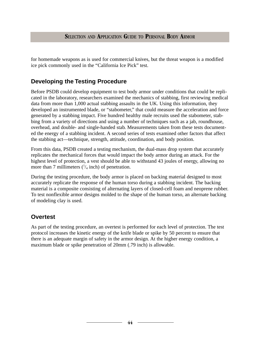for homemade weapons as is used for commercial knives, but the threat weapon is a modified ice pick commonly used in the "California Ice Pick" test.

## **Developing the Testing Procedure**

Before PSDB could develop equipment to test body armor under conditions that could be replicated in the laboratory, researchers examined the mechanics of stabbing, first reviewing medical data from more than 1,000 actual stabbing assaults in the UK. Using this information, they developed an instrumented blade, or "stabometer," that could measure the acceleration and force generated by a stabbing impact. Five hundred healthy male recruits used the stabometer, stabbing from a variety of directions and using a number of techniques such as a jab, roundhouse, overhead, and double- and single-handed stab. Measurements taken from these tests documented the energy of a stabbing incident. A second series of tests examined other factors that affect the stabbing act—technique, strength, attitude, coordination, and body position.

From this data, PSDB created a testing mechanism, the dual-mass drop system that accurately replicates the mechanical forces that would impact the body armor during an attack. For the highest level of protection, a vest should be able to withstand 43 joules of energy, allowing no more than 7 millimeters  $\binom{1}{4}$  inch) of penetration.

During the testing procedure, the body armor is placed on backing material designed to most accurately replicate the response of the human torso during a stabbing incident. The backing material is a composite consisting of alternating layers of closed-cell foam and neoprene rubber. To test nonflexible armor designs molded to the shape of the human torso, an alternate backing of modeling clay is used.

## **Overtest**

As part of the testing procedure, an overtest is performed for each level of protection. The test protocol increases the kinetic energy of the knife blade or spike by 50 percent to ensure that there is an adequate margin of safety in the armor design. At the higher energy condition, a maximum blade or spike penetration of 20mm (.79 inch) is allowable.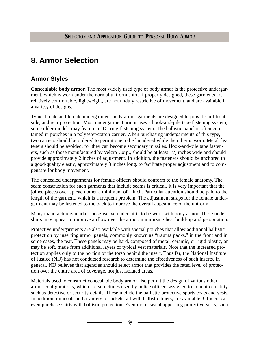# **8. Armor Selection**

## **Armor Styles**

**Concealable body armor.** The most widely used type of body armor is the protective undergarment, which is worn under the normal uniform shirt. If properly designed, these garments are relatively comfortable, lightweight, are not unduly restrictive of movement, and are available in a variety of designs.

Typical male and female undergarment body armor garments are designed to provide full front, side, and rear protection. Most undergarment armor uses a hook-and-pile tape fastening system; some older models may feature a "D" ring-fastening system. The ballistic panel is often contained in pouches in a polyester/cotton carrier. When purchasing undergarments of this type, two carriers should be ordered to permit one to be laundered while the other is worn. Metal fasteners should be avoided, for they can become secondary missiles. Hook-and-pile tape fasteners, such as those manufactured by Velcro Corp., should be at least  $1\frac{1}{2}$  inches wide and should provide approximately 2 inches of adjustment. In addition, the fasteners should be anchored to a good-quality elastic, approximately 3 inches long, to facilitate proper adjustment and to compensate for body movement.

The concealed undergarments for female officers should conform to the female anatomy. The seam construction for such garments that include seams is critical. It is very important that the joined pieces overlap each other a minimum of 1 inch. Particular attention should be paid to the length of the garment, which is a frequent problem. The adjustment straps for the female undergarment may be fastened to the back to improve the overall appearance of the uniform.

Many manufacturers market loose-weave undershirts to be worn with body armor. These undershirts may appear to improve airflow over the armor, minimizing heat build-up and perspiration.

Protective undergarments are also available with special pouches that allow additional ballistic protection by inserting armor panels, commonly known as "trauma packs," in the front and in some cases, the rear. These panels may be hard, composed of metal, ceramic, or rigid plastic, or may be soft, made from additional layers of typical vest materials. Note that the increased protection applies only to the portion of the torso behind the insert. Thus far, the National Institute of Justice (NIJ) has not conducted research to determine the effectiveness of such inserts. In general, NIJ believes that agencies should select armor that provides the rated level of protection over the entire area of coverage, not just isolated areas.

Materials used to construct concealable body armor also permit the design of various other armor configurations, which are sometimes used by police officers assigned to nonuniform duty, such as detective or security details. These include the ballistic-protective sports coats and vests. In addition, raincoats and a variety of jackets, all with ballistic liners, are available. Officers can even purchase shirts with ballistic protection. Even more casual appearing protective vests, such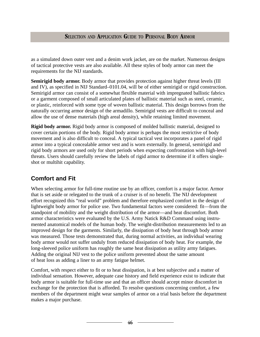as a simulated down outer vest and a denim work jacket, are on the market. Numerous designs of tactical protective vests are also available. All these styles of body armor can meet the requirements for the NIJ standards.

Semirigid body armor. Body armor that provides protection against higher threat levels (III and IV), as specified in NIJ Standard–0101.04, will be of either semirigid or rigid construction. Semirigid armor can consist of a somewhat flexible material with impregnated ballistic fabrics or a garment composed of small articulated plates of ballistic material such as steel, ceramic, or plastic, reinforced with some type of woven ballistic material. This design borrows from the naturally occurring armor design of the armadillo. Semirigid vests are difficult to conceal and allow the use of dense materials (high areal density), while retaining limited movement.

**Rigid body armor.** Rigid body armor is composed of molded ballistic material, designed to cover certain portions of the body. Rigid body armor is perhaps the most restrictive of body movement and is also difficult to conceal. A typical tactical vest incorporates a panel of rigid armor into a typical concealable armor vest and is worn externally. In general, semirigid and rigid body armors are used only for short periods when expecting confrontation with high-level threats. Users should carefully review the labels of rigid armor to determine if it offers singleshot or multihit capability.

## **Comfort and Fit**

When selecting armor for full-time routine use by an officer, comfort is a major factor. Armor that is set aside or relegated to the trunk of a cruiser is of no benefit. The NIJ development effort recognized this "real world" problem and therefore emphasized comfort in the design of lightweight body armor for police use. Two fundamental factors were considered: fit—from the standpoint of mobility and the weight distribution of the armor—and heat discomfort. Both armor characteristics were evaluated by the U.S. Army Natick R&D Command using instrumented anatomical models of the human body. The weight-distribution measurements led to an improved design for the garments. Similarly, the dissipation of body heat through body armor was measured. Those tests demonstrated that, during normal activities, an individual wearing body armor would not suffer unduly from reduced dissipation of body heat. For example, the long-sleeved police uniform has roughly the same heat dissipation as utility army fatigues. Adding the original NIJ vest to the police uniform prevented about the same amount of heat loss as adding a liner to an army fatigue helmet.

Comfort, with respect either to fit or to heat dissipation, is at best subjective and a matter of individual sensation. However, adequate case history and field experience exist to indicate that body armor is suitable for full-time use and that an officer should accept minor discomfort in exchange for the protection that is afforded. To resolve questions concerning comfort, a few members of the department might wear samples of armor on a trial basis before the department makes a major purchase.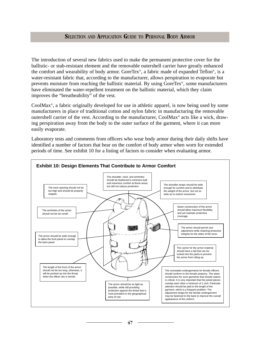The introduction of several new fabrics used to make the permanent protective cover for the ballistic- or stab-resistant element and the removable outershell carrier have greatly enhanced the comfort and wearability of body armor. GoreTex®, a fabric made of expanded Teflon®, is a water-resistant fabric that, according to the manufacturer, allows perspiration to evaporate but prevents moisture from reaching the ballistic material. By using GoreTex®, some manufacturers have eliminated the water-repellent treatment on the ballistic material, which they claim improves the "breatheability" of the vest.

CoolMax®, a fabric originally developed for use in athletic apparel, is now being used by some manufacturers in place of traditional cotton and nylon fabric in manufacturing the removable outershell carrier of the vest. According to the manufacturer, CoolMax® acts like a wick, drawing perspiration away from the body to the outer surface of the garment, where it can more easily evaporate.

Laboratory tests and comments from officers who wear body armor during their daily shifts have identified a number of factors that bear on the comfort of body armor when worn for extended periods of time. See exhibit 10 for a listing of factors to consider when evaluating armor.

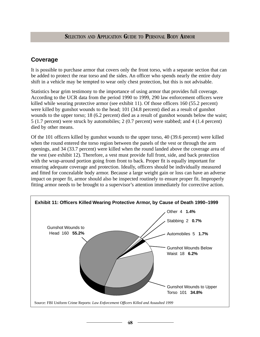## **Coverage**

It is possible to purchase armor that covers only the front torso, with a separate section that can be added to protect the rear torso and the sides. An officer who spends nearly the entire duty shift in a vehicle may be tempted to wear only chest protection, but this is not advisable.

Statistics bear grim testimony to the importance of using armor that provides full coverage. According to the UCR data from the period 1990 to 1999, 290 law enforcement officers were killed while wearing protective armor (see exhibit 11). Of those officers 160 (55.2 percent) were killed by gunshot wounds to the head; 101 (34.8 percent) died as a result of gunshot wounds to the upper torso; 18 (6.2 percent) died as a result of gunshot wounds below the waist; 5 (1.7 percent) were struck by automobiles; 2 (0.7 percent) were stabbed; and 4 (1.4 percent) died by other means.

Of the 101 officers killed by gunshot wounds to the upper torso, 40 (39.6 percent) were killed when the round entered the torso region between the panels of the vest or through the arm openings, and 34 (33.7 percent) were killed when the round landed above the coverage area of the vest (see exhibit 12). Therefore, a vest must provide full front, side, and back protection with the wrap-around portion going from front to back. Proper fit is equally important for ensuring adequate coverage and protection. Ideally, officers should be individually measured and fitted for concealable body armor. Because a large weight gain or loss can have an adverse impact on proper fit, armor should also be inspected routinely to ensure proper fit. Improperly fitting armor needs to be brought to a supervisor's attention immediately for corrective action.

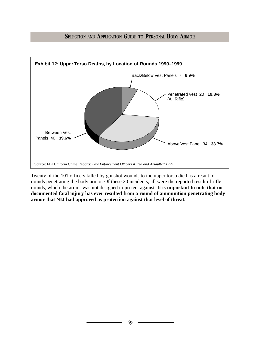



Twenty of the 101 officers killed by gunshot wounds to the upper torso died as a result of rounds penetrating the body armor. Of these 20 incidents, all were the reported result of rifle rounds, which the armor was not designed to protect against. **It is important to note that no documented fatal injury has ever resulted from a round of ammunition penetrating body armor that NIJ had approved as protection against that level of threat.**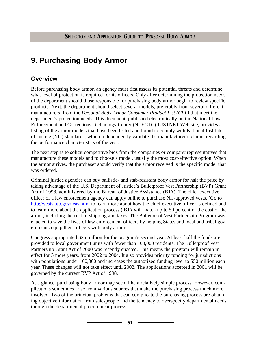# **9. Purchasing Body Armor**

## **Overview**

Before purchasing body armor, an agency must first assess its potential threats and determine what level of protection is required for its officers. Only after determining the protection needs of the department should those responsible for purchasing body armor begin to review specific products. Next, the department should select several models, preferably from several different manufacturers, from the *Personal Body Armor Consumer Product List (CPL)* that meet the department's protection needs. This document, published electronically on the National Law Enforcement and Corrections Technology Center (NLECTC) JUSTNET Web site, provides a listing of the armor models that have been tested and found to comply with National Institute of Justice (NIJ) standards, which independently validate the manufacturer's claims regarding the performance characteristics of the vest.

The next step is to solicit competitive bids from the companies or company representatives that manufacture these models and to choose a model, usually the most cost-effective option. When the armor arrives, the purchaser should verify that the armor received is the specific model that was ordered.

Criminal justice agencies can buy ballistic- and stab-resistant body armor for half the price by taking advantage of the U.S. Department of Justice's Bulletproof Vest Partnership (BVP) Grant Act of 1998, administered by the Bureau of Justice Assistance (BJA). The chief executive officer of a law enforcement agency can apply online to purchase NIJ-approved vests. (Go to [http://vests.ojp.gov/leas.html t](http://vests.ojp.gov/leas.html)o learn more about how the chief executive officer is defined and to learn more about the application process.) BJA will match up to 50 percent of the cost of the armor, including the cost of shipping and taxes. The Bulletproof Vest Partnership Program was enacted to save the lives of law enforcement officers by helping States and local and tribal governments equip their officers with body armor.

Congress appropriated \$25 million for the program's second year. At least half the funds are provided to local government units with fewer than 100,000 residents. The Bulletproof Vest Partnership Grant Act of 2000 was recently enacted. This means the program will remain in effect for 3 more years, from 2002 to 2004. It also provides priority funding for jurisdictions with populations under 100,000 and increases the authorized funding level to \$50 million each year. These changes will not take effect until 2002. The applications accepted in 2001 will be governed by the current BVP Act of 1998.

At a glance, purchasing body armor may seem like a relatively simple process. However, complications sometimes arise from various sources that make the purchasing process much more involved. Two of the principal problems that can complicate the purchasing process are obtaining objective information from salespeople and the tendency to overspecify departmental needs through the departmental procurement process.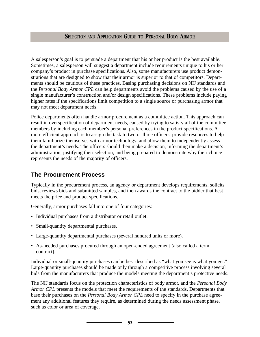A salesperson's goal is to persuade a department that his or her product is the best available. Sometimes, a salesperson will suggest a department include requirements unique to his or her company's product in purchase specifications. Also, some manufacturers use product demonstrations that are designed to show that their armor is superior to that of competitors. Departments should be cautious of these practices. Basing purchasing decisions on NIJ standards and the *Personal Body Armor CPL* can help departments avoid the problems caused by the use of a single manufacturer's construction and/or design specifications. These problems include paying higher rates if the specifications limit competition to a single source or purchasing armor that may not meet department needs.

Police departments often handle armor procurement as a committee action. This approach can result in overspecification of department needs, caused by trying to satisfy all of the committee members by including each member's personal preferences in the product specifications. A more efficient approach is to assign the task to two or three officers, provide resources to help them familiarize themselves with armor technology, and allow them to independently assess the department's needs. The officers should then make a decision, informing the department's administration, justifying their selection, and being prepared to demonstrate why their choice represents the needs of the majority of officers.

## **The Procurement Process**

Typically in the procurement process, an agency or department develops requirements, solicits bids, reviews bids and submitted samples, and then awards the contract to the bidder that best meets the price and product specifications.

Generally, armor purchases fall into one of four categories:

- Individual purchases from a distributor or retail outlet.
- Small-quantity departmental purchases.
- Large-quantity departmental purchases (several hundred units or more).
- As-needed purchases procured through an open-ended agreement (also called a term contract).

Individual or small-quantity purchases can be best described as "what you see is what you get." Large-quantity purchases should be made only through a competitive process involving several bids from the manufacturers that produce the models meeting the department's protective needs.

The NIJ standards focus on the protection characteristics of body armor, and the *Personal Body Armor CPL* presents the models that meet the requirements of the standards. Departments that base their purchases on the *Personal Body Armor CPL* need to specify in the purchase agreement any additional features they require, as determined during the needs assessment phase, such as color or area of coverage.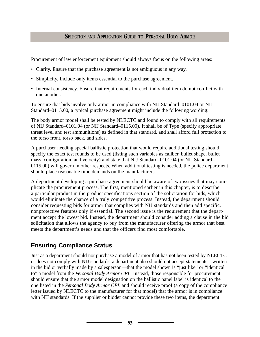Procurement of law enforcement equipment should always focus on the following areas:

- Clarity. Ensure that the purchase agreement is not ambiguous in any way.
- Simplicity. Include only items essential to the purchase agreement.
- Internal consistency. Ensure that requirements for each individual item do not conflict with one another.

To ensure that bids involve only armor in compliance with NIJ Standard–0101.04 or NIJ Standard–0115.00, a typical purchase agreement might include the following wording:

The body armor model shall be tested by NLECTC and found to comply with all requirements of NIJ Standard–0101.04 (or NIJ Standard–0115.00). It shall be of Type (specify appropriate threat level and test ammunitions) as defined in that standard, and shall afford full protection to the torso front, torso back, and sides.

A purchaser needing special ballistic protection that would require additional testing should specify the exact test rounds to be used (listing such variables as caliber, bullet shape, bullet mass, configuration, and velocity) and state that NIJ Standard–0101.04 (or NIJ Standard– 0115.00) will govern in other respects. When additional testing is needed, the police department should place reasonable time demands on the manufacturers.

A department developing a purchase agreement should be aware of two issues that may complicate the procurement process. The first, mentioned earlier in this chapter, is to describe a particular product in the product specifications section of the solicitation for bids, which would eliminate the chance of a truly competitive process. Instead, the department should consider requesting bids for armor that complies with NIJ standards and then add specific, nonprotective features only if essential. The second issue is the requirement that the department accept the lowest bid. Instead, the department should consider adding a clause in the bid solicitation that allows the agency to buy from the manufacturer offering the armor that best meets the department's needs and that the officers find most comfortable.

## **Ensuring Compliance Status**

Just as a department should not purchase a model of armor that has not been tested by NLECTC or does not comply with NIJ standards, a department also should not accept statements—written in the bid or verbally made by a salesperson—that the model shown is "just like" or "identical to" a model from the *Personal Body Armor CPL*. Instead, those responsible for procurement should ensure that the armor model designation on the ballistic panel label is identical to the one listed in the *Personal Body Armor CPL* and should receive proof (a copy of the compliance letter issued by NLECTC to the manufacturer for that model) that the armor is in compliance with NIJ standards. If the supplier or bidder cannot provide these two items, the department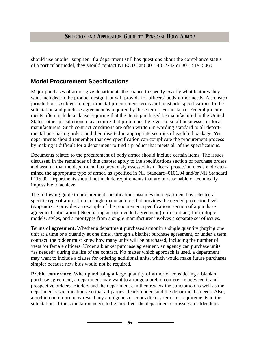should use another supplier. If a department still has questions about the compliance status of a particular model, they should contact NLECTC at 800–248–2742 or 301–519–5060.

## **Model Procurement Specifications**

Major purchases of armor give departments the chance to specify exactly what features they want included in the product design that will provide for officers' body armor needs. Also, each jurisdiction is subject to departmental procurement terms and must add specifications to the solicitation and purchase agreement as required by these terms. For instance, Federal procurements often include a clause requiring that the items purchased be manufactured in the United States; other jurisdictions may require that preference be given to small businesses or local manufacturers. Such contract conditions are often written in wording standard to all departmental purchasing orders and then inserted in appropriate sections of each bid package. Yet, departments should remember that overspecification can complicate the procurement process by making it difficult for a department to find a product that meets all of the specifications.

Documents related to the procurement of body armor should include certain items. The issues discussed in the remainder of this chapter apply to the specifications section of purchase orders and assume that the department has previously assessed its officers' protection needs and determined the appropriate type of armor, as specified in NIJ Standard–0101.04 and/or NIJ Standard 0115.00. Departments should not include requirements that are unreasonable or technically impossible to achieve.

The following guide to procurement specifications assumes the department has selected a specific type of armor from a single manufacturer that provides the needed protection level. (Appendix D provides an example of the procurement specifications section of a purchase agreement solicitation.) Negotiating an open-ended agreement (term contract) for multiple models, styles, and armor types from a single manufacturer involves a separate set of issues.

**Terms of agreement.** Whether a department purchases armor in a single quantity (buying one unit at a time or a quantity at one time), through a blanket purchase agreement, or under a term contract, the bidder must know how many units will be purchased, including the number of vests for female officers. Under a blanket purchase agreement, an agency can purchase units "as needed" during the life of the contract. No matter which approach is used, a department may want to include a clause for ordering additional units, which would make future purchases simpler because new bids would not be required.

**Prebid conference.** When purchasing a large quantity of armor or considering a blanket purchase agreement, a department may want to arrange a prebid conference between it and prospective bidders. Bidders and the department can then review the solicitation as well as the department's specifications, so that all parties clearly understand the department's needs. Also, a prebid conference may reveal any ambiguous or contradictory terms or requirements in the solicitation. If the solicitation needs to be modified, the department can issue an addendum.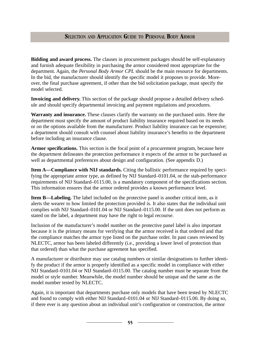**Bidding and award process.** The clauses in procurement packages should be self-explanatory and furnish adequate flexibility in purchasing the armor considered most appropriate for the department. Again, the *Personal Body Armor CPL* should be the main resource for departments. In the bid, the manufacturer should identify the specific model it proposes to provide. Moreover, the final purchase agreement, if other than the bid solicitation package, must specify the model selected.

**Invoicing and delivery.** This section of the package should propose a detailed delivery schedule and should specify departmental invoicing and payment regulations and procedures.

**Warranty and insurance.** These clauses clarify the warranty on the purchased units. Here the department must specify the amount of product liability insurance required based on its needs or on the options available from the manufacturer. Product liability insurance can be expensive; a department should consult with counsel about liability insurance's benefits to the department before including an insurance clause.

**Armor specifications.** This section is the focal point of a procurement program, because here the department delineates the protection performance it expects of the armor to be purchased as well as departmental preferences about design and configuration. (See appendix D.)

**Item A—Compliance with NIJ standards.** Citing the ballistic performance required by specifying the appropriate armor type, as defined by NIJ Standard–0101.04, or the stab-performance requirements of NIJ Standard–0115.00, is a mandatory component of the specifications section. This information ensures that the armor ordered provides a known performance level.

**Item B—Labeling.** The label included on the protective panel is another critical item, as it alerts the wearer to how limited the protection provided is. It also states that the individual unit complies with NIJ Standard–0101.04 or NIJ Standard–0115.00. If the unit does not perform as stated on the label, a department may have the right to legal recourse.

Inclusion of the manufacturer's model number on the protective panel label is also important because it is the primary means for verifying that the armor received is that ordered and that the compliance matches the armor type listed on the purchase order. In past cases reviewed by NLECTC, armor has been labeled differently (i.e., providing a lower level of protection than that ordered) than what the purchase agreement has specified.

A manufacturer or distributor may use catalog numbers or similar designations to further identify the product if the armor is properly identified as a specific model in compliance with either NIJ Standard–0101.04 or NIJ Standard–0115.00. The catalog number must be separate from the model or style number. Meanwhile, the model number should be unique and the same as the model number tested by NLECTC.

Again, it is important that departments purchase only models that have been tested by NLECTC and found to comply with either NIJ Standard–0101.04 or NIJ Standard–0115.00. By doing so, if there ever is any question about an individual unit's configuration or construction, the armor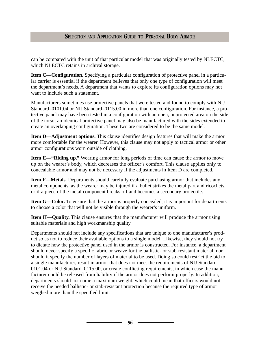can be compared with the unit of that particular model that was originally tested by NLECTC, which NLECTC retains in archival storage.

**Item C—Configuration.** Specifying a particular configuration of protective panel in a particular carrier is essential if the department believes that only one type of configuration will meet the department's needs. A department that wants to explore its configuration options may not want to include such a statement.

Manufacturers sometimes use protective panels that were tested and found to comply with NIJ Standard–0101.04 or NIJ Standard–0115.00 in more than one configuration. For instance, a protective panel may have been tested in a configuration with an open, unprotected area on the side of the torso; an identical protective panel may also be manufactured with the sides extended to create an overlapping configuration. These two are considered to be the same model.

**Item D—Adjustment options.** This clause identifies design features that will make the armor more comfortable for the wearer. However, this clause may not apply to tactical armor or other armor configurations worn outside of clothing.

**Item E—"Riding up."** Wearing armor for long periods of time can cause the armor to move up on the wearer's body, which decreases the officer's comfort. This clause applies only to concealable armor and may not be necessary if the adjustments in Item D are completed.

**Item F—Metals.** Departments should carefully evaluate purchasing armor that includes any metal components, as the wearer may be injured if a bullet strikes the metal part and ricochets, or if a piece of the metal component breaks off and becomes a secondary projectile.

**Item G—Color.** To ensure that the armor is properly concealed, it is important for departments to choose a color that will not be visible through the wearer's uniform.

**Item H—Quality.** This clause ensures that the manufacturer will produce the armor using suitable materials and high workmanship quality.

Departments should not include any specifications that are unique to one manufacturer's product so as not to reduce their available options to a single model. Likewise, they should not try to dictate how the protective panel used in the armor is constructed. For instance, a department should never specify a specific fabric or weave for the ballistic- or stab-resistant material, nor should it specify the number of layers of material to be used. Doing so could restrict the bid to a single manufacturer, result in armor that does not meet the requirements of NIJ Standard– 0101.04 or NIJ Standard–0115.00, or create conflicting requirements, in which case the manufacturer could be released from liability if the armor does not perform properly. In addition, departments should not name a maximum weight, which could mean that officers would not receive the needed ballistic- or stab-resistant protection because the required type of armor weighed more than the specified limit.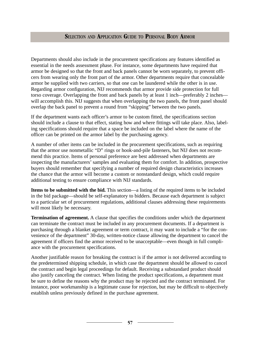Departments should also include in the procurement specifications any features identified as essential in the needs assessment phase. For instance, some departments have required that armor be designed so that the front and back panels cannot be worn separately, to prevent officers from wearing only the front part of the armor. Other departments require that concealable armor be supplied with two carriers, so that one can be laundered while the other is in use. Regarding armor configuration, NIJ recommends that armor provide side protection for full torso coverage. Overlapping the front and back panels by at least 1 inch—preferably 2 inches will accomplish this. NIJ suggests that when overlapping the two panels, the front panel should overlap the back panel to prevent a round from "skipping" between the two panels.

If the department wants each officer's armor to be custom fitted, the specifications section should include a clause to that effect, stating how and where fittings will take place. Also, labeling specifications should require that a space be included on the label where the name of the officer can be printed on the armor label by the purchasing agency.

A number of other items can be included in the procurement specifications, such as requiring that the armor use nonmetallic "D" rings or hook-and-pile fasteners, but NIJ does not recommend this practice. Items of personal preference are best addressed when departments are inspecting the manufacturers' samples and evaluating them for comfort. In addition, prospective buyers should remember that specifying a number of required design characteristics increases the chance that the armor will become a custom or nonstandard design, which could require additional testing to ensure compliance with NIJ standards.

**Items to be submitted with the bid.** This section—a listing of the required items to be included in the bid package—should be self-explanatory to bidders. Because each department is subject to a particular set of procurement regulations, additional clauses addressing these requirements will most likely be necessary.

**Termination of agreement.** A clause that specifies the conditions under which the department can terminate the contract must be included in any procurement documents. If a department is purchasing through a blanket agreement or term contract, it may want to include a "for the convenience of the department" 30-day, written-notice clause allowing the department to cancel the agreement if officers find the armor received to be unacceptable—even though in full compliance with the procurement specifications.

Another justifiable reason for breaking the contract is if the armor is not delivered according to the predetermined shipping schedule, in which case the department should be allowed to cancel the contract and begin legal proceedings for default. Receiving a substandard product should also justify canceling the contract. When listing the product specifications, a department must be sure to define the reasons why the product may be rejected and the contract terminated. For instance, poor workmanship is a legitimate cause for rejection, but may be difficult to objectively establish unless previously defined in the purchase agreement.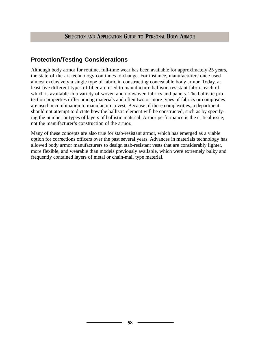## **Protection/Testing Considerations**

Although body armor for routine, full-time wear has been available for approximately 25 years, the state-of-the-art technology continues to change. For instance, manufacturers once used almost exclusively a single type of fabric in constructing concealable body armor. Today, at least five different types of fiber are used to manufacture ballistic-resistant fabric, each of which is available in a variety of woven and nonwoven fabrics and panels. The ballistic protection properties differ among materials and often two or more types of fabrics or composites are used in combination to manufacture a vest. Because of these complexities, a department should not attempt to dictate how the ballistic element will be constructed, such as by specifying the number or types of layers of ballistic material. Armor performance is the critical issue, not the manufacturer's construction of the armor.

Many of these concepts are also true for stab-resistant armor, which has emerged as a viable option for corrections officers over the past several years. Advances in materials technology has allowed body armor manufacturers to design stab-resistant vests that are considerably lighter, more flexible, and wearable than models previously available, which were extremely bulky and frequently contained layers of metal or chain-mail type material.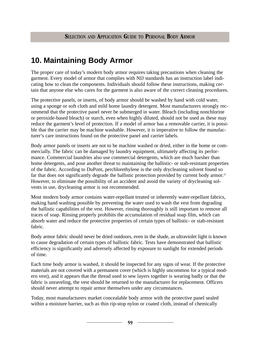# **10. Maintaining Body Armor**

The proper care of today's modern body armor requires taking precautions when cleaning the garment. Every model of armor that complies with NIJ standards has an instruction label indicating how to clean the components. Individuals should follow these instructions, making certain that anyone else who cares for the garment is also aware of the correct cleaning procedures.

The protective panels, or inserts, of body armor should be washed by hand with cold water, using a sponge or soft cloth and mild home laundry detergent. Most manufacturers strongly recommend that the protective panel never be submerged in water. Bleach (including nonchlorine or peroxide-based bleach) or starch, even when highly diluted, should not be used as these may reduce the garment's level of protection. If a model of armor has a removable carrier, it is possible that the carrier may be machine washable. However, it is imperative to follow the manufacturer's care instructions found on the protective panel and carrier labels.

Body armor panels or inserts are not to be machine washed or dried, either in the home or commercially. The fabric can be damaged by laundry equipment, ultimately affecting its performance. Commercial laundries also use commercial detergents, which are much harsher than home detergents, and pose another threat to maintaining the ballistic- or stab-resistant properties of the fabric. According to DuPont, perchlorethylene is the only drycleaning solvent found so far that does not significantly degrade the ballistic protection provided by current body armor.<sup>21</sup> However, to eliminate the possibility of an accident and avoid the variety of drycleaning solvents in use, drycleaning armor is not recommended.

Most modern body armor contains water-repellant treated or inherently water-repellant fabrics, making hand washing possible by preventing the water used to wash the vest from degrading the ballistic capabilities of the vest. However, rinsing thoroughly is still important to remove all traces of soap. Rinsing properly prohibits the accumulation of residual soap film, which can absorb water and reduce the protective properties of certain types of ballistic- or stab-resistant fabric.

Body armor fabric should never be dried outdoors, even in the shade, as ultraviolet light is known to cause degradation of certain types of ballistic fabric. Tests have demonstrated that ballistic efficiency is significantly and adversely affected by exposure to sunlight for extended periods of time.

Each time body armor is washed, it should be inspected for any signs of wear. If the protective materials are not covered with a permanent cover (which is highly uncommon for a typical modern vest), and it appears that the thread used to sew layers together is wearing badly or that the fabric is unraveling, the vest should be returned to the manufacturer for replacement. Officers should never attempt to repair armor themselves under any circumstances.

Today, most manufacturers market concealable body armor with the protective panel sealed within a moisture barrier, such as thin rip-stop nylon or coated cloth, instead of chemically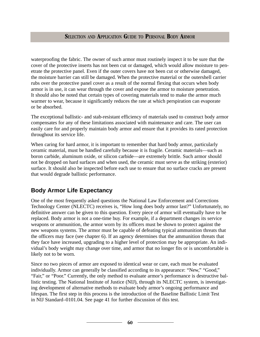waterproofing the fabric. The owner of such armor must routinely inspect it to be sure that the cover of the protective inserts has not been cut or damaged, which would allow moisture to penetrate the protective panel. Even if the outer covers have not been cut or otherwise damaged, the moisture barrier can still be damaged. When the protective material or the outershell carrier rubs over the protective panel cover as a result of the normal flexing that occurs when body armor is in use, it can wear through the cover and expose the armor to moisture penetration. It should also be noted that certain types of covering materials tend to make the armor much warmer to wear, because it significantly reduces the rate at which perspiration can evaporate or be absorbed.

The exceptional ballistic- and stab-resistant efficiency of materials used to construct body armor compensates for any of these limitations associated with maintenance and care. The user can easily care for and properly maintain body armor and ensure that it provides its rated protection throughout its service life.

When caring for hard armor, it is important to remember that hard body armor, particularly ceramic material, must be handled carefully because it is fragile. Ceramic materials—such as boron carbide, aluminum oxide, or silicon carbide—are extremely brittle. Such armor should not be dropped on hard surfaces and when used, the ceramic must serve as the striking (exterior) surface. It should also be inspected before each use to ensure that no surface cracks are present that would degrade ballistic performance.

## **Body Armor Life Expectancy**

One of the most frequently asked questions the National Law Enforcement and Corrections Technology Center (NLECTC) receives is, "How long does body armor last?" Unfortunately, no definitive answer can be given to this question. Every piece of armor will eventually have to be replaced. Body armor is not a one-time buy. For example, if a department changes its service weapons or ammunition, the armor worn by its officers must be shown to protect against the new weapons systems. The armor must be capable of defeating typical ammunition threats that the officers may face (see chapter 6). If an agency determines that the ammunition threats that they face have increased, upgrading to a higher level of protection may be appropriate. An individual's body weight may change over time, and armor that no longer fits or is uncomfortable is likely not to be worn.

Since no two pieces of armor are exposed to identical wear or care, each must be evaluated individually. Armor can generally be classified according to its appearance: "New," "Good," "Fair," or "Poor." Currently, the only method to evaluate armor's performance is destructive ballistic testing. The National Institute of Justice (NIJ), through its NLECTC system, is investigating development of alternative methods to evaluate body armor's ongoing performance and lifespan. The first step in this process is the introduction of the Baseline Ballistic Limit Test in NIJ Standard–0101.04. See page 41 for further discussion of this test.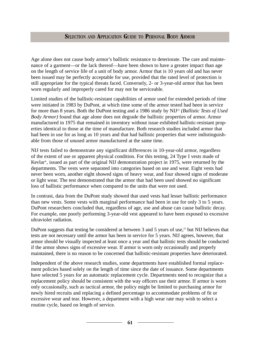Age alone does not cause body armor's ballistic resistance to deteriorate. The care and maintenance of a garment—or the lack thereof—have been shown to have a greater impact than age on the length of service life of a unit of body armor. Armor that is 10 years old and has never been issued may be perfectly acceptable for use, provided that the rated level of protection is still appropriate for the typical threats faced. Conversely, 2- or 3-year-old armor that has been worn regularly and improperly cared for may not be serviceable.

Limited studies of the ballistic-resistant capabilities of armor used for extended periods of time were initiated in 1983 by DuPont, at which time some of the armor tested had been in service for more than 8 years. Both the DuPont testing and a 1986 study by NIJ<sup>22</sup> *(Ballistic Tests of Used*) *Body Armor)* found that age alone does not degrade the ballistic properties of armor. Armor manufactured in 1975 that remained in inventory without issue exhibited ballistic-resistant properties identical to those at the time of manufacture. Both research studies included armor that had been in use for as long as 10 years and that had ballistic properties that were indistinguishable from those of unused armor manufactured at the same time.

NIJ tests failed to demonstrate any significant differences in 10-year-old armor, regardless of the extent of use or apparent physical condition. For this testing, 24 Type I vests made of Kevlar®, issued as part of the original NIJ demonstration project in 1975, were returned by the departments. The vests were separated into categories based on use and wear. Eight vests had never been worn, another eight showed signs of heavy wear, and four showed signs of moderate or light wear. The test demonstrated that the armor that had been used showed no significant loss of ballistic performance when compared to the units that were not used.

In contrast, data from the DuPont study showed that used vests had lesser ballistic performance than new vests. Some vests with marginal performance had been in use for only 3 to 5 years. DuPont researchers concluded that, regardless of age, use and abuse can cause ballistic decay. For example, one poorly performing 3-year-old vest appeared to have been exposed to excessive ultraviolet radiation.

DuPont suggests that testing be considered at between 3 and 5 years of use, $^{23}$  but NIJ believes that tests are not necessary until the armor has been in service for 5 years. NIJ agrees, however, that armor should be visually inspected at least once a year and that ballistic tests should be conducted if the armor shows signs of excessive wear. If armor is worn only occasionally and properly maintained, there is no reason to be concerned that ballistic-resistant properties have deteriorated.

Independent of the above research studies, some departments have established formal replacement policies based solely on the length of time since the date of issuance. Some departments have selected 5 years for an automatic replacement cycle. Departments need to recognize that a replacement policy should be consistent with the way officers use their armor. If armor is worn only occasionally, such as tactical armor, the policy might be limited to purchasing armor for newly hired recruits and replacing a defined percentage to accommodate problems of fit or excessive wear and tear. However, a department with a high wear rate may wish to select a routine cycle, based on length of service.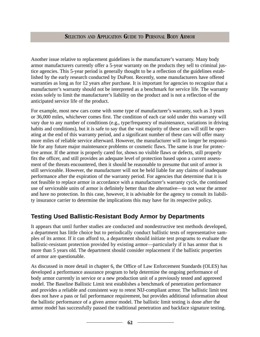Another issue relative to replacement guidelines is the manufacturer's warranty. Many body armor manufacturers currently offer a 5-year warranty on the products they sell to criminal justice agencies. This 5-year period is generally thought to be a reflection of the guidelines established by the early research conducted by DuPont. Recently, some manufacturers have offered warranties as long as for 12 years after purchase. It is important for agencies to recognize that a manufacturer's warranty should not be interpreted as a benchmark for service life. The warranty exists solely to limit the manufacturer's liability on the product and is not a reflection of the anticipated service life of the product.

For example, most new cars come with some type of manufacturer's warranty, such as 3 years or 36,000 miles, whichever comes first. The condition of each car sold under this warranty will vary due to any number of conditions (e.g., type/frequency of maintenance, variations in driving habits and conditions), but it is safe to say that the vast majority of these cars will still be operating at the end of this warranty period, and a significant number of these cars will offer many more miles of reliable service afterward. However, the manufacturer will no longer be responsible for any future major maintenance problems or cosmetic flaws. The same is true for protective armor. If the armor is properly cared for, shows no visible flaws or defects, still properly fits the officer, and still provides an adequate level of protection based upon a current assessment of the threats encountered, then it should be reasonable to presume that unit of armor is still serviceable. However, the manufacturer will not be held liable for any claims of inadequate performance after the expiration of the warranty period. For agencies that determine that it is not feasible to replace armor in accordance with a manufacturer's warranty cycle, the continued use of serviceable units of armor is definitely better than the alternative—to not wear the armor and have no protection. In this case, however, it is advisable for the agency to consult its liability insurance carrier to determine the implications this may have for its respective policy.

## **Testing Used Ballistic-Resistant Body Armor by Departments**

It appears that until further studies are conducted and nondestructive test methods developed, a department has little choice but to periodically conduct ballistic tests of representative samples of its armor. If it can afford to, a department should initiate test programs to evaluate the ballistic-resistant protection provided by existing armor—particularly if it has armor that is more than 5 years old. The department should consider replacement if the ballistic properties of armor are questionable.

As discussed in more detail in chapter 6, the Office of Law Enforcement Standards (OLES) has developed a performance assurance program to help determine the ongoing performance of body armor currently in service or a new production unit of a previously tested and approved model. The Baseline Ballistic Limit test establishes a benchmark of penetration performance and provides a reliable and consistent way to retest NIJ-compliant armor. The ballistic limit test does not have a pass or fail performance requirement, but provides additional information about the ballistic performance of a given armor model. The ballistic limit testing is done after the armor model has successfully passed the traditional penetration and backface signature testing.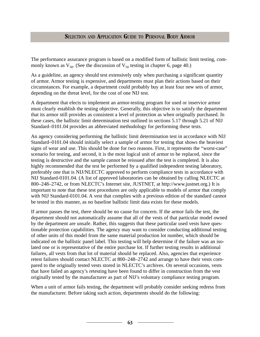The performance assurance program is based on a modified form of ballistic limit testing, commonly known as  $V_{50}$ . (See the discussion of  $V_{50}$  testing in chapter 6, page 40.)

As a guideline, an agency should test extensively only when purchasing a significant quantity of armor. Armor testing is expensive, and departments must plan their actions based on their circumstances. For example, a department could probably buy at least four new sets of armor, depending on the threat level, for the cost of one NIJ test.

A department that elects to implement an armor-testing program for used or inservice armor must clearly establish the testing objective. Generally, this objective is to satisfy the department that its armor still provides as consistent a level of protection as when originally purchased. In these cases, the ballistic limit determination test outlined in sections 5.17 through 5.21 of NIJ Standard–0101.04 provides an abbreviated methodology for performing these tests.

An agency considering performing the ballistic limit determination test in accordance with NIJ Standard–0101.04 should initially select a sample of armor for testing that shows the heaviest signs of wear and use. This should be done for two reasons. First, it represents the "worst-case" scenario for testing, and second, it is the most logical unit of armor to be replaced, since the testing is destructive and the sample cannot be reissued after the test is completed. It is also highly recommended that the test be performed by a qualified independent testing laboratory, preferably one that is NIJ/NLECTC approved to perform compliance tests in accordance with NIJ Standard-0101.04. (A list of approved laboratories can be obtained by calling NLECTC at 800–248–2742, or from NLECTC's Internet site, JUSTNET, at http://www.justnet.org.) It is important to note that these test procedures are only applicable to models of armor that comply with NIJ Standard-0101.04. A vest that complies with a previous edition of the standard cannot be tested in this manner, as no baseline ballistic limit data exists for these models.

If armor passes the test, there should be no cause for concern. If the armor fails the test, the department should not automatically assume that all of the vests of that particular model owned by the department are unsafe. Rather, this suggests that these particular used vests have questionable protection capabilities. The agency may want to consider conducting additional testing of other units of this model from the same material production lot number, which should be indicated on the ballistic panel label. This testing will help determine if the failure was an isolated one or is representative of the entire purchase lot. If further testing results in additional failures, all vests from that lot of material should be replaced. Also, agencies that experience retest failures should contact NLECTC at 800–248–2742 and arrange to have their vests compared to the originally tested vests stored in NLECTC's archives. On several occasions, vests that have failed an agency's retesting have been found to differ in construction from the vest originally tested by the manufacturer as part of NIJ's voluntary compliance testing program.

When a unit of armor fails testing, the department will probably consider seeking redress from the manufacturer. Before taking such action, departments should do the following: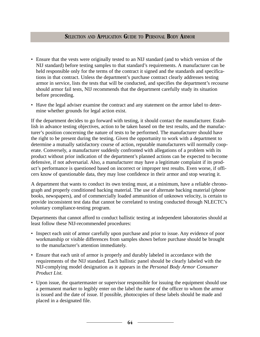- Ensure that the vests were originally tested to an NIJ standard (and to which version of the NIJ standard) before testing samples to that standard's requirements. A manufacturer can be held responsible only for the terms of the contract it signed and the standards and specifications in that contract. Unless the department's purchase contract clearly addresses testing armor in service, lists the tests that will be conducted, and specifies the department's recourse should armor fail tests, NIJ recommends that the department carefully study its situation before proceeding.
- Have the legal adviser examine the contract and any statement on the armor label to determine whether grounds for legal action exist.

If the department decides to go forward with testing, it should contact the manufacturer. Establish in advance testing objectives, action to be taken based on the test results, and the manufacturer's position concerning the nature of tests to be performed. The manufacturer should have the right to be present during the testing. Given the opportunity to work with a department to determine a mutually satisfactory course of action, reputable manufacturers will normally cooperate. Conversely, a manufacturer suddenly confronted with allegations of a problem with its product without prior indication of the department's planned actions can be expected to become defensive, if not adversarial. Also, a manufacturer may have a legitimate complaint if its product's performance is questioned based on incorrect or improper test results. Even worse, if officers know of questionable data, they may lose confidence in their armor and stop wearing it.

A department that wants to conduct its own testing must, at a minimum, have a reliable chronograph and properly conditioned backing material. The use of alternate backing material (phone books, newspapers), and of commercially loaded ammunition of unknown velocity, is certain to provide inconsistent test data that cannot be correlated to testing conducted through NLECTC's voluntary compliance-testing program.

Departments that cannot afford to conduct ballistic testing at independent laboratories should at least follow these NIJ-recommended procedures:

- Inspect each unit of armor carefully upon purchase and prior to issue. Any evidence of poor workmanship or visible differences from samples shown before purchase should be brought to the manufacturer's attention immediately.
- Ensure that each unit of armor is properly and durably labeled in accordance with the requirements of the NIJ standard. Each ballistic panel should be clearly labeled with the NIJ-complying model designation as it appears in the *Personal Body Armor Consumer Product List.*
- Upon issue, the quartermaster or supervisor responsible for issuing the equipment should use a permanent marker to legibly enter on the label the name of the officer to whom the armor is issued and the date of issue. If possible, photocopies of these labels should be made and placed in a designated file.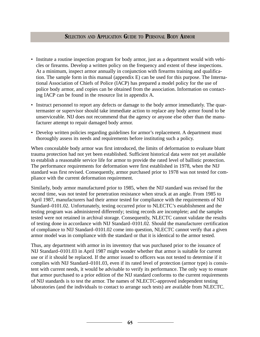- Institute a routine inspection program for body armor, just as a department would with vehicles or firearms. Develop a written policy on the frequency and extent of these inspections. At a minimum, inspect armor annually in conjunction with firearms training and qualification. The sample form in this manual (appendix E) can be used for this purpose. The International Association of Chiefs of Police (IACP) has prepared a model policy for the use of police body armor, and copies can be obtained from the association. Information on contacting IACP can be found in the resource list in appendix A.
- Instruct personnel to report any defects or damage to the body armor immediately. The quartermaster or supervisor should take immediate action to replace any body armor found to be unserviceable. NIJ does not recommend that the agency or anyone else other than the manufacturer attempt to repair damaged body armor.
- Develop written policies regarding guidelines for armor's replacement. A department must thoroughly assess its needs and requirements before instituting such a policy.

When concealable body armor was first introduced, the limits of deformation to evaluate blunt trauma protection had not yet been established. Sufficient historical data were not yet available to establish a reasonable service life for armor to provide the rated level of ballistic protection. The performance requirements for deformation were first established in 1978, when the NIJ standard was first revised. Consequently, armor purchased prior to 1978 was not tested for compliance with the current deformation requirement.

Similarly, body armor manufactured prior to 1985, when the NIJ standard was revised for the second time, was not tested for penetration resistance when struck at an angle. From 1985 to April 1987, manufacturers had their armor tested for compliance with the requirements of NIJ Standard–0101.02. Unfortunately, testing occurred prior to NLECTC's establishment and the testing program was administered differently; testing records are incomplete; and the samples tested were not retained in archival storage. Consequently, NLECTC cannot validate the results of testing done in accordance with NIJ Standard–0101.02. Should the manufacturer certification of compliance to NIJ Standard–0101.02 come into question, NLECTC cannot verify that a given armor model was in compliance with the standard or that it is identical to the armor tested.

Thus, any department with armor in its inventory that was purchased prior to the issuance of NIJ Standard–0101.03 in April 1987 might wonder whether that armor is suitable for current use or if it should be replaced. If the armor issued to officers was not tested to determine if it complies with NIJ Standard–0101.03, even if its rated level of protection (armor type) is consistent with current needs, it would be advisable to verify its performance. The only way to ensure that armor purchased to a prior edition of the NIJ standard conforms to the current requirements of NIJ standards is to test the armor. The names of NLECTC-approved independent testing laboratories (and the individuals to contact to arrange such tests) are available from NLECTC.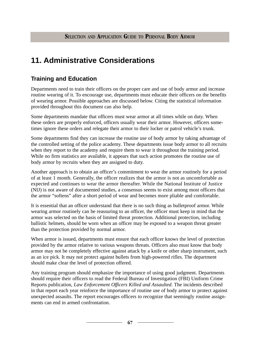# **11. Administrative Considerations**

## **Training and Education**

Departments need to train their officers on the proper care and use of body armor and increase routine wearing of it. To encourage use, departments must educate their officers on the benefits of wearing armor. Possible approaches are discussed below. Citing the statistical information provided throughout this document can also help.

Some departments mandate that officers must wear armor at all times while on duty. When these orders are properly enforced, officers usually wear their armor. However, officers sometimes ignore these orders and relegate their armor to their locker or patrol vehicle's trunk.

Some departments find they can increase the routine use of body armor by taking advantage of the controlled setting of the police academy. These departments issue body armor to all recruits when they report to the academy and require them to wear it throughout the training period. While no firm statistics are available, it appears that such action promotes the routine use of body armor by recruits when they are assigned to duty.

Another approach is to obtain an officer's commitment to wear the armor routinely for a period of at least 1 month. Generally, the officer realizes that the armor is not as uncomfortable as expected and continues to wear the armor thereafter. While the National Institute of Justice (NIJ) is not aware of documented studies, a consensus seems to exist among most officers that the armor "softens" after a short period of wear and becomes more pliable and comfortable.

It is essential that an officer understand that there is no such thing as bulletproof armor. While wearing armor routinely can be reassuring to an officer, the officer must keep in mind that the armor was selected on the basis of limited threat protection. Additional protection, including ballistic helmets, should be worn when an officer may be exposed to a weapon threat greater than the protection provided by normal armor.

When armor is issued, departments must ensure that each officer knows the level of protection provided by the armor relative to various weapons threats. Officers also must know that body armor may not be completely effective against attack by a knife or other sharp instrument, such as an ice pick. It may not protect against bullets from high-powered rifles. The department should make clear the level of protection offered.

Any training program should emphasize the importance of using good judgment. Departments should require their officers to read the Federal Bureau of Investigation (FBI) Uniform Crime Reports publication, *Law Enforcement Officers Killed and Assaulted.* The incidents described in that report each year reinforce the importance of routine use of body armor to protect against unexpected assaults. The report encourages officers to recognize that seemingly routine assignments can end in armed confrontation.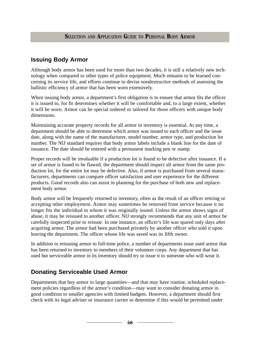## **Issuing Body Armor**

Although body armor has been used for more than two decades, it is still a relatively new technology when compared to other types of police equipment. Much remains to be learned concerning its service life, and efforts continue to devise nondestructive methods of assessing the ballistic efficiency of armor that has been worn extensively.

When issuing body armor, a department's first obligation is to ensure that armor fits the officer it is issued to, for fit determines whether it will be comfortable and, to a large extent, whether it will be worn. Armor can be special ordered or tailored for those officers with unique body dimensions.

Maintaining accurate property records for all armor in inventory is essential. At any time, a department should be able to determine which armor was issued to each officer and the issue date, along with the name of the manufacturer, model number, armor type, and production lot number. The NIJ standard requires that body armor labels include a blank line for the date of issuance. The date should be entered with a permanent marking pen or stamp.

Proper records will be invaluable if a production lot is found to be defective after issuance. If a set of armor is found to be flawed, the department should inspect all armor from the same production lot, for the entire lot may be defective. Also, if armor is purchased from several manufacturers, departments can compare officer satisfaction and user experience for the different products. Good records also can assist in planning for the purchase of both new and replacement body armor.

Body armor will be frequently returned to inventory, often as the result of an officer retiring or accepting other employment. Armor may sometimes be removed from service because it no longer fits the individual to whom it was originally issued. Unless the armor shows signs of abuse, it may be reissued to another officer. NIJ strongly recommends that any unit of armor be carefully inspected prior to reissue. In one instance, an officer's life was spared only days after acquiring armor. The armor had been purchased privately by another officer who sold it upon leaving the department. The officer whose life was saved was its fifth owner.

In addition to reissuing armor to full-time police, a number of departments issue used armor that has been returned to inventory to members of their volunteer corps. Any department that has used but serviceable armor in its inventory should try to issue it to someone who will wear it.

## **Donating Serviceable Used Armor**

Departments that buy armor in large quantities—and that may have routine, scheduled replacement policies regardless of the armor's condition—may want to consider donating armor in good condition to smaller agencies with limited budgets. However, a department should first check with its legal adviser or insurance carrier to determine if this would be permitted under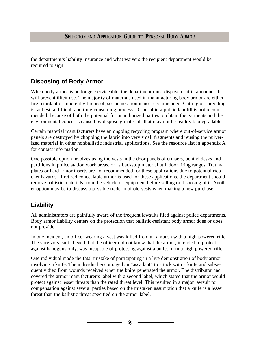the department's liability insurance and what waivers the recipient department would be required to sign.

# **Disposing of Body Armor**

When body armor is no longer serviceable, the department must dispose of it in a manner that will prevent illicit use. The majority of materials used in manufacturing body armor are either fire retardant or inherently fireproof, so incineration is not recommended. Cutting or shredding is, at best, a difficult and time-consuming process. Disposal in a public landfill is not recommended, because of both the potential for unauthorized parties to obtain the garments and the environmental concerns caused by disposing materials that may not be readily biodegradable.

Certain material manufacturers have an ongoing recycling program where out-of-service armor panels are destroyed by chopping the fabric into very small fragments and reusing the pulverized material in other nonballistic industrial applications. See the resource list in appendix A for contact information.

One possible option involves using the vests in the door panels of cruisers, behind desks and partitions in police station work areas, or as backstop material at indoor firing ranges. Trauma plates or hard armor inserts are not recommended for these applications due to potential ricochet hazards. If retired concealable armor is used for these applications, the department should remove ballistic materials from the vehicle or equipment before selling or disposing of it. Another option may be to discuss a possible trade-in of old vests when making a new purchase.

# **Liability**

All administrators are painfully aware of the frequent lawsuits filed against police departments. Body armor liability centers on the protection that ballistic-resistant body armor does or does not provide.

In one incident, an officer wearing a vest was killed from an ambush with a high-powered rifle. The survivors' suit alleged that the officer did not know that the armor, intended to protect against handguns only, was incapable of protecting against a bullet from a high-powered rifle.

One individual made the fatal mistake of participating in a live demonstration of body armor involving a knife. The individual encouraged an "assailant" to attack with a knife and subsequently died from wounds received when the knife penetrated the armor. The distributor had covered the armor manufacturer's label with a second label, which stated that the armor would protect against lesser threats than the rated threat level. This resulted in a major lawsuit for compensation against several parties based on the mistaken assumption that a knife is a lesser threat than the ballistic threat specified on the armor label.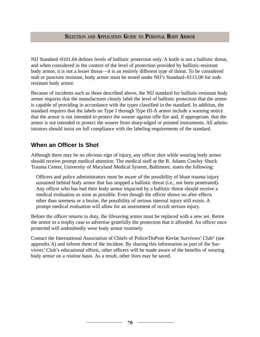NIJ Standard–0101.04 defines levels of ballistic protection only. A knife is not a ballistic threat, and when considered in the context of the level of protection provided by ballistic-resistant body armor, it is not a lesser threat—it is an entirely different type of threat. To be considered stab or puncture resistant, body armor must be tested under NIJ's Standard–0115.00 for stabresistant body armor.

Because of incidents such as those described above, the NIJ standard for ballistic-resistant body armor requires that the manufacturer clearly label the level of ballistic protection that the armor is capable of providing in accordance with the types classified in the standard. In addition, the standard requires that the labels on Type I through Type III-A armor include a warning notice that the armor is not intended to protect the wearer against rifle fire and, if appropriate, that the armor is not intended to protect the wearer from sharp-edged or pointed instruments. All administrators should insist on full compliance with the labeling requirements of the standard.

## **When an Officer Is Shot**

Although there may be no obvious sign of injury, any officer shot while wearing body armor should receive prompt medical attention. The medical staff at the R. Adams Cowley Shock Trauma Center, University of Maryland Medical System, Baltimore, states the following:

Officers and police administrators must be aware of the possibility of blunt trauma injury sustained behind body armor that has stopped a ballistic threat (i.e., not been penetrated). Any officer who has had their body armor impacted by a ballistic threat should receive a medical evaluation as soon as possible. Even though the officer shows no after effects other than soreness or a bruise, the possibility of serious internal injury still exists. A prompt medical evaluation will allow for an assessment of occult serious injury.

Before the officer returns to duty, the lifesaving armor must be replaced with a new set. Retire the armor to a trophy case to advertise gratefully the protection that it afforded. An officer once protected will undoubtedly wear body armor routinely.

Contact the International Association of Chiefs of Police/DuPont Kevlar Survivors' Club® (see appendix A) and inform them of the incident. By sharing this information as part of the Survivors' Club's educational efforts, other officers will be made aware of the benefits of wearing body armor on a routine basis. As a result, other lives may be saved.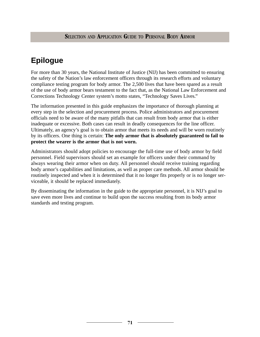# **Epilogue**

For more than 30 years, the National Institute of Justice (NIJ) has been committed to ensuring the safety of the Nation's law enforcement officers through its research efforts and voluntary compliance testing program for body armor. The 2,500 lives that have been spared as a result of the use of body armor bears testament to the fact that, as the National Law Enforcement and Corrections Technology Center system's motto states, "Technology Saves Lives."

The information presented in this guide emphasizes the importance of thorough planning at every step in the selection and procurement process. Police administrators and procurement officials need to be aware of the many pitfalls that can result from body armor that is either inadequate or excessive. Both cases can result in deadly consequences for the line officer. Ultimately, an agency's goal is to obtain armor that meets its needs and will be worn routinely by its officers. One thing is certain: **The only armor that is absolutely guaranteed to fail to protect the wearer is the armor that is not worn.**

Administrators should adopt policies to encourage the full-time use of body armor by field personnel. Field supervisors should set an example for officers under their command by always wearing their armor when on duty. All personnel should receive training regarding body armor's capabilities and limitations, as well as proper care methods. All armor should be routinely inspected and when it is determined that it no longer fits properly or is no longer serviceable, it should be replaced immediately.

By disseminating the information in the guide to the appropriate personnel, it is NIJ's goal to save even more lives and continue to build upon the success resulting from its body armor standards and testing program.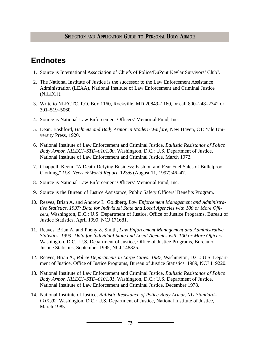# **Endnotes**

- 1. Source is International Association of Chiefs of Police/DuPont Kevlar Survivors' Club®.
- 2. The National Institute of Justice is the successor to the Law Enforcement Assistance Administration (LEAA), National Institute of Law Enforcement and Criminal Justice (NILECJ).
- 3. Write to NLECTC, P.O. Box 1160, Rockville, MD 20849–1160, or call 800–248–2742 or 301–519–5060.
- 4. Source is National Law Enforcement Officers' Memorial Fund, Inc.
- 5. Dean, Bashford, *Helmets and Body Armor in Modern Warfare,* New Haven, CT: Yale University Press, 1920.
- 6. National Institute of Law Enforcement and Criminal Justice, *Ballistic Resistance of Police Body Armor, NILECJ–STD–0101.00,* Washington, D.C.: U.S. Department of Justice, National Institute of Law Enforcement and Criminal Justice, March 1972.
- 7. Chappell, Kevin, "A Death-Defying Business: Fashion and Fear Fuel Sales of Bulletproof Clothing," *U.S. News & World Report,* 123:6 (August 11, 1997):46–47.
- 8. Source is National Law Enforcement Officers' Memorial Fund, Inc.
- 9. Source is the Bureau of Justice Assistance, Public Safety Officers' Benefits Program.
- 10. Reaves, Brian A. and Andrew L. Goldberg, *Law Enforcement Management and Administrative Statistics, 1997: Data for Individual State and Local Agencies with 100 or More Officers,* Washington, D.C.: U.S. Department of Justice, Office of Justice Programs, Bureau of Justice Statistics, April 1999, NCJ 171681.
- 11. Reaves, Brian A. and Pheny Z. Smith, *Law Enforcement Management and Administrative Statistics, 1993: Data for Individual State and Local Agencies with 100 or More Officers,* Washington, D.C.: U.S. Department of Justice, Office of Justice Programs, Bureau of Justice Statistics, September 1995, NCJ 148825.
- 12. Reaves, Brian A., *Police Departments in Large Cities: 1987,* Washington, D.C.: U.S. Department of Justice, Office of Justice Programs, Bureau of Justice Statistics, 1989, NCJ 119220.
- 13. National Institute of Law Enforcement and Criminal Justice, *Ballistic Resistance of Police Body Armor, NILECJ–STD–0101.01,* Washington, D.C.: U.S. Department of Justice, National Institute of Law Enforcement and Criminal Justice, December 1978.
- 14. National Institute of Justice, *Ballistic Resistance of Police Body Armor, NIJ Standard– 0101.02,* Washington, D.C.: U.S. Department of Justice, National Institute of Justice, March 1985.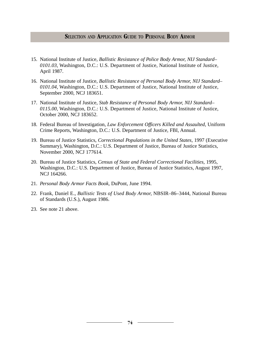- 15. National Institute of Justice, *Ballistic Resistance of Police Body Armor, NIJ Standard– 0101.03,* Washington, D.C.: U.S. Department of Justice, National Institute of Justice, April 1987.
- 16. National Institute of Justice, *Ballistic Resistance of Personal Body Armor, NIJ Standard– 0101.04,* Washington, D.C.: U.S. Department of Justice, National Institute of Justice, September 2000, NCJ 183651.
- 17. National Institute of Justice, *Stab Resistance of Personal Body Armor, NIJ Standard– 0115.00,* Washington, D.C.: U.S. Department of Justice, National Institute of Justice, October 2000, NCJ 183652.
- 18. Federal Bureau of Investigation, *Law Enforcement Officers Killed and Assaulted,* Uniform Crime Reports, Washington, D.C.: U.S. Department of Justice, FBI, Annual.
- 19. Bureau of Justice Statistics, *Correctional Populations in the United States,* 1997 (Executive Summary), Washington, D.C.: U.S. Department of Justice, Bureau of Justice Statistics, November 2000, NCJ 177614.
- 20. Bureau of Justice Statistics, *Census of State and Federal Correctional Facilities,* 1995, Washington, D.C.: U.S. Department of Justice, Bureau of Justice Statistics, August 1997, NCJ 164266.
- 21. *Personal Body Armor Facts Book,* DuPont, June 1994.
- 22. Frank, Daniel E., *Ballistic Tests of Used Body Armor,* NBSIR–86–3444, National Bureau of Standards (U.S.), August 1986.
- 23. See note 21 above.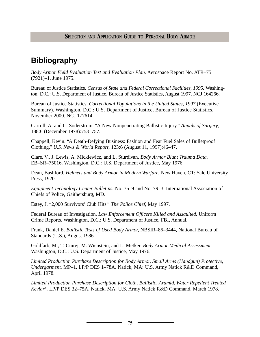# **Bibliography**

*Body Armor Field Evaluation Test and Evaluation Plan.* Aerospace Report No. ATR–75 (7921)–1. June 1975.

Bureau of Justice Statistics. *Census of State and Federal Correctional Facilities, 1995.* Washington, D.C.: U.S. Department of Justice, Bureau of Justice Statistics, August 1997. NCJ 164266.

Bureau of Justice Statistics. *Correctional Populations in the United States, 1997* (Executive Summary). Washington, D.C.: U.S. Department of Justice, Bureau of Justice Statistics, November 2000. NCJ 177614.

Carroll, A. and C. Soderstrom. "A New Nonpenetrating Ballistic Injury." *Annals of Surgery,* 188:6 (December 1978):753–757.

Chappell, Kevin. "A Death-Defying Business: Fashion and Fear Fuel Sales of Bulletproof Clothing." *U.S. News & World Report,* 123:6 (August 11, 1997):46–47.

Clare, V., J. Lewis, A. Mickiewicz, and L. Sturdivan. *Body Armor Blunt Trauma Data.* EB–SR–75016. Washington, D.C.: U.S. Department of Justice, May 1976.

Dean, Bashford. *Helmets and Body Armor in Modern Warfare.* New Haven, CT: Yale University Press, 1920.

*Equipment Technology Center Bulletins.* No. 76–9 and No. 79–3. International Association of Chiefs of Police, Gaithersburg, MD.

Estey, J. "2,000 Survivors' Club Hits." *The Police Chief,* May 1997.

Federal Bureau of Investigation. *Law Enforcement Officers Killed and Assaulted.* Uniform Crime Reports. Washington, D.C.: U.S. Department of Justice, FBI, Annual.

Frank, Daniel E. *Ballistic Tests of Used Body Armor,* NBSIR–86–3444, National Bureau of Standards (U.S.), August 1986.

Goldfarb, M., T. Ciurej, M. Wienstein, and L. Metker. *Body Armor Medical Assessment.* Washington, D.C.: U.S. Department of Justice, May 1976.

*Limited Production Purchase Description for Body Armor, Small Arms (Handgun) Protective, Undergarment.* MP–1, LP/P DES 1–78A. Natick, MA: U.S. Army Natick R&D Command, April 1978.

*Limited Production Purchase Description for Cloth, Ballistic, Aramid, Water Repellent Treated Kevlar®*. LP/P DES 32–75A. Natick, MA: U.S. Army Natick R&D Command, March 1978.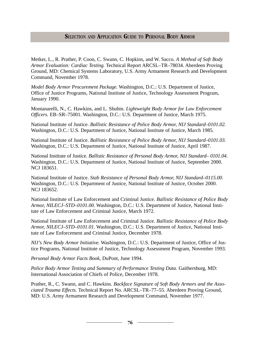Metker, L., R. Prather, P. Coon, C. Swann, C. Hopkins, and W. Sacco. *A Method of Soft Body Armor Evaluation: Cardiac Testing.* Technical Report ARCSL–TR–78034. Aberdeen Proving Ground, MD: Chemical Systems Laboratory, U.S. Army Armament Research and Development Command, November 1978.

*Model Body Armor Procurement Package.* Washington, D.C.: U.S. Department of Justice, Office of Justice Programs, National Institute of Justice, Technology Assessment Program, January 1990.

Montanarelli, N., C. Hawkins, and L. Shubin. *Lightweight Body Armor for Law Enforcement Officers.* EB–SR–75001. Washington, D.C.: U.S. Department of Justice, March 1975.

National Institute of Justice. *Ballistic Resistance of Police Body Armor, NIJ Standard–0101.02.* Washington, D.C.: U.S. Department of Justice, National Institute of Justice, March 1985.

National Institute of Justice. *Ballistic Resistance of Police Body Armor, NIJ Standard–0101.03.* Washington, D.C.: U.S. Department of Justice, National Institute of Justice, April 1987.

National Institute of Justice. *Ballistic Resistance of Personal Body Armor, NIJ Standard– 0101.04.* Washington, D.C.: U.S. Department of Justice, National Institute of Justice, September 2000. NCJ 183651.

National Institute of Justice. *Stab Resistance of Personal Body Armor, NIJ Standard–0115.00.* Washington, D.C.: U.S. Department of Justice, National Institute of Justice, October 2000. NCJ 183652.

National Institute of Law Enforcement and Criminal Justice. *Ballistic Resistance of Police Body Armor, NILECJ–STD–0101.00.* Washington, D.C.: U.S. Department of Justice, National Institute of Law Enforcement and Criminal Justice, March 1972.

National Institute of Law Enforcement and Criminal Justice. *Ballistic Resistance of Police Body Armor, NILECJ–STD–0101.01.* Washington, D.C.: U.S. Department of Justice, National Institute of Law Enforcement and Criminal Justice, December 1978.

*NIJ's New Body Armor Initiative.* Washington, D.C.: U.S. Department of Justice, Office of Justice Programs, National Institute of Justice, Technology Assessment Program, November 1993.

*Personal Body Armor Facts Book,* DuPont, June 1994.

*Police Body Armor Testing and Summary of Performance Testing Data.* Gaithersburg, MD: International Association of Chiefs of Police, December 1978.

Prather, R., C. Swann, and C. Hawkins. *Backface Signature of Soft Body Armors and the Associated Trauma Effects.* Technical Report No. ARCSL–TR–77–55. Aberdeen Proving Ground, MD: U.S. Army Armament Research and Development Command, November 1977.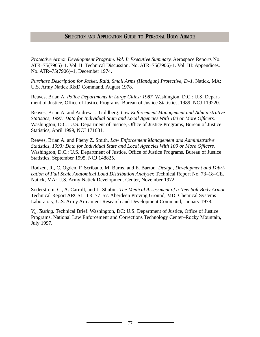*Protective Armor Development Program. Vol. I: Executive Summary.* Aerospace Reports No. ATR–75(7905)–1. Vol. II: Technical Discussion. No. ATR–75(7906)-1. Vol. III: Appendices. No. ATR–75(7906)–1, December 1974.

*Purchase Description for Jacket, Raid, Small Arms (Handgun) Protective, D–1.* Natick, MA: U.S. Army Natick R&D Command, August 1978.

Reaves, Brian A. *Police Departments in Large Cities: 1987.* Washington, D.C.: U.S. Department of Justice, Office of Justice Programs, Bureau of Justice Statistics, 1989, NCJ 119220.

Reaves, Brian A. and Andrew L. Goldberg. *Law Enforcement Management and Administrative Statistics, 1997: Data for Individual State and Local Agencies With 100 or More Officers.* Washington, D.C.: U.S. Department of Justice, Office of Justice Programs, Bureau of Justice Statistics, April 1999, NCJ 171681.

Reaves, Brian A. and Pheny Z. Smith. *Law Enforcement Management and Administrative Statistics, 1993: Data for Individual State and Local Agencies With 100 or More Officers.* Washington, D.C.: U.S. Department of Justice, Office of Justice Programs, Bureau of Justice Statistics, September 1995, NCJ 148825.

Rodzen, R., C. Ogden, F. Scribano, M. Burns, and E. Barron. *Design, Development and Fabrication of Full Scale Anatomical Load Distribution Analyzer.* Technical Report No. 73–18–CE. Natick, MA: U.S. Army Natick Development Center, November 1972.

Soderstrom, C., A. Carroll, and L. Shubin. *The Medical Assessment of a New Soft Body Armor.* Technical Report ARCSL–TR–77–57. Aberdeen Proving Ground, MD: Chemical Systems Laboratory, U.S. Army Armament Research and Development Command, January 1978.

 $V_{50}$  *Testing.* Technical Brief. Washington, DC: U.S. Department of Justice, Office of Justice Programs, National Law Enforcement and Corrections Technology Center–Rocky Mountain, July 1997.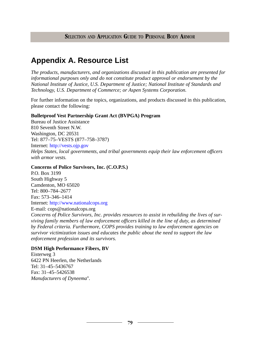# **Appendix A. Resource List**

*The products, manufacturers, and organizations discussed in this publication are presented for informational purposes only and do not constitute product approval or endorsement by the National Institute of Justice, U.S. Department of Justice; National Institute of Standards and Technology, U.S. Department of Commerce; or Aspen Systems Corporation.*

For further information on the topics, organizations, and products discussed in this publication, please contact the following:

#### **Bulletproof Vest Partnership Grant Act (BVPGA) Program**

Bureau of Justice Assistance 810 Seventh Street N.W. Washington, DC 20531 Tel: 877–75–VESTS (877–758–3787) Internet: <http://vests.ojp.gov> *Helps States, local governments, and tribal governments equip their law enforcement officers with armor vests.*

#### **Concerns of Police Survivors, Inc. (C.O.P.S.)**

P.O. Box 3199 South Highway 5 Camdenton, MO 65020 Tel: 800–784–2677 Fax: 573–346–1414 Internet: <http://www.nationalcops.org>

E-mail: cops@nationalcops.org

*Concerns of Police Survivors, Inc. provides resources to assist in rebuilding the lives of surviving family members of law enforcement officers killed in the line of duty, as determined by Federal criteria. Furthermore, COPS provides training to law enforcement agencies on survivor victimization issues and educates the public about the need to support the law enforcement profession and its survivors.*

#### **DSM High Performance Fibers, BV**

Eisterweg 3 6422 PN Heerlen, the Netherlands Tel: 31–45–5436767 Fax: 31–45–5426538 *Manufacturers of Dyneema®.*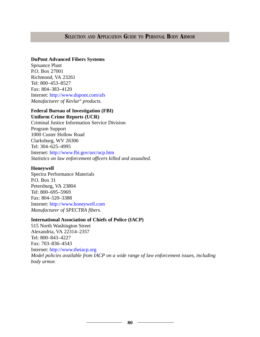#### **DuPont Advanced Fibers Systems**

Spruance Plant P.O. Box 27001 Richmond, VA 23261 Tel: 800–453–8527 Fax: 804–383–4120 Internet: <http://www.dupont.com/afs> *Manufacturer of Kevlar® products.*

# **Federal Bureau of Investigation (FBI)**

**Uniform Crime Reports (UCR)** Criminal Justice Information Service Division Program Support 1000 Custer Hollow Road Clarksburg, WV 26306 Tel: 304–625–4995 Internet: <http://www.fbi.gov/urc/ucp.htm> *Statistics on law enforcement officers killed and assaulted.*

#### **Honeywell**

Spectra Performance Materials P.O. Box 31 Petersburg, VA 23804 Tel: 800–695–5969 Fax: 804–520–3388 Internet: <http://www.honeywell.com> *Manufacturer of SPECTRA fibers.*

#### **International Association of Chiefs of Police (IACP)**

515 North Washington Street Alexandria, VA 22314–2357 Tel: 800–843–4227 Fax: 703–836–4543 Internet: <http://www.theiacp.org> *Model policies available from IACP on a wide range of law enforcement issues, including body armor.*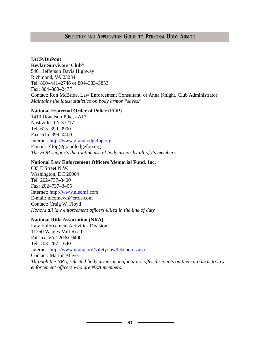#### **IACP/DuPont**

**Kevlar Survivors' Club®**

5401 Jefferson Davis Highway Richmond, VA 23234 Tel: 800–441–2746 or 804–383–3853 Fax: 804–383–2477 Contact: Ron McBride, Law Enforcement Consultant, or Anna Knight, Club Administrator *Maintains the latest statistics on body armor "saves."*

#### **National Fraternal Order of Police (FOP)**

1410 Donelson Pike, #A17 Nashville, TN 37217 Tel: 615–399–0900 Fax: 615–399–0400 Internet: <http://www.grandlodgefop.org> E-mail: glfop@grandlodgefop.org *The FOP supports the routine use of body armor by all of its members.*

#### **National Law Enforcement Officers Memorial Fund, Inc.**

605 E Street N.W. Washington, DC 20004 Tel: 202–737–3400 Fax: 202–737–3405 Internet: <http://www.nleomf.com> E-mail: nleomcwf@erols.com Contact: Craig W. Floyd *Honors all law enforcement officers killed in the line of duty.*

#### **National Rifle Association (NRA)**

Law Enforcement Activities Division 11250 Waples Mill Road Fairfax, VA 22030–9400 Tel: 703–267–1640 Internet: <http://www.nrahq.org/safety/law/lebenefits.asp> Contact: Marion Mayer *Through the NRA, selected body armor manufacturers offer discounts on their products to law enforcement officers who are NRA members.*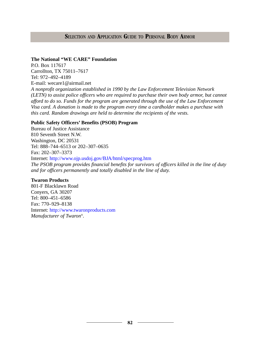#### **The National "WE CARE" Foundation**

P.O. Box 117617 Carrollton, TX 75011–7617 Tel: 972–492–4189 E-mail: wecare1@airmail.net *A nonprofit organization established in 1990 by the Law Enforcement Television Network (LETN) to assist police officers who are required to purchase their own body armor, but cannot afford to do so. Funds for the program are generated through the use of the Law Enforcement Visa card. A donation is made to the program every time a cardholder makes a purchase with this card. Random drawings are held to determine the recipients of the vests.*

#### **Public Safety Officers' Benefits (PSOB) Program**

Bureau of Justice Assistance 810 Seventh Street N.W. Washington, DC 20531 Tel: 888–744–6513 or 202–307–0635 Fax: 202–307–3373 Internet: <http://www.ojp.usdoj.gov/BJA/html/specprog.htm> *The PSOB program provides financial benefits for survivors of officers killed in the line of duty and for officers permanently and totally disabled in the line of duty.*

#### **Twaron Products**

801-F Blacklawn Road Conyers, GA 30207 Tel: 800–451–6586 Fax: 770–929–8138 Internet: <http://www.twaronproducts.com> *Manufacturer of Twaron®.*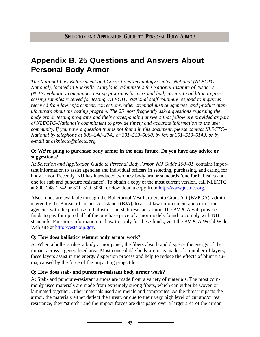# **Appendix B. 25 Questions and Answers About Personal Body Armor**

*The National Law Enforcement and Corrections Technology Center–National (NLECTC– National), located in Rockville, Maryland, administers the National Institute of Justice's (NIJ's) voluntary compliance testing programs for personal body armor. In addition to processing samples received for testing, NLECTC–National staff routinely respond to inquiries received from law enforcement, corrections, other criminal justice agencies, and product manufacturers about the testing program. The 25 most frequently asked questions regarding the body armor testing programs and their corresponding answers that follow are provided as part of NLECTC–National's commitment to provide timely and accurate information to the user community. If you have a question that is not found in this document, please contact NLECTC– National by telephone at 800–248–2742 or 301–519–5060, by fax at 301–519–5149, or by e-mail at asknlectc@nlectc.org.*

#### **Q: We're going to purchase body armor in the near future. Do you have any advice or suggestions?**

A: *Selection and Application Guide to Personal Body Armor, NIJ Guide 100–01,* contains important information to assist agencies and individual officers in selecting, purchasing, and caring for body armor. Recently, NIJ has introduced two new body armor standards (one for ballistics and one for stab and puncture resistance). To obtain a copy of the most current version, call NLECTC at 800–248–2742 or 301–519–5060, or download a copy from  $\frac{http://www.justnet.org.}{http://www.justnet.org.}$  $\frac{http://www.justnet.org.}{http://www.justnet.org.}$  $\frac{http://www.justnet.org.}{http://www.justnet.org.}$ 

Also, funds are available through the Bulletproof Vest Partnership Grant Act (BVPGA), administered by the Bureau of Justice Assistance (BJA), to assist law enforcement and corrections agencies with the purchase of ballistic- and stab-resistant armor. The BVPGA will provide funds to pay for up to half of the purchase price of armor models found to comply with NIJ standards. For more information on how to apply for these funds, visit the BVPGA World Wide Web site at [http://vests.ojp.gov.](http://vests.ojp.gov)

#### **Q: How does ballistic-resistant body armor work?**

A: When a bullet strikes a body armor panel, the fibers absorb and disperse the energy of the impact across a generalized area. Most concealable body armor is made of a number of layers; these layers assist in the energy dispersion process and help to reduce the effects of blunt trauma, caused by the force of the impacting projectile.

#### **Q: How does stab- and puncture-resistant body armor work?**

A: Stab- and puncture-resistant armors are made from a variety of materials. The most commonly used materials are made from extremely strong fibers, which can either be woven or laminated together. Other materials used are metals and composites. As the threat impacts the armor, the materials either deflect the threat, or due to their very high level of cut and/or tear resistance, they "stretch" and the impact forces are dissipated over a larger area of the armor.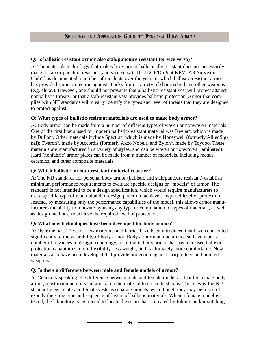#### **Q: Is ballistic-resistant armor also stab/puncture resistant (or vice versa)?**

A: The materials technology that makes body armor ballistically resistant does not necessarily make it stab or puncture resistant (and vice versa). The IACP/DuPont KEVLAR Survivors Club® has documented a number of incidents over the years in which ballistic-resistant armor has provided some protection against attacks from a variety of sharp-edged and other weapons (e.g, clubs.). However, one should not presume that a ballistic-resistant vest will protect against nonballistic threats, or that a stab-resistant vest provides ballistic protection. Armor that complies with NIJ standards will clearly identify the types and level of threats that they are designed to protect against.

#### **Q: What types of ballistic-resistant materials are used to make body armor?**

A: Body armor can be made from a number of different types of woven or nonwoven materials. One of the first fibers used for modern ballistic-resistant material was Kevlar®, which is made by DuPont. Other materials include Spectra®, which is made by Honeywell (formerly AlliedSignal); Twaron®, made by Accordis (formerly Akzo Nobel), and Zylon®, made by Toyobo. These materials are manufactured in a variety of styles, and can be woven or nonwoven (laminated). Hard (nonfabric) armor plates can be made from a number of materials, including metals, ceramics, and other composite materials.

### **Q: Which ballistic- or stab-resistant material is better?**

A: The NIJ standards for personal body armor (ballistic and stab/puncture resistant) establish minimum performance requirements to evaluate specific designs or "models" of armor. The standard is not intended to be a design specification, which would require manufacturers to use a specific type of material and/or design pattern to achieve a required level of protection. Instead, by measuring only the performance capabilities of the model, this allows armor manufacturers the ability to innovate by using any type or combination of types of materials, as well as design methods, to achieve the required level of protection.

## **Q: What new technologies have been developed for body armor?**

A: Over the past 20 years, new materials and fabrics have been introduced that have contributed significantly to the wearability of body armor. Body armor manufacturers also have made a number of advances in design technology, resulting in body armor that has increased ballistic protection capabilities, more flexibility, less weight, and is ultimately more comfortable. New materials also have been developed that provide protection against sharp-edged and pointed weapons.

#### **Q: Is there a difference between male and female models of armor?**

A: Generally speaking, the difference between male and female models is that for female body armor, most manufacturers cut and stitch the material to create bust cups. This is why the NIJ standard views male and female vests as separate models, even though they may be made of exactly the same type and sequence of layers of ballistic materials. When a female model is tested, the laboratory is instructed to locate the seam that is created by folding and/or stitching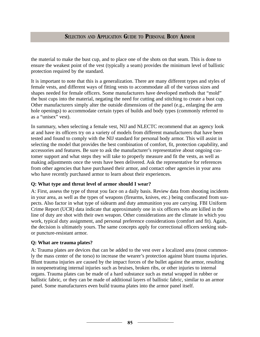the material to make the bust cup, and to place one of the shots on that seam. This is done to ensure the weakest point of the vest (typically a seam) provides the minimum level of ballistic protection required by the standard.

It is important to note that this is a generalization. There are many different types and styles of female vests, and different ways of fitting vests to accommodate all of the various sizes and shapes needed for female officers. Some manufacturers have developed methods that "mold" the bust cups into the material, negating the need for cutting and stitching to create a bust cup. Other manufacturers simply alter the outside dimensions of the panel (e.g., enlarging the arm hole openings) to accommodate certain types of builds and body types (commonly referred to as a "unisex" vest).

In summary, when selecting a female vest, NIJ and NLECTC recommend that an agency look at and have its officers try on a variety of models from different manufacturers that have been tested and found to comply with the NIJ standard for personal body armor. This will assist in selecting the model that provides the best combination of comfort, fit, protection capability, and accessories and features. Be sure to ask the manufacturer's representative about ongoing customer support and what steps they will take to properly measure and fit the vests, as well as making adjustments once the vests have been delivered. Ask the representative for references from other agencies that have purchased their armor, and contact other agencies in your area who have recently purchased armor to learn about their experiences.

## **Q: What type and threat level of armor should I wear?**

A: First, assess the type of threat you face on a daily basis. Review data from shooting incidents in your area, as well as the types of weapons (firearms, knives, etc.) being confiscated from suspects. Also factor in what type of sidearm and duty ammunition you are carrying. FBI Uniform Crime Report (UCR) data indicate that approximately one in six officers who are killed in the line of duty are shot with their own weapon. Other considerations are the climate in which you work, typical duty assignment, and personal preference considerations (comfort and fit). Again, the decision is ultimately yours. The same concepts apply for correctional officers seeking stabor puncture-resistant armor.

#### **Q: What are trauma plates?**

A: Trauma plates are devices that can be added to the vest over a localized area (most commonly the mass center of the torso) to increase the wearer's protection against blunt trauma injuries. Blunt trauma injuries are caused by the impact forces of the bullet against the armor, resulting in nonpenetrating internal injuries such as bruises, broken ribs, or other injuries to internal organs. Trauma plates can be made of a hard substance such as metal wrapped in rubber or ballistic fabric, or they can be made of additional layers of ballistic fabric, similar to an armor panel. Some manufacturers even build trauma plates into the armor panel itself.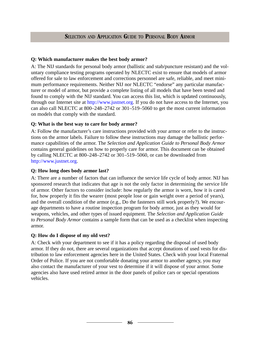#### **Q: Which manufacturer makes the best body armor?**

A: The NIJ standards for personal body armor (ballistic and stab/puncture resistant) and the voluntary compliance testing programs operated by NLECTC exist to ensure that models of armor offered for sale to law enforcement and corrections personnel are safe, reliable, and meet minimum performance requirements. Neither NIJ nor NLECTC "endorse" any particular manufacturer or model of armor, but provide a complete listing of all models that have been tested and found to comply with the NIJ standard. You can access this list, which is updated continuously, through our Internet site at [http://www.justnet.org.](http://www.justnet.org) If you do not have access to the Internet, you can also call NLECTC at 800–248–2742 or 301–519–5060 to get the most current information on models that comply with the standard.

### **Q: What is the best way to care for body armor?**

A: Follow the manufacturer's care instructions provided with your armor or refer to the instructions on the armor labels. Failure to follow these instructions may damage the ballistic performance capabilities of the armor. The *Selection and Application Guide to Personal Body Armor* contains general guidelines on how to properly care for armor. This document can be obtained by calling NLECTC at 800–248–2742 or 301–519–5060, or can be downloaded from [http://www.justnet.org.](http://www.justnet.org)

#### **Q: How long does body armor last?**

A: There are a number of factors that can influence the service life cycle of body armor. NIJ has sponsored research that indicates that age is not the only factor in determining the service life of armor. Other factors to consider include: how regularly the armor is worn, how it is cared for, how properly it fits the wearer (most people lose or gain weight over a period of years), and the overall condition of the armor (e.g., Do the fasteners still work properly?). We encourage departments to have a routine inspection program for body armor, just as they would for weapons, vehicles, and other types of issued equipment. The *Selection and Application Guide to Personal Body Armor* contains a sample form that can be used as a checklist when inspecting armor.

#### **Q: How do I dispose of my old vest?**

A: Check with your department to see if it has a policy regarding the disposal of used body armor. If they do not, there are several organizations that accept donations of used vests for distribution to law enforcement agencies here in the United States. Check with your local Fraternal Order of Police. If you are not comfortable donating your armor to another agency, you may also contact the manufacturer of your vest to determine if it will dispose of your armor. Some agencies also have used retired armor in the door panels of police cars or special operations vehicles.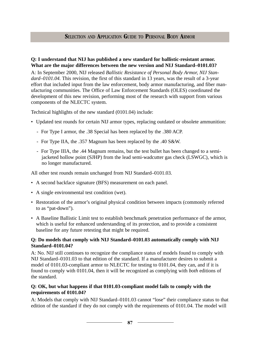#### **Q: I understand that NIJ has published a new standard for ballistic-resistant armor. What are the major differences between the new version and NIJ Standard–0101.03?**

A: In September 2000, NIJ released *Ballistic Resistance of Personal Body Armor, NIJ Standard–0101.04.* This revision, the first of this standard in 13 years, was the result of a 3-year effort that included input from the law enforcement, body armor manufacturing, and fiber manufacturing communities. The Office of Law Enforcement Standards (OLES) coordinated the development of this new revision, performing most of the research with support from various components of the NLECTC system.

Technical highlights of the new standard (0101.04) include:

- Updated test rounds for certain NIJ armor types, replacing outdated or obsolete ammunition:
	- For Type I armor, the .38 Special has been replaced by the .380 ACP.
	- For Type IIA, the .357 Magnum has been replaced by the .40 S&W.
	- For Type IIIA, the .44 Magnum remains, but the test bullet has been changed to a semijacketed hollow point (SJHP) from the lead semi-wadcutter gas check (LSWGC), which is no longer manufactured.

All other test rounds remain unchanged from NIJ Standard–0101.03.

- A second backface signature (BFS) measurement on each panel.
- A single environmental test condition (wet).
- Restoration of the armor's original physical condition between impacts (commonly referred to as "pat-down").
- A Baseline Ballistic Limit test to establish benchmark penetration performance of the armor, which is useful for enhanced understanding of its protection, and to provide a consistent baseline for any future retesting that might be required.

#### **Q: Do models that comply with NIJ Standard–0101.03 automatically comply with NIJ Standard–0101.04?**

A: No. NIJ still continues to recognize the compliance status of models found to comply with NIJ Standard–0101.03 to that edition of the standard. If a manufacturer desires to submit a model of 0101.03-compliant armor to NLECTC for testing to 0101.04, they can, and if it is found to comply with 0101.04, then it will be recognized as complying with *both* editions of the standard.

### **Q: OK, but what happens if that 0101.03-compliant model fails to comply with the requirements of 0101.04?**

A: Models that comply with NIJ Standard–0101.03 cannot "lose" their compliance status to that edition of the standard if they do not comply with the requirements of 0101.04. The model will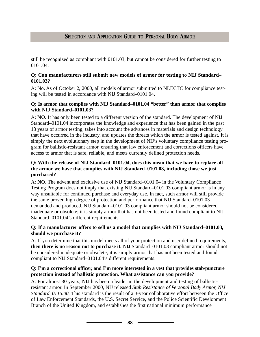still be recognized as compliant with 0101.03, but cannot be considered for further testing to 0101.04.

#### **Q: Can manufacturers still submit new models of armor for testing to NIJ Standard– 0101.03?**

A: No. As of October 2, 2000, all models of armor submitted to NLECTC for compliance testing will be tested in accordance with NIJ Standard–0101.04.

#### **Q: Is armor that complies with NIJ Standard–0101.04 "better" than armor that complies with NIJ Standard–0101.03?**

A: **NO.** It has only been tested to a different version of the standard. The development of NIJ Standard–0101.04 incorporates the knowledge and experience that has been gained in the past 13 years of armor testing, takes into account the advances in materials and design technology that have occurred in the industry, and updates the threats which the armor is tested against. It is simply the next evolutionary step in the development of NIJ's voluntary compliance testing program for ballistic-resistant armor, ensuring that law enforcement and corrections officers have access to armor that is safe, reliable, and meets currently defined protection needs.

### **Q: With the release of NIJ Standard–0101.04, does this mean that we have to replace all the armor we have that complies with NIJ Standard–0101.03, including those we just purchased?**

A: **NO.** The advent and exclusive use of NIJ Standard–0101.04 in the Voluntary Compliance Testing Program does not imply that existing NIJ Standard–0101.03 compliant armor is in any way unsuitable for continued purchase and everyday use. In fact, such armor will still provide the same proven high degree of protection and performance that NIJ Standard–0101.03 demanded and produced. NIJ Standard–0101.03 compliant armor should not be considered inadequate or obsolete; it is simply armor that has not been tested and found compliant to NIJ Standard–0101.04's different requirements.

### **Q: If a manufacturer offers to sell us a model that complies with NIJ Standard–0101.03, should we purchase it?**

A: If you determine that this model meets all of your protection and user defined requirements, **then there is no reason not to purchase it.** NIJ Standard–0101.03 compliant armor should not be considered inadequate or obsolete; it is simply armor that has not been tested and found compliant to NIJ Standard–0101.04's different requirements.

### **Q: I'm a correctional officer, and I'm more interested in a vest that provides stab/puncture protection instead of ballistic protection. What assistance can you provide?**

A: For almost 30 years, NIJ has been a leader in the development and testing of ballisticresistant armor. In September 2000, NIJ released *Stab Resistance of Personal Body Armor, NIJ Standard–0115.00.* This standard is the result of a 3-year collaborative effort between the Office of Law Enforcement Standards, the U.S. Secret Service, and the Police Scientific Development Branch of the United Kingdom, and establishes the first national minimum performance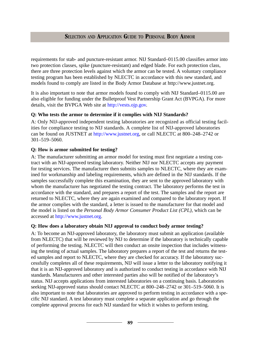requirements for stab- and puncture-resistant armor. NIJ Standard–0115.00 classifies armor into two protection classes, spike (puncture-resistant) and edged blade. For each protection class, there are three protection levels against which the armor can be tested. A voluntary compliance testing program has been established by NLECTC in accordance with this new standard, and models found to comply are listed in the Body Armor Database at http://www.justnet.org.

It is also important to note that armor models found to comply with NIJ Standard–0115.00 are also eligible for funding under the Bulletproof Vest Partnership Grant Act (BVPGA). For more details, visit the BVPGA Web site at [http://vests.ojp.gov.](http://vests.ojp.gov)

#### **Q: Who tests the armor to determine if it complies with NIJ Standards?**

A: Only NIJ-approved independent testing laboratories are recognized as official testing facilities for compliance testing to NIJ standards. A complete list of NIJ-approved laboratories can be found on JUSTNET at [http://www.justnet.org,](http://www.justnet.org) or call NLECTC at 800–248–2742 or 301–519–5060.

#### **Q: How is armor submitted for testing?**

A: The manufacturer submitting an armor model for testing must first negotiate a testing contract with an NIJ-approved testing laboratory. Neither NIJ nor NLECTC accepts any payment for testing services. The manufacturer then submits samples to NLECTC, where they are examined for workmanship and labeling requirements, which are defined in the NIJ standards. If the samples successfully complete this examination, they are sent to the approved laboratory with whom the manufacturer has negotiated the testing contract. The laboratory performs the test in accordance with the standard, and prepares a report of the test. The samples and the report are returned to NLECTC, where they are again examined and compared to the laboratory report. If the armor complies with the standard, a letter is issued to the manufacturer for that model and the model is listed on the *Personal Body Armor Consumer Product List (CPL),* which can be accessed at [http://www.justnet.org.](http://www.justnet.org) 

#### **Q: How does a laboratory obtain NIJ approval to conduct body armor testing?**

A: To become an NIJ-approved laboratory, the laboratory must submit an application (available from NLECTC) that will be reviewed by NIJ to determine if the laboratory is technically capable of performing the testing. NLECTC will then conduct an onsite inspection that includes witnessing the testing of actual samples. The laboratory prepares a report of the test and returns the tested samples and report to NLECTC, where they are checked for accuracy. If the laboratory successfully completes all of these requirements, NIJ will issue a letter to the laboratory notifying it that it is an NIJ-approved laboratory and is authorized to conduct testing in accordance with NIJ standards. Manufacturers and other interested parties also will be notified of the laboratory's status. NIJ accepts applications from interested laboratories on a continuing basis. Laboratories seeking NIJ-approved status should contact NLECTC at 800–248–2742 or 301–519–5060. It is also important to note that laboratories are approved to perform testing in accordance with a specific NIJ standard. A test laboratory must complete a separate application and go through the complete approval process for each NIJ standard for which it wishes to perform testing.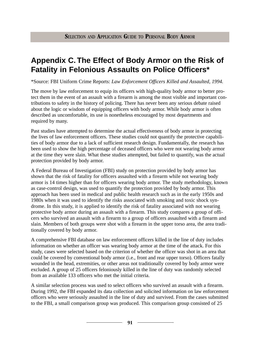# **Appendix C. The Effect of Body Armor on the Risk of Fatality in Felonious Assaults on Police Officers\***

\*Source: FBI Uniform Crime Reports: *Law Enforcement Officers Killed and Assaulted, 1994.*

The move by law enforcement to equip its officers with high-quality body armor to better protect them in the event of an assault with a firearm is among the most visible and important contributions to safety in the history of policing. There has never been any serious debate raised about the logic or wisdom of equipping officers with body armor. While body armor is often described as uncomfortable, its use is nonetheless encouraged by most departments and required by many.

Past studies have attempted to determine the actual effectiveness of body armor in protecting the lives of law enforcement officers. These studies could not quantify the protective capabilities of body armor due to a lack of sufficient research design. Fundamentally, the research has been used to show the high percentage of deceased officers who were not wearing body armor at the time they were slain. What these studies attempted, but failed to quantify, was the actual protection provided by body armor.

A Federal Bureau of Investigation (FBI) study on protection provided by body armor has shown that the risk of fatality for officers assaulted with a firearm while not wearing body armor is 14 times higher than for officers wearing body armor. The study methodology, known as case-control design, was used to quantify the protection provided by body armor. This approach has been used in medical and public health research such as in the early 1950s and 1980s when it was used to identify the risks associated with smoking and toxic shock syndrome. In this study, it is applied to identify the risk of fatality associated with not wearing protective body armor during an assault with a firearm. This study compares a group of officers who survived an assault with a firearm to a group of officers assaulted with a firearm and slain. Members of both groups were shot with a firearm in the upper torso area, the area traditionally covered by body armor.

A comprehensive FBI database on law enforcement officers killed in the line of duty includes information on whether an officer was wearing body armor at the time of the attack. For this study, cases were selected based on the criterion of whether the officer was shot in an area that could be covered by conventional body armor (i.e., front and rear upper torso). Officers fatally wounded in the head, extremities, or other areas not traditionally covered by body armor were excluded. A group of 25 officers feloniously killed in the line of duty was randomly selected from an available 133 officers who met the initial criteria.

A similar selection process was used to select officers who survived an assault with a firearm. During 1992, the FBI expanded its data collection and solicited information on law enforcement officers who were seriously assaulted in the line of duty and survived. From the cases submitted to the FBI, a small comparison group was produced. This comparison group consisted of 25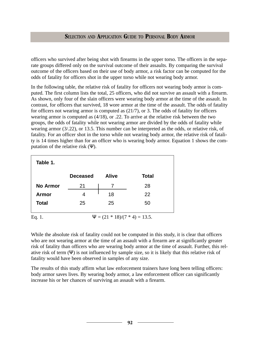officers who survived after being shot with firearms in the upper torso. The officers in the separate groups differed only on the survival outcome of their assaults. By comparing the survival outcome of the officers based on their use of body armor, a risk factor can be computed for the odds of fatality for officers shot in the upper torso while not wearing body armor.

In the following table, the relative risk of fatality for officers not wearing body armor is computed. The first column lists the total, 25 officers, who did not survive an assault with a firearm. As shown, only four of the slain officers were wearing body armor at the time of the assault. In contrast, for officers that survived, 18 wore armor at the time of the assault. The odds of fatality for officers not wearing armor is computed as (21/7), or 3. The odds of fatality for officers wearing armor is computed as (4/18), or .22. To arrive at the relative risk between the two groups, the odds of fatality while not wearing armor are divided by the odds of fatality while wearing armor (3/.22), or 13.5. This number can be interpreted as the odds, or relative risk, of fatality. For an officer shot in the torso while not wearing body armor, the relative risk of fatality is 14 times higher than for an officer who is wearing body armor. Equation 1 shows the computation of the relative risk  $(\Psi)$ .

| Table 1.                                     |                 |              |              |  |  |  |  |
|----------------------------------------------|-----------------|--------------|--------------|--|--|--|--|
|                                              | <b>Deceased</b> | <b>Alive</b> | <b>Total</b> |  |  |  |  |
| <b>No Armor</b>                              | 21              |              | 28           |  |  |  |  |
| Armor                                        | 4               | 18           | 22           |  |  |  |  |
| <b>Total</b>                                 | 25              | 25           | 50           |  |  |  |  |
| $\Psi = (21 * 18)/(7 * 4) = 13.5.$<br>Eq. 1. |                 |              |              |  |  |  |  |

While the absolute risk of fatality could not be computed in this study, it is clear that officers who are not wearing armor at the time of an assault with a firearm are at significantly greater risk of fatality than officers who are wearing body armor at the time of assault. Further, this relative risk of term (Ψ) is not influenced by sample size, so it is likely that this relative risk of fatality would have been observed in samples of any size.

The results of this study affirm what law enforcement trainers have long been telling officers: body armor saves lives. By wearing body armor, a law enforcement officer can significantly increase his or her chances of surviving an assault with a firearm.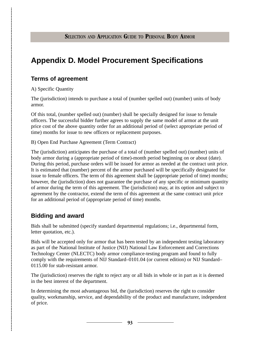# **Appendix D. Model Procurement Specifications**

## **Terms of agreement**

A) Specific Quantity

The (jurisdiction) intends to purchase a total of (number spelled out) (number) units of body armor.

Of this total, (number spelled out) (number) shall be specially designed for issue to female officers. The successful bidder further agrees to supply the same model of armor at the unit price cost of the above quantity order for an additional period of (select appropriate period of time) months for issue to new officers or replacement purposes.

B) Open End Purchase Agreement (Term Contract)

The (jurisdiction) anticipates the purchase of a total of (number spelled out) (number) units of body armor during a (appropriate period of time)-month period beginning on or about (date). During this period, purchase orders will be issued for armor as needed at the contract unit price. It is estimated that (number) percent of the armor purchased will be specifically designated for issue to female officers. The term of this agreement shall be (appropriate period of time) months; however, the (jurisdiction) does not guarantee the purchase of any specific or minimum quantity of armor during the term of this agreement. The (jurisdiction) may, at its option and subject to agreement by the contractor, extend the term of this agreement at the same contract unit price for an additional period of (appropriate period of time) months.

# **Bidding and award**

Bids shall be submitted (specify standard departmental regulations; i.e., departmental form, letter quotation, etc.).

Bids will be accepted only for armor that has been tested by an independent testing laboratory as part of the National Institute of Justice (NIJ) National Law Enforcement and Corrections Technology Center (NLECTC) body armor compliance-testing program and found to fully comply with the requirements of NIJ Standard–0101.04 (or current edition) or NIJ Standard– 0115.00 for stab-resistant armor.

The (jurisdiction) reserves the right to reject any or all bids in whole or in part as it is deemed in the best interest of the department.

In determining the most advantageous bid, the (jurisdiction) reserves the right to consider quality, workmanship, service, and dependability of the product and manufacturer, independent of price.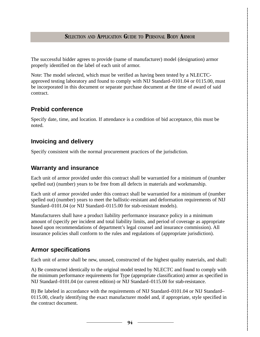The successful bidder agrees to provide (name of manufacturer) model (designation) armor properly identified on the label of each unit of armor.

Note: The model selected, which must be verified as having been tested by a NLECTCapproved testing laboratory and found to comply with NIJ Standard–0101.04 or 0115.00, must be incorporated in this document or separate purchase document at the time of award of said contract.

## **Prebid conference**

Specify date, time, and location. If attendance is a condition of bid acceptance, this must be noted.

## **Invoicing and delivery**

Specify consistent with the normal procurement practices of the jurisdiction.

## **Warranty and insurance**

Each unit of armor provided under this contract shall be warrantied for a minimum of (number spelled out) (number) years to be free from all defects in materials and workmanship.

Each unit of armor provided under this contract shall be warrantied for a minimum of (number spelled out) (number) years to meet the ballistic-resistant and deformation requirements of NIJ Standard–0101.04 (or NIJ Standard–0115.00 for stab-resistant models).

Manufacturers shall have a product liability performance insurance policy in a minimum amount of (specify per incident and total liability limits, and period of coverage as appropriate based upon recommendations of department's legal counsel and insurance commission). All insurance policies shall conform to the rules and regulations of (appropriate jurisdiction).

# **Armor specifications**

Each unit of armor shall be new, unused, constructed of the highest quality materials, and shall:

A) Be constructed identically to the original model tested by NLECTC and found to comply with the minimum performance requirements for Type (appropriate classification) armor as specified in NIJ Standard–0101.04 (or current edition) or NIJ Standard–0115.00 for stab-resistance.

B) Be labeled in accordance with the requirements of NIJ Standard–0101.04 or NIJ Standard– 0115.00, clearly identifying the exact manufacturer model and, if appropriate, style specified in the contract document.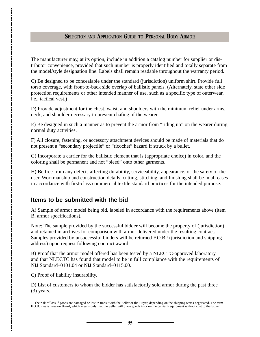The manufacturer may, at its option, include in addition a catalog number for supplier or distributor convenience, provided that such number is properly identified and totally separate from the model/style designation line. Labels shall remain readable throughout the warranty period.

C) Be designed to be concealable under the standard (jurisdiction) uniform shirt. Provide full torso coverage, with front-to-back side overlap of ballistic panels. (Alternately, state other side protection requirements or other intended manner of use, such as a specific type of outerwear, i.e., tactical vest.)

D) Provide adjustment for the chest, waist, and shoulders with the minimum relief under arms, neck, and shoulder necessary to prevent chafing of the wearer.

E) Be designed in such a manner as to prevent the armor from "riding up" on the wearer during normal duty activities.

F) All closure, fastening, or accessory attachment devices should be made of materials that do not present a "secondary projectile" or "ricochet" hazard if struck by a bullet.

G) Incorporate a carrier for the ballistic element that is (appropriate choice) in color, and the coloring shall be permanent and not "bleed" onto other garments.

H) Be free from any defects affecting durability, serviceability, appearance, or the safety of the user. Workmanship and construction details, cutting, stitching, and finishing shall be in all cases in accordance with first-class commercial textile standard practices for the intended purpose.

## **Items to be submitted with the bid**

A) Sample of armor model being bid, labeled in accordance with the requirements above (item B, armor specifications).

Note: The sample provided by the successful bidder will become the property of (jurisdiction) and retained in archives for comparison with armor delivered under the resulting contract. Samples provided by unsuccessful bidders will be returned F.O.B.<sup>1</sup> (jurisdiction and shipping address) upon request following contract award.

B) Proof that the armor model offered has been tested by a NLECTC-approved laboratory and that NLECTC has found that model to be in full compliance with the requirements of NIJ Standard–0101.04 or NIJ Standard–0115.00.

C) Proof of liability insurability.

D) List of customers to whom the bidder has satisfactorily sold armor during the past three (3) years.

<sup>1.</sup> The risk of loss if goods are damaged or lost in transit with the Seller or the Buyer, depending on the shipping terms negotiated. The term F.O.B. means Free on Board, which means only that the Seller will place goods in or on the carrier's equipment without cost to the Buyer.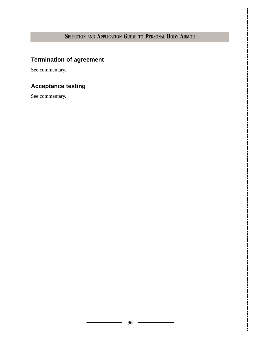# **Termination of agreement**

See commentary.

# **Acceptance testing**

See commentary.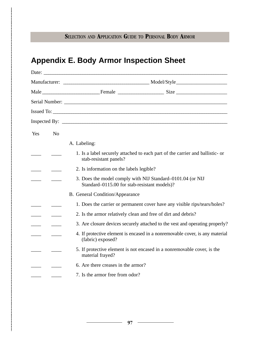# **Appendix E. Body Armor Inspection Sheet**

|     |                | Issued To:                                                                                                 |  |  |  |
|-----|----------------|------------------------------------------------------------------------------------------------------------|--|--|--|
|     |                |                                                                                                            |  |  |  |
| Yes | N <sub>o</sub> |                                                                                                            |  |  |  |
|     |                | A. Labeling:                                                                                               |  |  |  |
|     |                | 1. Is a label securely attached to each part of the carrier and ballistic- or<br>stab-resistant panels?    |  |  |  |
|     |                | 2. Is information on the labels legible?                                                                   |  |  |  |
|     |                | 3. Does the model comply with NIJ Standard-0101.04 (or NIJ<br>Standard-0115.00 for stab-resistant models)? |  |  |  |
|     |                | <b>B.</b> General Condition/Appearance                                                                     |  |  |  |
|     |                | 1. Does the carrier or permanent cover have any visible rips/tears/holes?                                  |  |  |  |
|     |                | 2. Is the armor relatively clean and free of dirt and debris?                                              |  |  |  |
|     |                | 3. Are closure devices securely attached to the vest and operating properly?                               |  |  |  |
|     |                | 4. If protective element is encased in a nonremovable cover, is any material<br>(fabric) exposed?          |  |  |  |
|     |                | 5. If protective element is not encased in a nonremovable cover, is the<br>material frayed?                |  |  |  |
|     |                | 6. Are there creases in the armor?                                                                         |  |  |  |
|     |                | 7. Is the armor free from odor?                                                                            |  |  |  |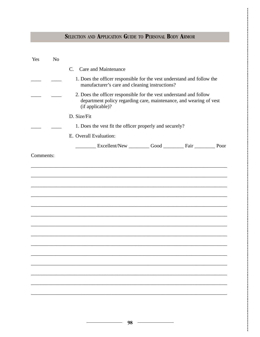| Yes       | N <sub>o</sub> |                                                                                                                                                              |  |  |  |  |  |  |
|-----------|----------------|--------------------------------------------------------------------------------------------------------------------------------------------------------------|--|--|--|--|--|--|
|           |                | C. Care and Maintenance                                                                                                                                      |  |  |  |  |  |  |
|           |                | 1. Does the officer responsible for the vest understand and follow the<br>manufacturer's care and cleaning instructions?                                     |  |  |  |  |  |  |
|           |                | 2. Does the officer responsible for the vest understand and follow<br>department policy regarding care, maintenance, and wearing of vest<br>(if applicable)? |  |  |  |  |  |  |
|           |                | D. Size/Fit                                                                                                                                                  |  |  |  |  |  |  |
|           |                | 1. Does the vest fit the officer properly and securely?                                                                                                      |  |  |  |  |  |  |
|           |                | E. Overall Evaluation:                                                                                                                                       |  |  |  |  |  |  |
|           |                | Excellent/New Good Fair Fair Poor                                                                                                                            |  |  |  |  |  |  |
| Comments: |                |                                                                                                                                                              |  |  |  |  |  |  |
|           |                |                                                                                                                                                              |  |  |  |  |  |  |
|           |                |                                                                                                                                                              |  |  |  |  |  |  |
|           |                |                                                                                                                                                              |  |  |  |  |  |  |
|           |                |                                                                                                                                                              |  |  |  |  |  |  |
|           |                |                                                                                                                                                              |  |  |  |  |  |  |
|           |                |                                                                                                                                                              |  |  |  |  |  |  |
|           |                |                                                                                                                                                              |  |  |  |  |  |  |
|           |                |                                                                                                                                                              |  |  |  |  |  |  |
|           |                |                                                                                                                                                              |  |  |  |  |  |  |
|           |                |                                                                                                                                                              |  |  |  |  |  |  |
|           |                |                                                                                                                                                              |  |  |  |  |  |  |
|           |                |                                                                                                                                                              |  |  |  |  |  |  |
|           |                |                                                                                                                                                              |  |  |  |  |  |  |
|           |                |                                                                                                                                                              |  |  |  |  |  |  |
|           |                |                                                                                                                                                              |  |  |  |  |  |  |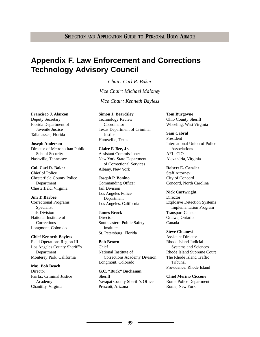**99**

# **Appendix F. Law Enforcement and Corrections Technology Advisory Council**

*Chair: Carl R. Baker Vice Chair: Michael Maloney Vice Chair: Kenneth Bayless*

**Francisco J. Alarcon** Deputy Secretary Florida Department of Juvenile Justice Tallahassee, Florida

**Joseph Anderson** Director of Metropolitan Public School Security Nashville, Tennessee

**Col. Carl R. Baker** Chief of Police Chesterfield County Police Department Chesterfield, Virginia

**Jim T. Barbee** Correctional Programs Specialist Jails Division National Institute of **Corrections** Longmont, Colorado

**Chief Kenneth Bayless** Field Operations Region III Los Angeles County Sheriff's Department Monterey Park, California

**Maj. Bob Beach Director** Fairfax Criminal Justice Academy Chantilly, Virginia

**Simon J. Beardsley** Technology Review Coordinator Texas Department of Criminal **Justice** Huntsville, Texas

**Claire F. Bee, Jr.** Assistant Commissioner New York State Department of Correctional Services Albany, New York

**Joseph P. Bonino** Commanding Officer Jail Division Los Angeles Police Department Los Angeles, California

**James Brock Director** Southeastern Public Safety Institute St. Petersburg, Florida

**Bob Brown** Chief National Institute of Corrections Academy Division Longmont, Colorado

**G.C. "Buck" Buchanan** Sheriff Yavapai County Sheriff's Office Prescott, Arizona

**Tom Burgoyne** Ohio County Sheriff Wheeling, West Virginia

**Sam Cabral** President International Union of Police Associations AFL–CIO Alexandria, Virginia

**Robert E. Cansler** Staff Attorney City of Concord Concord, North Carolina

**Nick Cartwright Director** Explosive Detection Systems Implementation Program Transport Canada Ottawa, Ontario Canada

**Steve Chianesi** Assistant Director Rhode Island Judicial Systems and Sciences Rhode Island Supreme Court The Rhode Island Traffic Tribunal Providence, Rhode Island

**Chief Merino Ciccone** Rome Police Department Rome, New York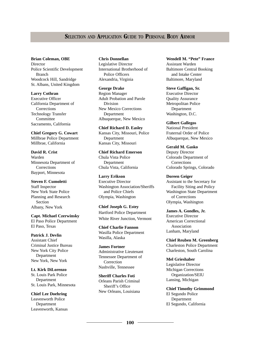**Brian Coleman, OBE Director** Police Scientific Development Branch Woodcock Hill, Sandridge St. Albans, United Kingdom

**Larry Cothran** Executive Officer California Department of **Corrections** Technology Transfer **Committee** Sacramento, California

**Chief Gregory G. Cowart** Millbrae Police Department Millbrae, California

**David R. Crist** Warden Minnesota Department of **Corrections** Bayport, Minnesota

**Steven F. Cumoletti** Staff Inspector New York State Police Planning and Research Section Albany, New York

**Capt. Michael Czerwinsky** El Paso Police Department El Paso, Texas

**Patrick J. Devlin** Assistant Chief Criminal Justice Bureau New York City Police Department New York, New York

**Lt. Kirk DiLorenzo** St. Louis Park Police Department St. Louis Park, Minnesota

**Chief Lee Doehring** Leavenworth Police Department Leavenworth, Kansas **Chris Donnellan** Legislative Director International Brotherhood of Police Officers Alexandria, Virginia

**George Drake** Region Manager Adult Probation and Parole Division New Mexico Corrections **Department** Albuquerque, New Mexico

**Chief Richard D. Easley** Kansas City, Missouri, Police Department Kansas City, Missouri

**Chief Richard Emerson** Chula Vista Police Department Chula Vista, California

**Larry Erikson** Executive Director Washington Association/Sheriffs and Police Chiefs Olympia, Washington

**Chief Joseph G. Estey** Hartford Police Department White River Junction, Vermont

**Chief Charlie Fannon** Wasilla Police Department Wasilla, Alaska

**James Fortner** Administrative Lieutenant Tennessee Department of **Correction** Nashville, Tennessee

**Sheriff Charles Foti** Orleans Parish Criminal Sheriff's Office New Orleans, Louisiana **Wendell M. "Pete" France** Assistant Warden Baltimore Central Booking and Intake Center Baltimore, Maryland

**Steve Gaffigan, Sr.** Executive Director Quality Assurance Metropolitan Police Department Washington, D.C.

**Gilbert Gallegos** National President Fraternal Order of Police Albuquerque, New Mexico

**Gerald M. Gasko** Deputy Director Colorado Department of **Corrections** Colorado Springs, Colorado

**Doreen Geiger** Assistant to the Secretary for Facility Siting and Policy Washington State Department of Corrections Olympia, Washington

**James A. Gondles, Jr.** Executive Director American Correctional Association Lanham, Maryland

**Chief Reuben M. Greenberg** Charleston Police Department Charleston, South Carolina

**Mel Grieshaber** Legislative Director Michigan Corrections Organization/SEIU Lansing, Michigan

**Chief Timothy Grimmond** El Segundo Police Department El Segundo, California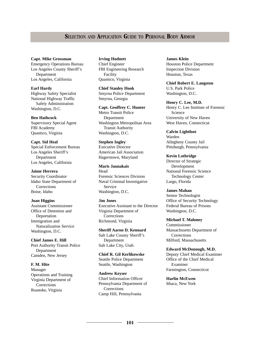#### **Capt. Mike Grossman**

Emergency Operations Bureau Los Angeles County Sheriff's Department Los Angeles, California

**Earl Hardy**

Highway Safety Specialist National Highway Traffic Safety Administration Washington, D.C.

**Ben Hathcock**

Supervisory Special Agent FBI Academy Quantico, Virginia

**Capt. Sid Heal** Special Enforcement Bureau Los Angeles Sheriff's Department Los Angeles, California

**Jaime Herrera** Security Coordinator Idaho State Department of **Corrections** Boise, Idaho

**Joan Higgins** Assistant Commissioner Office of Detention and Deportation Immigration and Naturalization Service Washington, D.C.

**Chief James E. Hill** Port Authority Transit Police Department Camden, New Jersey

#### **F. M. Hite** Manager Operations and Training Virginia Department of

**Corrections** Roanoke, Virginia **Irving Hodnett** Chief Engineer FBI Engineering Research Facility Quantico, Virginia

**Chief Stanley Hook** Smyrna Police Department Smyrna, Georgia

**Capt. Geoffrey C. Hunter** Metro Transit Police Department Washington Metropolitan Area Transit Authority Washington, D.C.

**Stephen Ingley** Executive Director American Jail Association Hagerstown, Maryland

**Maris Jaunakais** Head Forensic Sciences Division Naval Criminal Investigative Service Washington, D.C.

J**im Jones** Executive Assistant to the Director Virginia Department of **Corrections** Richmond, Virginia

**Sheriff Aaron D. Kennard** Salt Lake County Sheriff's Department Salt Lake City, Utah

**Chief R. Gil Kerlikowske** Seattle Police Department Seattle, Washington

**Andrew Keyser** Chief Information Officer Pennsylvania Department of **Corrections** Camp Hill, Pennsylvania

**James Klein** Houston Police Department Inspection Division Houston, Texas

**Chief Robert E. Langston** U.S. Park Police Washington, D.C.

**Henry C. Lee, M.D.** Henry C. Lee Institute of Forensic Science University of New Haven West Haven, Connecticut

**Calvin Lightfoot** Warden Allegheny County Jail Pittsburgh, Pennsylvania

**Kevin Lothridge** Director of Strategic Development National Forensic Science Technology Center Largo, Florida

**James Mahan** Senior Technologist Office of Security Technology Federal Bureau of Prisons Washington, D.C.

**Michael T. Maloney** Commissioner Massachusetts Department of **Corrections** Milford, Massachusetts

**Edward McDonough, M.D.**

Deputy Chief Medical Examiner Office of the Chief Medical Examiner Farmington, Connecticut

**Harlin McEwen** Ithaca, New York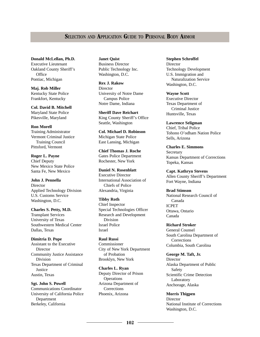**Donald McLellan, Ph.D.** Executive Lieutenant Oakland County Sheriff's **Office** Pontiac, Michigan

**Maj. Rob Miller** Kentucky State Police Frankfort, Kentucky

**Col. David B. Mitchell** Maryland State Police Pikesville, Maryland

#### **Ron Morell** Training Administrator

Vermont Criminal Justice Training Council Pittsford, Vermont

**Roger L. Payne**

Chief Deputy New Mexico State Police Santa Fe, New Mexico

**John J. Pennella Director** Applied Technology Division U.S. Customs Service Washington, D.C.

**Charles S. Petty, M.D.** Transplant Services University of Texas Southwestern Medical Center Dallas, Texas

**Dimitria D. Pope** Assistant to the Executive Director Community Justice Assistance Division Texas Department of Criminal **Justice** Austin, Texas

**Sgt. John S. Powell** Communications Coordinator University of California Police Department Berkeley, California

**Janet Quist** Business Director Public Technology Inc. Washington, D.C.

**Rex J. Rakow Director** University of Notre Dame Campus Police Notre Dame, Indiana

**Sheriff Dave Reichart** King County Sheriff's Office Seattle, Washington

**Col. Michael D. Robinson** Michigan State Police East Lansing, Michigan

**Chief Thomas J. Roche** Gates Police Department Rochester, New York

**Daniel N. Rosenblatt**  Executive Director International Association of Chiefs of Police Alexandria, Virginia

**Tibby Roth** Chief Inspector Special Technologies Officer Research and Development Division Israel Police Israel

**Raul Russi** Commissioner City of New York Department of Probation Brooklyn, New York

**Charles L. Ryan** Deputy Director of Prison **Operations** Arizona Department of **Corrections** Phoenix, Arizona

**Stephen Schroffel Director** Technology Development U.S. Immigration and Naturalization Service Washington, D.C.

**Wayne Scott** Executive Director Texas Department of Criminal Justice Huntsville, Texas

**Lawrence Seligman** Chief, Tribal Police Tohono O'odham Nation Police Sells, Arizona

**Charles E. Simmons** Secretary Kansas Department of Corrections Topeka, Kansas

**Capt. Kathryn Stevens** Allen County Sheriff's Department Fort Wayne, Indiana

**Brad Stimson**

National Research Council of Canada ICPET Ottawa, Ontario Canada

**Richard Stroker** General Counsel South Carolina Department of **Corrections** Columbia, South Carolina

**George M. Taft, Jr. Director** Alaska Department of Public Safety Scientific Crime Detection Laboratory Anchorage, Alaska

**Morris Thigpen Director** National Institute of Corrections Washington, D.C.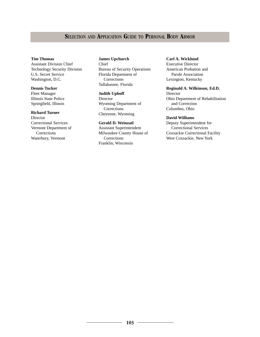#### **Tim Thomas**

Assistant Division Chief Technology Security Division U.S. Secret Service Washington, D.C.

#### **Dennis Tucker**

Fleet Manager Illinois State Police Springfield, Illinois

#### **Richard Turner**

Director Correctional Services Vermont Department of Corrections Waterbury, Vermont

**James Upchurch** Chief Bureau of Security Operations Florida Department of **Corrections** Tallahassee, Florida

#### **Judith Uphoff**

Director Wyoming Department of Corrections Cheyenne, Wyoming

#### **Gerald D. Weinzatl**

Assistant Superintendent Milwaukee County House of **Corrections** Franklin, Wisconsin

#### **Carl A. Wicklund**

Executive Director American Probation and Parole Association Lexington, Kentucky

#### **Reginald A. Wilkinson, Ed.D.**

Director Ohio Department of Rehabilitation and Correction Columbus, Ohio

#### **David Williams**

Deputy Superintendent for Correctional Services Coxsackie Correctional Facility West Coxsackie, New York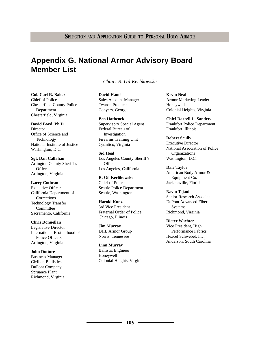# **Appendix G. National Armor Advisory Board Member List**

*Chair: R. Gil Kerlikowske*

**Col. Carl R. Baker** Chief of Police Chesterfield County Police Department Chesterfield, Virginia

**David Boyd, Ph.D.** Director Office of Science and Technology National Institute of Justice Washington, D.C.

**Sgt. Dan Callahan** Arlington County Sheriff's **Office** Arlington, Virginia

#### **Larry Cothran** Executive Officer California Department of **Corrections** Technology Transfer **Committee** Sacramento, California

**Chris Donnellan** Legislative Director International Brotherhood of Police Officers Arlington, Virginia

#### **John Dottore** Business Manager Civilian Ballistics DuPont Company Spruance Plant Richmond, Virginia

**David Hand** Sales Account Manager Twaron Products Conyers, Georgia

**Ben Hathcock** Supervisory Special Agent Federal Bureau of Investigation Firearms Training Unit Quantico, Virginia

**Sid Heal** Los Angeles County Sheriff's **Office** Los Angeles, California

**R. Gil Kerlikowske** Chief of Police Seattle Police Department Seattle, Washington

**Harold Kunz** 3rd Vice President Fraternal Order of Police Chicago, Illinois

**Jim Murray** DHB Armor Group Norris, Tennessee

**Linn Murray** Ballistic Engineer Honeywell Colonial Heights, Virginia **Kevin Neal** Armor Marketing Leader Honeywell Colonial Heights, Virginia

**Chief Darrell L. Sanders** Frankfort Police Department Frankfort, Illinois

**Robert Scully** Executive Director National Association of Police **Organizations** Washington, D.C.

**Dale Taylor** American Body Armor & Equipment Co. Jacksonville, Florida

**Navin Tejani** Senior Research Associate DuPont Advanced Fiber Systems Richmond, Virginia

**Dieter Wachter** Vice President, High Performance Fabrics Hexcel Schwebel, Inc. Anderson, South Carolina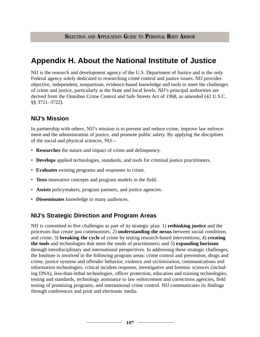# **Appendix H. About the National Institute of Justice**

NIJ is the research and development agency of the U.S. Department of Justice and is the only Federal agency solely dedicated to researching crime control and justice issues. NIJ provides objective, independent, nonpartisan, evidence-based knowledge and tools to meet the challenges of crime and justice, particularly at the State and local levels. NIJ's principal authorities are derived from the Omnibus Crime Control and Safe Streets Act of 1968, as amended (42 U.S.C. §§ 3721–3722).

## **NIJ's Mission**

In partnership with others, NIJ's mission is to prevent and reduce crime, improve law enforcement and the administration of justice, and promote public safety. By applying the disciplines of the social and physical sciences, NIJ—

- **Researches** the nature and impact of crime and delinquency.
- **Develops** applied technologies, standards, and tools for criminal justice practitioners.
- **Evaluates** existing programs and responses to crime.
- **Tests** innovative concepts and program models in the field.
- **Assists** policymakers, program partners, and justice agencies.
- **Disseminates** knowledge to many audiences.

## **NIJ's Strategic Direction and Program Areas**

NIJ is committed to five challenges as part of its strategic plan: 1) **rethinking justice** and the processes that create just communities; 2) **understanding the nexus** between social conditions and crime; 3) **breaking the cycle** of crime by testing research-based interventions; 4) **creating the tools** and technologies that meet the needs of practitioners; and 5) **expanding horizons** through interdisciplinary and international perspectives. In addressing these strategic challenges, the Institute is involved in the following program areas: crime control and prevention, drugs and crime, justice systems and offender behavior, violence and victimization, communications and information technologies, critical incident response, investigative and forensic sciences (including DNA), less-than-lethal technologies, officer protection, education and training technologies, testing and standards, technology assistance to law enforcement and corrections agencies, field testing of promising programs, and international crime control. NIJ communicates its findings through conferences and print and electronic media.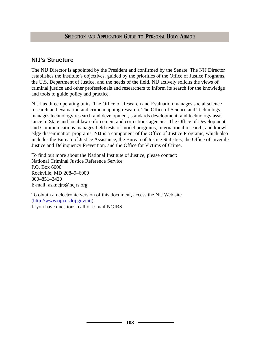## **NIJ's Structure**

The NIJ Director is appointed by the President and confirmed by the Senate. The NIJ Director establishes the Institute's objectives, guided by the priorities of the Office of Justice Programs, the U.S. Department of Justice, and the needs of the field. NIJ actively solicits the views of criminal justice and other professionals and researchers to inform its search for the knowledge and tools to guide policy and practice.

NIJ has three operating units. The Office of Research and Evaluation manages social science research and evaluation and crime mapping research. The Office of Science and Technology manages technology research and development, standards development, and technology assistance to State and local law enforcement and corrections agencies. The Office of Development and Communications manages field tests of model programs, international research, and knowledge dissemination programs. NIJ is a component of the Office of Justice Programs, which also includes the Bureau of Justice Assistance, the Bureau of Justice Statistics, the Office of Juvenile Justice and Delinquency Prevention, and the Office for Victims of Crime.

To find out more about the National Institute of Justice, please contact: National Criminal Justice Reference Service P.O. Box 6000 Rockville, MD 20849–6000 800–851–3420 E-mail: askncjrs@ncjrs.org

To obtain an electronic version of this document, access the NIJ Web site [\(http://www.ojp.usdoj.gov/nij\)](http://www.ojp.usdoj.gov/nij).

If you have questions, call or e-mail NCJRS.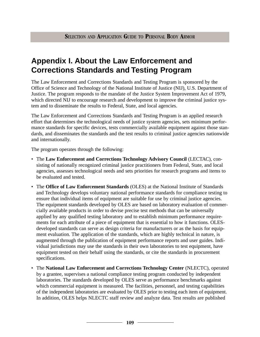# **Appendix I. About the Law Enforcement and Corrections Standards and Testing Program**

The Law Enforcement and Corrections Standards and Testing Program is sponsored by the Office of Science and Technology of the National Institute of Justice (NIJ), U.S. Department of Justice. The program responds to the mandate of the Justice System Improvement Act of 1979, which directed NIJ to encourage research and development to improve the criminal justice system and to disseminate the results to Federal, State, and local agencies.

The Law Enforcement and Corrections Standards and Testing Program is an applied research effort that determines the technological needs of justice system agencies, sets minimum performance standards for specific devices, tests commercially available equipment against those standards, and disseminates the standards and the test results to criminal justice agencies nationwide and internationally.

The program operates through the following:

- The **Law Enforcement and Corrections Technology Advisory Council** (LECTAC), consisting of nationally recognized criminal justice practitioners from Federal, State, and local agencies, assesses technological needs and sets priorities for research programs and items to be evaluated and tested.
- The **Office of Law Enforcement Standards** (OLES) at the National Institute of Standards and Technology develops voluntary national performance standards for compliance testing to ensure that individual items of equipment are suitable for use by criminal justice agencies. The equipment standards developed by OLES are based on laboratory evaluation of commercially available products in order to devise precise test methods that can be universally applied by any qualified testing laboratory and to establish minimum performance requirements for each attribute of a piece of equipment that is essential to how it functions. OLESdeveloped standards can serve as design criteria for manufacturers or as the basis for equipment evaluation. The application of the standards, which are highly technical in nature, is augmented through the publication of equipment performance reports and user guides. Individual jurisdictions may use the standards in their own laboratories to test equipment, have equipment tested on their behalf using the standards, or cite the standards in procurement specifications.
- The **National Law Enforcement and Corrections Technology Center** (NLECTC), operated by a grantee, supervises a national compliance testing program conducted by independent laboratories. The standards developed by OLES serve as performance benchmarks against which commercial equipment is measured. The facilities, personnel, and testing capabilities of the independent laboratories are evaluated by OLES prior to testing each item of equipment. In addition, OLES helps NLECTC staff review and analyze data. Test results are published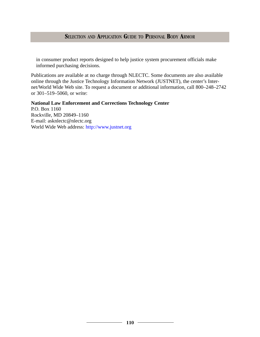# **S**ELECTION AND **A**PPLICATION **G**UIDE TO **P**ERSONAL **B**ODY **A**RMOR

in consumer product reports designed to help justice system procurement officials make informed purchasing decisions.

Publications are available at no charge through NLECTC. Some documents are also available online through the Justice Technology Information Network (JUSTNET), the center's Internet/World Wide Web site. To request a document or additional information, call 800–248–2742 or 301–519–5060, or write:

**National Law Enforcement and Corrections Technology Center** P.O. Box 1160 Rockville, MD 20849–1160 E-mail: asknlectc@nlectc.org World Wide Web address: <http://www.justnet.org>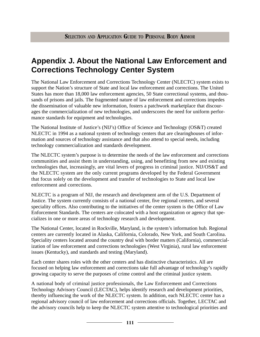# **Appendix J. About the National Law Enforcement and Corrections Technology Center System**

The National Law Enforcement and Corrections Technology Center (NLECTC) system exists to support the Nation's structure of State and local law enforcement and corrections. The United States has more than 18,000 law enforcement agencies, 50 State correctional systems, and thousands of prisons and jails. The fragmented nature of law enforcement and corrections impedes the dissemination of valuable new information, fosters a patchwork marketplace that discourages the commercialization of new technologies, and underscores the need for uniform performance standards for equipment and technologies.

The National Institute of Justice's (NIJ's) Office of Science and Technology (OS&T) created NLECTC in 1994 as a national system of technology centers that are clearinghouses of information and sources of technology assistance and that also attend to special needs, including technology commercialization and standards development.

The NLECTC system's purpose is to determine the needs of the law enforcement and corrections communities and assist them in understanding, using, and benefitting from new and existing technologies that, increasingly, are vital levers of progress in criminal justice. NIJ/OS&T and the NLECTC system are the only current programs developed by the Federal Government that focus solely on the development and transfer of technologies to State and local law enforcement and corrections.

NLECTC is a program of NIJ, the research and development arm of the U.S. Department of Justice. The system currently consists of a national center, five regional centers, and several speciality offices. Also contributing to the initiatives of the center system is the Office of Law Enforcement Standards. The centers are colocated with a host organization or agency that specializes in one or more areas of technology research and development.

The National Center, located in Rockville, Maryland, is the system's information hub. Regional centers are currently located in Alaska, California, Colorado, New York, and South Carolina. Speciality centers located around the country deal with border matters (California), commercialization of law enforcement and corrections technologies (West Virginia), rural law enforcement issues (Kentucky), and standards and testing (Maryland).

Each center shares roles with the other centers and has distinctive characteristics. All are focused on helping law enforcement and corrections take full advantage of technology's rapidly growing capacity to serve the purposes of crime control and the criminal justice system.

A national body of criminal justice professionals, the Law Enforcement and Corrections Technology Advisory Council (LECTAC), helps identify research and development priorities, thereby influencing the work of the NLECTC system. In addition, each NLECTC center has a regional advisory council of law enforcement and corrections officials. Together, LECTAC and the advisory councils help to keep the NLECTC system attentive to technological priorities and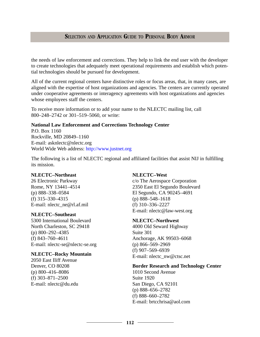# **S**ELECTION AND **A**PPLICATION **G**UIDE TO **P**ERSONAL **B**ODY **A**RMOR

the needs of law enforcement and corrections. They help to link the end user with the developer to create technologies that adequately meet operational requirements and establish which potential technologies should be pursued for development.

All of the current regional centers have distinctive roles or focus areas, that, in many cases, are aligned with the expertise of host organizations and agencies. The centers are currently operated under cooperative agreements or interagency agreements with host organizations and agencies whose employees staff the centers.

To receive more information or to add your name to the NLECTC mailing list, call 800–248–2742 or 301–519–5060, or write:

#### **National Law Enforcement and Corrections Technology Center**

P.O. Box 1160 Rockville, MD 20849–1160 E-mail: asknlectc@nlectc.org World Wide Web address: <http://www.justnet.org>

The following is a list of NLECTC regional and affiliated facilities that assist NIJ in fulfilling its mission.

#### **NLECTC–Northeast**

26 Electronic Parkway Rome, NY 13441–4514 (p) 888–338–0584 (f) 315–330–4315 E-mail: nlectc\_ne@rl.af.mil

#### **NLECTC–Southeast**

5300 International Boulevard North Charleston, SC 29418 (p) 800–292–4385 (f) 843–760–4611 E-mail: nlectc-se@nlectc-se.org

#### **NLECTC–Rocky Mountain**

2050 East Iliff Avenue Denver, CO 80208 (p) 800–416–8086 (f) 303–871–2500 E-mail: nlectc@du.edu

#### **NLECTC–West**

c/o The Aerospace Corporation 2350 East El Segundo Boulevard El Segundo, CA 90245–4691 (p) 888–548–1618 (f) 310–336–2227 E-mail: nlectc@law-west.org

#### **NLECTC–Northwest**

4000 Old Seward Highway Suite 301 Anchorage, AK 99503–6068 (p) 866–569–2969 (f) 907–569–6939 E-mail: nlectc\_nw@ctsc.net

### **Border Research and Technology Center**

1010 Second Avenue Suite 1920 San Diego, CA 92101 (p) 888–656–2782 (f) 888–660–2782 E-mail: brtcchrisa@aol.com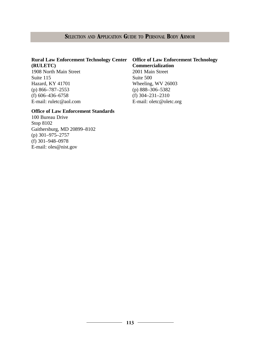# **S**ELECTION AND **A**PPLICATION **G**UIDE TO **P**ERSONAL **B**ODY **A**RMOR

# **Rural Law Enforcement Technology Center (RULETC)**

1908 North Main Street Suite 115 Hazard, KY 41701 (p) 866–787–2553 (f) 606–436–6758 E-mail: ruletc@aol.com

# **Office of Law Enforcement Technology Commercialization** 2001 Main Street Suite 500 Wheeling, WV 26003 (p) 888–306–5382 (f) 304–231–2310 E-mail: oletc@oletc.org

# **Office of Law Enforcement Standards**

100 Bureau Drive Stop 8102 Gaithersburg, MD 20899–8102 (p) 301–975–2757 (f) 301–948–0978 E-mail: oles@nist.gov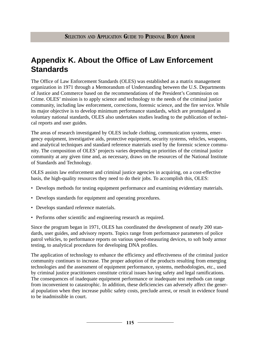# **Appendix K. About the Office of Law Enforcement Standards**

The Office of Law Enforcement Standards (OLES) was established as a matrix management organization in 1971 through a Memorandum of Understanding between the U.S. Departments of Justice and Commerce based on the recommendations of the President's Commission on Crime. OLES' mission is to apply science and technology to the needs of the criminal justice community, including law enforcement, corrections, forensic science, and the fire service. While its major objective is to develop minimum performance standards, which are promulgated as voluntary national standards, OLES also undertakes studies leading to the publication of technical reports and user guides.

The areas of research investigated by OLES include clothing, communication systems, emergency equipment, investigative aids, protective equipment, security systems, vehicles, weapons, and analytical techniques and standard reference materials used by the forensic science community. The composition of OLES' projects varies depending on priorities of the criminal justice community at any given time and, as necessary, draws on the resources of the National Institute of Standards and Technology.

OLES assists law enforcement and criminal justice agencies in acquiring, on a cost-effective basis, the high-quality resources they need to do their jobs. To accomplish this, OLES:

- Develops methods for testing equipment performance and examining evidentiary materials.
- Develops standards for equipment and operating procedures.
- Develops standard reference materials.
- Performs other scientific and engineering research as required.

Since the program began in 1971, OLES has coordinated the development of nearly 200 standards, user guides, and advisory reports. Topics range from performance parameters of police patrol vehicles, to performance reports on various speed-measuring devices, to soft body armor testing, to analytical procedures for developing DNA profiles.

The application of technology to enhance the efficiency and effectiveness of the criminal justice community continues to increase. The proper adoption of the products resulting from emerging technologies and the assessment of equipment performance, systems, methodologies, etc., used by criminal justice practitioners constitute critical issues having safety and legal ramifications. The consequences of inadequate equipment performance or inadequate test methods can range from inconvenient to catastrophic. In addition, these deficiencies can adversely affect the general population when they increase public safety costs, preclude arrest, or result in evidence found to be inadmissible in court.